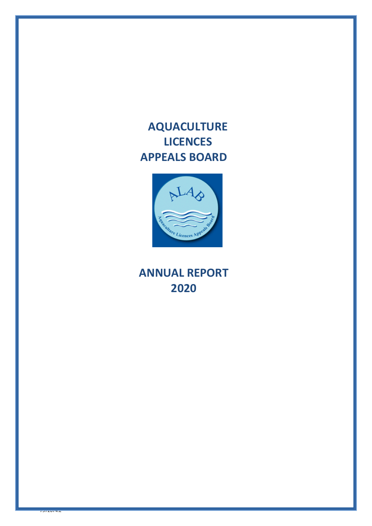**AQUACULTURE LICENCES APPEALS BOARD**



**ANNUAL REPORT 2020**

 $75720772$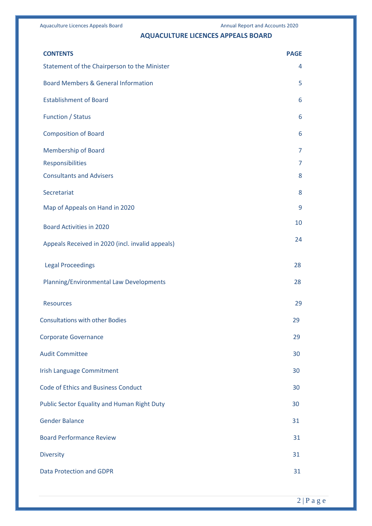# **AQUACULTURE LICENCES APPEALS BOARD**

| <b>CONTENTS</b>                                    | <b>PAGE</b> |
|----------------------------------------------------|-------------|
| Statement of the Chairperson to the Minister       | 4           |
| <b>Board Members &amp; General Information</b>     | 5           |
| <b>Establishment of Board</b>                      | 6           |
| <b>Function / Status</b>                           | 6           |
| <b>Composition of Board</b>                        | 6           |
| <b>Membership of Board</b>                         | 7           |
| Responsibilities                                   | 7           |
| <b>Consultants and Advisers</b>                    | 8           |
| Secretariat                                        | 8           |
| Map of Appeals on Hand in 2020                     | 9           |
| <b>Board Activities in 2020</b>                    | 10          |
| Appeals Received in 2020 (incl. invalid appeals)   | 24          |
| <b>Legal Proceedings</b>                           | 28          |
| Planning/Environmental Law Developments            | 28          |
| <b>Resources</b>                                   | 29          |
| <b>Consultations with other Bodies</b>             | 29          |
| <b>Corporate Governance</b>                        | 29          |
| <b>Audit Committee</b>                             | 30          |
| <b>Irish Language Commitment</b>                   | 30          |
| <b>Code of Ethics and Business Conduct</b>         | 30          |
| <b>Public Sector Equality and Human Right Duty</b> | 30          |
| <b>Gender Balance</b>                              | 31          |
| <b>Board Performance Review</b>                    | 31          |
| <b>Diversity</b>                                   | 31          |
| <b>Data Protection and GDPR</b>                    | 31          |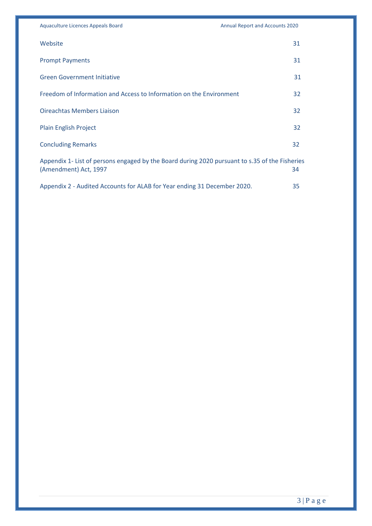| Website                                                                                                                 | 31 |
|-------------------------------------------------------------------------------------------------------------------------|----|
| <b>Prompt Payments</b>                                                                                                  | 31 |
| <b>Green Government Initiative</b>                                                                                      | 31 |
| Freedom of Information and Access to Information on the Environment                                                     | 32 |
| <b>Oireachtas Members Liaison</b>                                                                                       | 32 |
| <b>Plain English Project</b>                                                                                            | 32 |
| <b>Concluding Remarks</b>                                                                                               | 32 |
| Appendix 1- List of persons engaged by the Board during 2020 pursuant to s.35 of the Fisheries<br>(Amendment) Act, 1997 | 34 |
| Appendix 2 - Audited Accounts for ALAB for Year ending 31 December 2020.                                                | 35 |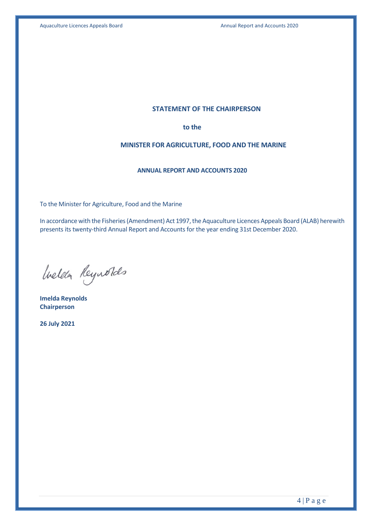#### **STATEMENT OF THE CHAIRPERSON**

**to the**

#### **MINISTER FOR AGRICULTURE, FOOD AND THE MARINE**

#### **ANNUAL REPORT AND ACCOUNTS 2020**

To the Minister for Agriculture, Food and the Marine

In accordance with the Fisheries (Amendment) Act 1997, the Aquaculture Licences Appeals Board (ALAB) herewith presents its twenty-third Annual Report and Accounts for the year ending 31st December 2020.

Welder Reynolds

**Imelda Reynolds Chairperson**

**26 July 2021**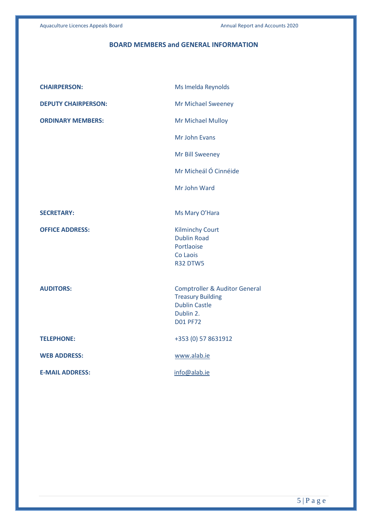# **BOARD MEMBERS and GENERAL INFORMATION**

| <b>CHAIRPERSON:</b>        | Ms Imelda Reynolds                           |
|----------------------------|----------------------------------------------|
| <b>DEPUTY CHAIRPERSON:</b> | <b>Mr Michael Sweeney</b>                    |
| <b>ORDINARY MEMBERS:</b>   | Mr Michael Mulloy                            |
|                            | Mr John Evans                                |
|                            | Mr Bill Sweeney                              |
|                            | Mr Micheál Ó Cinnéide                        |
|                            | Mr John Ward                                 |
|                            |                                              |
| <b>SECRETARY:</b>          | Ms Mary O'Hara                               |
| <b>OFFICE ADDRESS:</b>     | <b>Kilminchy Court</b><br><b>Dublin Road</b> |
|                            | Portlaoise                                   |
|                            | Co Laois                                     |
|                            | <b>R32 DTW5</b>                              |
| <b>AUDITORS:</b>           | <b>Comptroller &amp; Auditor General</b>     |
|                            | <b>Treasury Building</b>                     |
|                            | <b>Dublin Castle</b><br>Dublin 2.            |
|                            | <b>D01 PF72</b>                              |
| <b>TELEPHONE:</b>          | +353 (0) 57 8631912                          |
| <b>WEB ADDRESS:</b>        | www.alab.ie                                  |
| <b>E-MAIL ADDRESS:</b>     | info@alab.ie                                 |
|                            |                                              |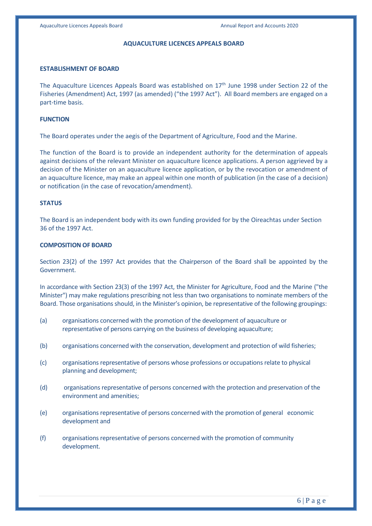#### **AQUACULTURE LICENCES APPEALS BOARD**

#### **ESTABLISHMENT OF BOARD**

The Aquaculture Licences Appeals Board was established on  $17<sup>th</sup>$  June 1998 under Section 22 of the Fisheries (Amendment) Act, 1997 (as amended) ("the 1997 Act"). All Board members are engaged on a part-time basis.

#### **FUNCTION**

The Board operates under the aegis of the Department of Agriculture, Food and the Marine.

The function of the Board is to provide an independent authority for the determination of appeals against decisions of the relevant Minister on aquaculture licence applications. A person aggrieved by a decision of the Minister on an aquaculture licence application, or by the revocation or amendment of an aquaculture licence, may make an appeal within one month of publication (in the case of a decision) or notification (in the case of revocation/amendment).

#### **STATUS**

The Board is an independent body with its own funding provided for by the Oireachtas under Section 36 of the 1997 Act.

#### **COMPOSITION OF BOARD**

Section 23(2) of the 1997 Act provides that the Chairperson of the Board shall be appointed by the Government.

In accordance with Section 23(3) of the 1997 Act, the Minister for Agriculture, Food and the Marine ("the Minister") may make regulations prescribing not less than two organisations to nominate members of the Board. Those organisations should, in the Minister's opinion, be representative of the following groupings:

- (a) organisations concerned with the promotion of the development of aquaculture or representative of persons carrying on the business of developing aquaculture;
- (b) organisations concerned with the conservation, development and protection of wild fisheries;
- (c) organisations representative of persons whose professions or occupations relate to physical planning and development;
- (d) organisations representative of persons concerned with the protection and preservation of the environment and amenities;
- (e) organisations representative of persons concerned with the promotion of general economic development and
- (f) organisations representative of persons concerned with the promotion of community development.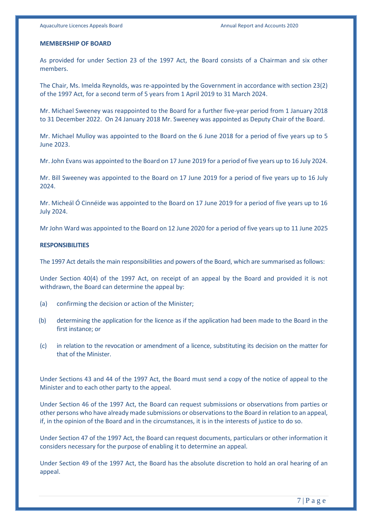#### **MEMBERSHIP OF BOARD**

As provided for under Section 23 of the 1997 Act, the Board consists of a Chairman and six other members.

The Chair, Ms. Imelda Reynolds, was re-appointed by the Government in accordance with section 23(2) of the 1997 Act, for a second term of 5 years from 1 April 2019 to 31 March 2024.

Mr. Michael Sweeney was reappointed to the Board for a further five-year period from 1 January 2018 to 31 December 2022. On 24 January 2018 Mr. Sweeney was appointed as Deputy Chair of the Board.

Mr. Michael Mulloy was appointed to the Board on the 6 June 2018 for a period of five years up to 5 June 2023.

Mr. John Evans was appointed to the Board on 17 June 2019 for a period of five years up to 16 July 2024.

Mr. Bill Sweeney was appointed to the Board on 17 June 2019 for a period of five years up to 16 July 2024.

Mr. Micheál Ó Cinnéide was appointed to the Board on 17 June 2019 for a period of five years up to 16 July 2024.

Mr John Ward was appointed to the Board on 12 June 2020 for a period of five years up to 11 June 2025

#### **RESPONSIBILITIES**

The 1997 Act details the main responsibilities and powers of the Board, which are summarised as follows:

Under Section 40(4) of the 1997 Act, on receipt of an appeal by the Board and provided it is not withdrawn, the Board can determine the appeal by:

- (a) confirming the decision or action of the Minister;
- (b) determining the application for the licence as if the application had been made to the Board in the first instance; or
- (c) in relation to the revocation or amendment of a licence, substituting its decision on the matter for that of the Minister.

Under Sections 43 and 44 of the 1997 Act, the Board must send a copy of the notice of appeal to the Minister and to each other party to the appeal.

Under Section 46 of the 1997 Act, the Board can request submissions or observations from parties or other persons who have already made submissions or observations to the Board in relation to an appeal, if, in the opinion of the Board and in the circumstances, it is in the interests of justice to do so.

Under Section 47 of the 1997 Act, the Board can request documents, particulars or other information it considers necessary for the purpose of enabling it to determine an appeal.

Under Section 49 of the 1997 Act, the Board has the absolute discretion to hold an oral hearing of an appeal.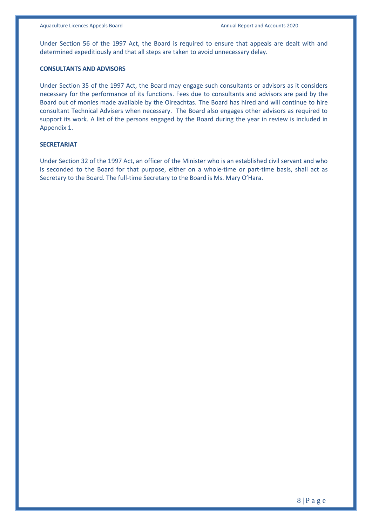Under Section 56 of the 1997 Act, the Board is required to ensure that appeals are dealt with and determined expeditiously and that all steps are taken to avoid unnecessary delay.

#### **CONSULTANTS AND ADVISORS**

Under Section 35 of the 1997 Act, the Board may engage such consultants or advisors as it considers necessary for the performance of its functions. Fees due to consultants and advisors are paid by the Board out of monies made available by the Oireachtas. The Board has hired and will continue to hire consultant Technical Advisers when necessary. The Board also engages other advisors as required to support its work. A list of the persons engaged by the Board during the year in review is included in Appendix 1.

#### **SECRETARIAT**

Under Section 32 of the 1997 Act, an officer of the Minister who is an established civil servant and who is seconded to the Board for that purpose, either on a whole-time or part-time basis, shall act as Secretary to the Board. The full-time Secretary to the Board is Ms. Mary O'Hara.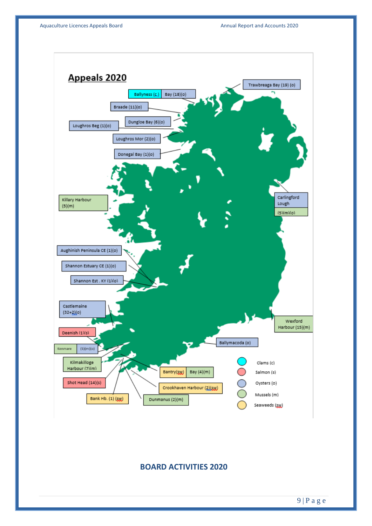

# **BOARD ACTIVITIES 2020**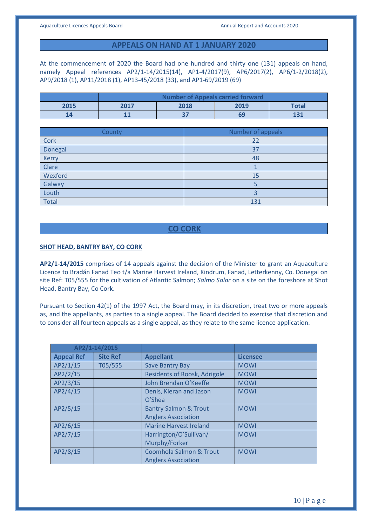# **APPEALS ON HAND AT 1 JANUARY 2020**

At the commencement of 2020 the Board had one hundred and thirty one (131) appeals on hand, namely Appeal references AP2/1-14/2015(14), AP1-4/2017(9), AP6/2017(2), AP6/1-2/2018(2), AP9/2018 (1), AP11/2018 (1), AP13-45/2018 (33), and AP1-69/2019 (69)

|      | Number of Appeals carried forward    |  |  |     |
|------|--------------------------------------|--|--|-----|
| 2015 | 2018<br>2019<br><b>Total</b><br>2017 |  |  |     |
|      |                                      |  |  | 131 |

| County       | Number of appeals |
|--------------|-------------------|
| Cork         | 22                |
| Donegal      | 37                |
| Kerry        | 48                |
| Clare        |                   |
| Wexford      | 15                |
| Galway       |                   |
| Louth        |                   |
| <b>Total</b> | 131               |

# **CO CORK**

#### **SHOT HEAD, BANTRY BAY, CO CORK**

**AP2/1-14/2015** comprises of 14 appeals against the decision of the Minister to grant an Aquaculture Licence to Bradán Fanad Teo t/a Marine Harvest Ireland, Kindrum, Fanad, Letterkenny, Co. Donegal on site Ref: T05/555 for the cultivation of Atlantic Salmon; *Salmo Salar* on a site on the foreshore at Shot Head, Bantry Bay, Co Cork.

Pursuant to Section 42(1) of the 1997 Act, the Board may, in its discretion, treat two or more appeals as, and the appellants, as parties to a single appeal. The Board decided to exercise that discretion and to consider all fourteen appeals as a single appeal, as they relate to the same licence application.

|                   | AP2/1-14/2015   |                                     |                 |
|-------------------|-----------------|-------------------------------------|-----------------|
| <b>Appeal Ref</b> | <b>Site Ref</b> | <b>Appellant</b>                    | <b>Licensee</b> |
| AP2/1/15          | T05/555         | <b>Save Bantry Bay</b>              | <b>MOWI</b>     |
| AP2/2/15          |                 | <b>Residents of Roosk, Adrigole</b> | <b>MOWI</b>     |
| AP2/3/15          |                 | John Brendan O'Keeffe               | <b>MOWI</b>     |
| AP2/4/15          |                 | Denis, Kieran and Jason             | <b>MOWI</b>     |
|                   |                 | O <sub>'</sub> Shea                 |                 |
| AP2/5/15          |                 | <b>Bantry Salmon &amp; Trout</b>    | <b>MOWI</b>     |
|                   |                 | <b>Anglers Association</b>          |                 |
| AP2/6/15          |                 | <b>Marine Harvest Ireland</b>       | <b>MOWI</b>     |
| AP2/7/15          |                 | Harrington/O'Sullivan/              | <b>MOWI</b>     |
|                   |                 | Murphy/Forker                       |                 |
| AP2/8/15          |                 | <b>Coomhola Salmon &amp; Trout</b>  | <b>MOWI</b>     |
|                   |                 | <b>Anglers Association</b>          |                 |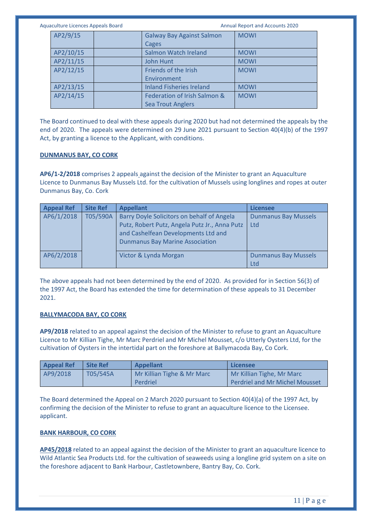Aquaculture Licences Appeals Board **Annual Report and Accounts 2020** Annual Report and Accounts 2020

| AP2/9/15  | <b>Galway Bay Against Salmon</b> | <b>MOWI</b> |
|-----------|----------------------------------|-------------|
|           | Cages                            |             |
| AP2/10/15 | Salmon Watch Ireland             | <b>MOWI</b> |
| AP2/11/15 | John Hunt                        | <b>MOWI</b> |
| AP2/12/15 | Friends of the Irish             | <b>MOWI</b> |
|           | Environment                      |             |
| AP2/13/15 | <b>Inland Fisheries Ireland</b>  | <b>MOWI</b> |
| AP2/14/15 | Federation of Irish Salmon &     | <b>MOWI</b> |
|           | <b>Sea Trout Anglers</b>         |             |

The Board continued to deal with these appeals during 2020 but had not determined the appeals by the end of 2020. The appeals were determined on 29 June 2021 pursuant to Section 40(4)(b) of the 1997 Act, by granting a licence to the Applicant, with conditions.

### **DUNMANUS BAY, CO CORK**

**AP6/1-2/2018** comprises 2 appeals against the decision of the Minister to grant an Aquaculture Licence to Dunmanus Bay Mussels Ltd. for the cultivation of Mussels using longlines and ropes at outer Dunmanus Bay, Co. Cork

| <b>Appeal Ref</b> | <b>Site Ref</b> | <b>Appellant</b>                              | <b>Licensee</b>             |
|-------------------|-----------------|-----------------------------------------------|-----------------------------|
| AP6/1/2018        | T05/590A        | Barry Doyle Solicitors on behalf of Angela    | <b>Dunmanus Bay Mussels</b> |
|                   |                 | Putz, Robert Putz, Angela Putz Jr., Anna Putz | Ltd                         |
|                   |                 | and Cashelfean Developments Ltd and           |                             |
|                   |                 | <b>Dunmanus Bay Marine Association</b>        |                             |
| AP6/2/2018        |                 | Victor & Lynda Morgan                         | <b>Dunmanus Bay Mussels</b> |
|                   |                 |                                               | Ltd                         |

The above appeals had not been determined by the end of 2020. As provided for in Section 56(3) of the 1997 Act, the Board has extended the time for determination of these appeals to 31 December 2021.

### **BALLYMACODA BAY, CO CORK**

**AP9/2018** related to an appeal against the decision of the Minister to refuse to grant an Aquaculture Licence to Mr Killian Tighe, Mr Marc Perdriel and Mr Michel Mousset, c/o Utterly Oysters Ltd, for the cultivation of Oysters in the intertidal part on the foreshore at Ballymacoda Bay, Co Cork.

| <b>Appeal Ref</b> | <b>Site Ref</b> | Appellant                  | Licensee                              |
|-------------------|-----------------|----------------------------|---------------------------------------|
| AP9/2018          | T05/545A        | Mr Killian Tighe & Mr Marc | Mr Killian Tighe, Mr Marc             |
|                   |                 | Perdriel                   | <b>Perdriel and Mr Michel Mousset</b> |

The Board determined the Appeal on 2 March 2020 pursuant to Section 40(4)(a) of the 1997 Act, by confirming the decision of the Minister to refuse to grant an aquaculture licence to the Licensee. applicant.

#### **BANK HARBOUR, CO CORK**

**AP45/2018** related to an appeal against the decision of the Minister to grant an aquaculture licence to Wild Atlantic Sea Products Ltd. for the cultivation of seaweeds using a longline grid system on a site on the foreshore adjacent to Bank Harbour, Castletownbere, Bantry Bay, Co. Cork.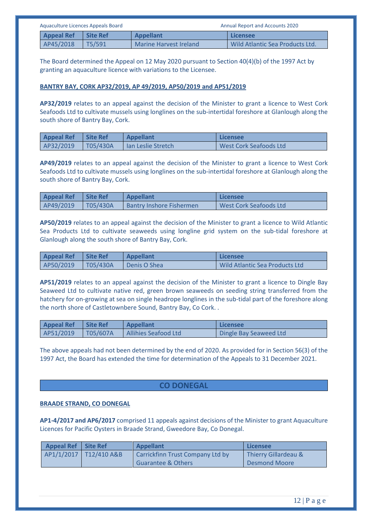| Aquaculture Licences Appeals Board |                 | <b>Annual Report and Accounts 2020</b> |                                 |
|------------------------------------|-----------------|----------------------------------------|---------------------------------|
| <b>Appeal Ref</b>                  | <b>Site Ref</b> | <b>Appellant</b>                       | Licensee                        |
| AP45/2018                          | T5/591          | Marine Harvest Ireland                 | Wild Atlantic Sea Products Ltd. |

The Board determined the Appeal on 12 May 2020 pursuant to Section 40(4)(b) of the 1997 Act by granting an aquaculture licence with variations to the Licensee.

### **BANTRY BAY, CORK AP32/2019, AP 49/2019, AP50/2019 and AP51/2019**

**AP32/2019** relates to an appeal against the decision of the Minister to grant a licence to West Cork Seafoods Ltd to cultivate mussels using longlines on the sub-intertidal foreshore at Glanlough along the south shore of Bantry Bay, Cork.

| <b>Appeal Ref</b> | <b>Site Ref</b> | <b>Appellant</b>          | Licensee                      |
|-------------------|-----------------|---------------------------|-------------------------------|
| AP32/2019         | TO5/430A        | <b>Ian Leslie Stretch</b> | <b>West Cork Seafoods Ltd</b> |

**AP49/2019** relates to an appeal against the decision of the Minister to grant a licence to West Cork Seafoods Ltd to cultivate mussels using longlines on the sub-intertidal foreshore at Glanlough along the south shore of Bantry Bay, Cork.

| <b>Appeal Ref</b> | <b>Site Ref</b> | <b>Appellant</b>                | Licensee                      |
|-------------------|-----------------|---------------------------------|-------------------------------|
| AP49/2019         | T05/430A        | <b>Bantry Inshore Fishermen</b> | <b>West Cork Seafoods Ltd</b> |

**AP50/2019** relates to an appeal against the decision of the Minister to grant a licence to Wild Atlantic Sea Products Ltd to cultivate seaweeds using longline grid system on the sub-tidal foreshore at Glanlough along the south shore of Bantry Bay, Cork.

| Appeal Ref Site Ref |          | <b>Appellant</b> | Licensee                              |
|---------------------|----------|------------------|---------------------------------------|
| AP50/2019           | T05/430A | Denis O Shea     | <b>Wild Atlantic Sea Products Ltd</b> |

**AP51/2019** relates to an appeal against the decision of the Minister to grant a licence to Dingle Bay Seaweed Ltd to cultivate native red, green brown seaweeds on seeding string transferred from the hatchery for on-growing at sea on single headrope longlines in the sub-tidal part of the foreshore along the north shore of Castletownbere Sound, Bantry Bay, Co Cork. .

| <b>Appeal Ref</b> | <b>Site Ref</b> | <b>Appellant</b>            | Licensee               |
|-------------------|-----------------|-----------------------------|------------------------|
| AP51/2019         | T05/607A        | <b>Allihies Seafood Ltd</b> | Dingle Bay Seaweed Ltd |

The above appeals had not been determined by the end of 2020. As provided for in Section 56(3) of the 1997 Act, the Board has extended the time for determination of the Appeals to 31 December 2021.

# **CO DONEGAL**

### **BRAADE STRAND, CO DONEGAL**

**AP1-4/2017 and AP6/2017** comprised 11 appeals against decisions of the Minister to grant Aquaculture Licences for Pacific Oysters in Braade Strand, Gweedore Bay, Co Donegal.

| <b>Appeal Ref</b> | <b>Site Ref</b>          | <b>Appellant</b>                 | Licensee             |
|-------------------|--------------------------|----------------------------------|----------------------|
|                   | AP1/1/2017   T12/410 A&B | Carrickfinn Trust Company Ltd by | Thierry Gillardeau & |
|                   |                          | Guarantee & Others               | Desmond Moore        |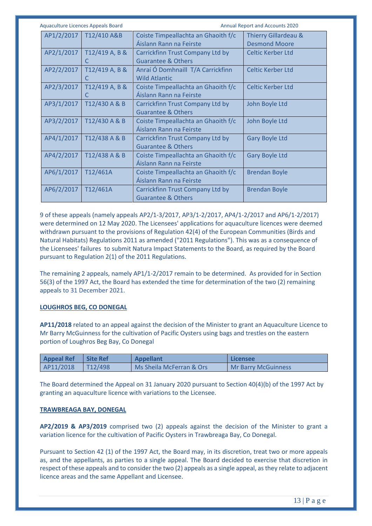| <b>Aquaculture Licences Appeals Board</b> |                                                                   | Annual Report and Accounts 2020              |
|-------------------------------------------|-------------------------------------------------------------------|----------------------------------------------|
| AP1/2/2017<br>T12/410 A&B                 | Coiste Timpeallachta an Ghaoith f/c<br>Áislann Rann na Feirste    | Thierry Gillardeau &<br><b>Desmond Moore</b> |
| AP2/1/2017<br>T12/419 A, B &<br>C         | Carrickfinn Trust Company Ltd by<br><b>Guarantee &amp; Others</b> | Celtic Kerber Ltd                            |
| AP2/2/2017<br>T12/419 A, B &<br>C         | Anraí Ó Domhnaill T/A Carrickfinn<br><b>Wild Atlantic</b>         | <b>Celtic Kerber Ltd</b>                     |
| AP2/3/2017<br>T12/419 A, B &<br>C         | Coiste Timpeallachta an Ghaoith f/c<br>Áislann Rann na Feirste    | Celtic Kerber Ltd                            |
| AP3/1/2017<br>T12/430 A & B               | Carrickfinn Trust Company Ltd by<br><b>Guarantee &amp; Others</b> | John Boyle Ltd                               |
| AP3/2/2017<br>T12/430 A & B               | Coiste Timpeallachta an Ghaoith f/c<br>Áislann Rann na Feirste    | John Boyle Ltd                               |
| AP4/1/2017<br>T12/438 A & B               | Carrickfinn Trust Company Ltd by<br><b>Guarantee &amp; Others</b> | <b>Gary Boyle Ltd</b>                        |
| AP4/2/2017<br>T12/438 A & B               | Coiste Timpeallachta an Ghaoith f/c<br>Áislann Rann na Feirste    | <b>Gary Boyle Ltd</b>                        |
| AP6/1/2017<br>T12/461A                    | Coiste Timpeallachta an Ghaoith f/c<br>Aislann Rann na Feirste    | <b>Brendan Boyle</b>                         |
| AP6/2/2017<br>T12/461A                    | Carrickfinn Trust Company Ltd by<br><b>Guarantee &amp; Others</b> | <b>Brendan Boyle</b>                         |

9 of these appeals (namely appeals AP2/1-3/2017, AP3/1-2/2017, AP4/1-2/2017 and AP6/1-2/2017) were determined on 12 May 2020. The Licensees' applications for aquaculture licences were deemed withdrawn pursuant to the provisions of Regulation 42(4) of the European Communities (Birds and Natural Habitats) Regulations 2011 as amended ("2011 Regulations"). This was as a consequence of the Licensees' failures to submit Natura Impact Statements to the Board, as required by the Board pursuant to Regulation 2(1) of the 2011 Regulations.

The remaining 2 appeals, namely AP1/1-2/2017 remain to be determined. As provided for in Section 56(3) of the 1997 Act, the Board has extended the time for determination of the two (2) remaining appeals to 31 December 2021.

### **LOUGHROS BEG, CO DONEGAL**

**AP11/2018** related to an appeal against the decision of the Minister to grant an Aquaculture Licence to Mr Barry McGuinness for the cultivation of Pacific Oysters using bags and trestles on the eastern portion of Loughros Beg Bay, Co Donegal

| <b>Appeal Ref</b> | <b>Site Ref</b>      | <b>Appellant</b>         | Licensee                   |
|-------------------|----------------------|--------------------------|----------------------------|
| AP11/2018         | T <sub>12</sub> /498 | Ms Sheila McFerran & Ors | <b>Mr Barry McGuinness</b> |

The Board determined the Appeal on 31 January 2020 pursuant to Section 40(4)(b) of the 1997 Act by granting an aquaculture licence with variations to the Licensee.

#### **TRAWBREAGA BAY, DONEGAL**

**AP2/2019 & AP3/2019** comprised two (2) appeals against the decision of the Minister to grant a variation licence for the cultivation of Pacific Oysters in Trawbreaga Bay, Co Donegal.

Pursuant to Section 42 (1) of the 1997 Act, the Board may, in its discretion, treat two or more appeals as, and the appellants, as parties to a single appeal. The Board decided to exercise that discretion in respect of these appeals and to consider the two (2) appeals as a single appeal, as they relate to adjacent licence areas and the same Appellant and Licensee.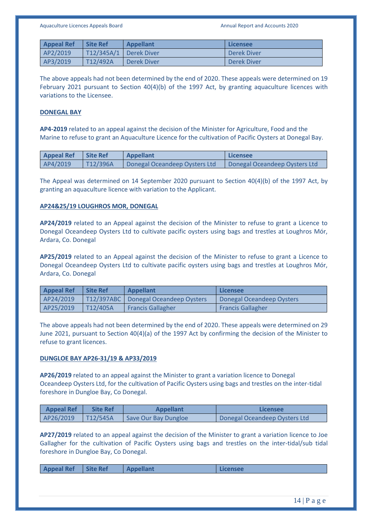| <b>Appeal Ref</b> | Site Ref                 | <b>Appellant</b> | Licensee    |
|-------------------|--------------------------|------------------|-------------|
| AP2/2019          | T12/345A/1   Derek Diver |                  | Derek Diver |
| AP3/2019          | T12/492A                 | Derek Diver      | Derek Diver |

The above appeals had not been determined by the end of 2020. These appeals were determined on 19 February 2021 pursuant to Section 40(4)(b) of the 1997 Act, by granting aquaculture licences with variations to the Licensee.

#### **DONEGAL BAY**

**AP4-2019** related to an appeal against the decision of the Minister for Agriculture, Food and the Marine to refuse to grant an Aquaculture Licence for the cultivation of Pacific Oysters at Donegal Bay.

| <b>Appeal Ref</b> | <b>Site Ref</b> | <b>Appellant</b>              | Licensee                      |
|-------------------|-----------------|-------------------------------|-------------------------------|
| AP4/2019          | T12/396A        | Donegal Oceandeep Oysters Ltd | Donegal Oceandeep Oysters Ltd |

The Appeal was determined on 14 September 2020 pursuant to Section 40(4)(b) of the 1997 Act, by granting an aquaculture licence with variation to the Applicant.

### **AP24&25/19 LOUGHROS MOR, DONEGAL**

**AP24/2019** related to an Appeal against the decision of the Minister to refuse to grant a Licence to Donegal Oceandeep Oysters Ltd to cultivate pacific oysters using bags and trestles at Loughros Mór, Ardara, Co. Donegal

**AP25/2019** related to an Appeal against the decision of the Minister to refuse to grant a Licence to Donegal Oceandeep Oysters Ltd to cultivate pacific oysters using bags and trestles at Loughros Mór, Ardara, Co. Donegal

| <b>Appeal Ref</b> | <b>Site Ref</b> | <b>Appellant</b>                       | Licensee                  |
|-------------------|-----------------|----------------------------------------|---------------------------|
| AP24/2019         |                 | T12/397ABC   Donegal Oceandeep Oysters | Donegal Oceandeep Oysters |
| AP25/2019         | T12/405A        | <b>Francis Gallagher</b>               | <b>Francis Gallagher</b>  |

The above appeals had not been determined by the end of 2020. These appeals were determined on 29 June 2021, pursuant to Section 40(4)(a) of the 1997 Act by confirming the decision of the Minister to refuse to grant licences.

### **DUNGLOE BAY AP26-31/19 & AP33/2019**

**AP26/2019** related to an appeal against the Minister to grant a variation licence to Donegal Oceandeep Oysters Ltd, for the cultivation of Pacific Oysters using bags and trestles on the inter-tidal foreshore in Dungloe Bay, Co Donegal.

| <b>Appeal Ref</b> | <b>Site Ref</b> | <b>Appellant</b>     | Licensee                      |
|-------------------|-----------------|----------------------|-------------------------------|
| AP26/2019         | T12/545A        | Save Our Bay Dungloe | Donegal Oceandeep Oysters Ltd |

**AP27/2019** related to an appeal against the decision of the Minister to grant a variation licence to Joe Gallagher for the cultivation of Pacific Oysters using bags and trestles on the inter-tidal/sub tidal foreshore in Dungloe Bay, Co Donegal.

|  |  | <b>Appeal Ref</b> | Site Ref | Appellant | Licensee |
|--|--|-------------------|----------|-----------|----------|
|--|--|-------------------|----------|-----------|----------|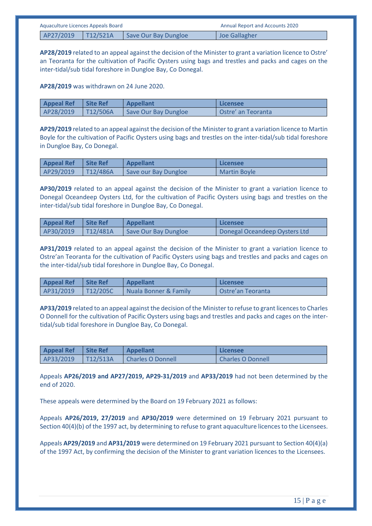| Aquaculture Licences Appeals Board |          |                      | <b>Annual Report and Accounts 2020</b> |
|------------------------------------|----------|----------------------|----------------------------------------|
| AP27/2019                          | T12/521A | Save Our Bay Dungloe | <b>Joe Gallagher</b>                   |

**AP28/2019** related to an appeal against the decision of the Minister to grant a variation licence to Ostre' an Teoranta for the cultivation of Pacific Oysters using bags and trestles and packs and cages on the inter-tidal/sub tidal foreshore in Dungloe Bay, Co Donegal.

**AP28/2019** was withdrawn on 24 June 2020.

| <b>Appeal Ref</b> | Site Ref | Appellant            | <b>Licensee</b>           |
|-------------------|----------|----------------------|---------------------------|
| AP28/2019         | T12/506A | Save Our Bay Dungloe | <b>Ostre' an Teoranta</b> |

**AP29/2019** related to an appeal against the decision of the Minister to grant a variation licence to Martin Boyle for the cultivation of Pacific Oysters using bags and trestles on the inter-tidal/sub tidal foreshore in Dungloe Bay, Co Donegal.

| <b>Appeal Ref</b> | <b>Site Ref</b> | <b>Appellant</b>     | Licensee            |
|-------------------|-----------------|----------------------|---------------------|
| AP29/2019         | T12/486A        | Save our Bay Dungloe | <b>Martin Boyle</b> |

**AP30/2019** related to an appeal against the decision of the Minister to grant a variation licence to Donegal Oceandeep Oysters Ltd, for the cultivation of Pacific Oysters using bags and trestles on the inter-tidal/sub tidal foreshore in Dungloe Bay, Co Donegal.

| <b>Appeal Ref</b> | Site Ref  | <b>Appellant</b>     | Licensee                      |
|-------------------|-----------|----------------------|-------------------------------|
| AP30/2019         | TT12/481A | Save Our Bay Dungloe | Donegal Oceandeep Oysters Ltd |

**AP31/2019** related to an appeal against the decision of the Minister to grant a variation licence to Ostre'an Teoranta for the cultivation of Pacific Oysters using bags and trestles and packs and cages on the inter-tidal/sub tidal foreshore in Dungloe Bay, Co Donegal.

| <b>Appeal Ref</b> | Site Ref | Appellant                        | Licensee            |
|-------------------|----------|----------------------------------|---------------------|
| AP31/2019         | T12/205C | <b>Nuala Bonner &amp; Family</b> | l Ostre'an Teoranta |

**AP33/2019** related to an appeal against the decision of the Minister to refuse to grant licences to Charles O Donnell for the cultivation of Pacific Oysters using bags and trestles and packs and cages on the intertidal/sub tidal foreshore in Dungloe Bay, Co Donegal.

| <b>Appeal Ref</b> | <b>Site Ref</b>       | <b>Appellant</b>  | Licensee                 |
|-------------------|-----------------------|-------------------|--------------------------|
| AP33/2019         | $\overline{112/513A}$ | Charles O Donnell | <b>Charles O Donnell</b> |

Appeals **AP26/2019 and AP27/2019, AP29-31/2019** and **AP33/2019** had not been determined by the end of 2020.

These appeals were determined by the Board on 19 February 2021 as follows:

Appeals **AP26/2019, 27/2019** and **AP30/2019** were determined on 19 February 2021 pursuant to Section 40(4)(b) of the 1997 act, by determining to refuse to grant aquaculture licences to the Licensees.

Appeals **AP29/2019** and **AP31/2019** were determined on 19 February 2021 pursuant to Section 40(4)(a) of the 1997 Act, by confirming the decision of the Minister to grant variation licences to the Licensees.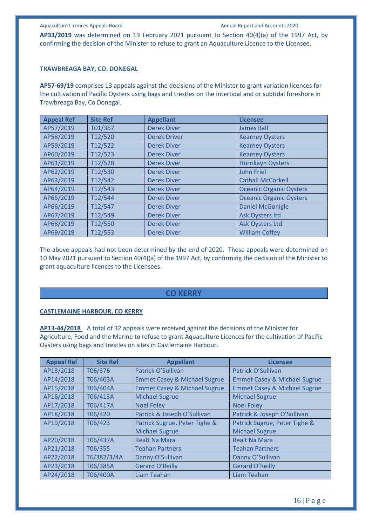**AP33/2019** was determined on 19 February 2021 pursuant to Section 40(4)(a) of the 1997 Act, by confirming the decision of the Minister to refuse to grant an Aquaculture Licence to the Licensee.

#### **TRAWBREAGA BAY, CO. DONEGAL**

**AP57-69/19** comprises 13 appeals against the decisions of the Minister to grant variation licences for the cultivation of Pacific Oysters using bags and trestles on the intertidal and or subtidal foreshore in Trawbreaga Bay, Co Donegal.

| <b>Appeal Ref</b> | <b>Site Ref</b> | <b>Appellant</b>    | <b>Licensee</b>                |
|-------------------|-----------------|---------------------|--------------------------------|
| AP57/2019         | T01/367         | <b>Derek Diver</b>  | James Ball                     |
| AP58/2019         | T12/520         | <b>Derek Driver</b> | <b>Kearney Oysters</b>         |
| AP59/2019         | T12/522         | <b>Derek Diver</b>  | <b>Kearney Oysters</b>         |
| AP60/2019         | T12/523         | <b>Derek Diver</b>  | <b>Kearney Oysters</b>         |
| AP61/2019         | T12/528         | <b>Derek Diver</b>  | <b>Hurrikayn Oysters</b>       |
| AP62/2019         | T12/530         | <b>Derek Diver</b>  | <b>John Friel</b>              |
| AP63/2019         | T12/542         | <b>Derek Diver</b>  | <b>Cathall McCorkell</b>       |
| AP64/2019         | T12/543         | <b>Derek Diver</b>  | <b>Oceanic Organic Oysters</b> |
| AP65/2019         | T12/544         | <b>Derek Diver</b>  | <b>Oceanic Organic Oysters</b> |
| AP66/2019         | T12/547         | <b>Derek Diver</b>  | <b>Daniel McGonigle</b>        |
| AP67/2019         | T12/549         | <b>Derek Diver</b>  | <b>Ask Oysters Itd</b>         |
| AP68/2019         | T12/550         | <b>Derek Diver</b>  | <b>Ask Oysters Ltd</b>         |
| AP69/2019         | T12/553         | <b>Derek Diver</b>  | <b>William Coffey</b>          |

The above appeals had not been determined by the end of 2020. These appeals were determined on 10 May 2021 pursuant to Section 40(4)(a) of the 1997 Act, by confirming the decision of the Minister to grant aquaculture licences to the Licensees.

### **CO KERRY**

#### **CASTLEMAINE HARBOUR, CO KERRY**

**AP13-44/2018** A total of 32 appeals were received against the decisions of the Minister for Agriculture, Food and the Marine to refuse to grant Aquaculture Licences for the cultivation of Pacific Oysters using bags and trestles on sites in Castlemaine Harbour.

| <b>Appeal Ref</b> | <b>Site Ref</b> | <b>Appellant</b>                        | <b>Licensee</b>                         |
|-------------------|-----------------|-----------------------------------------|-----------------------------------------|
| AP13/2018         | T06/376         | Patrick O'Sullivan                      | Patrick O'Sullivan                      |
| AP14/2018         | T06/403A        | <b>Emmet Casey &amp; Michael Sugrue</b> | <b>Emmet Casey &amp; Michael Sugrue</b> |
| AP15/2018         | T06/404A        | <b>Emmet Casey &amp; Michael Sugrue</b> | <b>Emmet Casey &amp; Michael Sugrue</b> |
| AP16/2018         | T06/413A        | <b>Michael Sugrue</b>                   | <b>Michael Sugrue</b>                   |
| AP17/2018         | T06/417A        | <b>Noel Foley</b>                       | <b>Noel Foley</b>                       |
| AP18/2018         | T06/420         | Patrick & Joseph O'Sullivan             | Patrick & Joseph O'Sullivan             |
| AP19/2018         | T06/423         | Patrick Sugrue, Peter Tighe &           | Patrick Sugrue, Peter Tighe &           |
|                   |                 | <b>Michael Sugrue</b>                   | <b>Michael Sugrue</b>                   |
| AP20/2018         | T06/437A        | <b>Realt Na Mara</b>                    | <b>Realt Na Mara</b>                    |
| AP21/2018         | T06/355         | <b>Teahan Partners</b>                  | <b>Teahan Partners</b>                  |
| AP22/2018         | T6/382/3/4A     | Danny O'Sullivan                        | Danny O'Sullivan                        |
| AP23/2018         | T06/385A        | <b>Gerard O'Reilly</b>                  | <b>Gerard O'Reilly</b>                  |
| AP24/2018         | T06/400A        | Liam Teahan                             | <b>Liam Teahan</b>                      |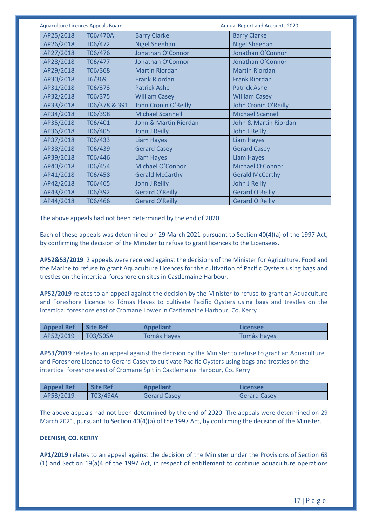| <b>Aquaculture Licences Appeals Board</b> |               |                         | Annual Report and Accounts 2020 |
|-------------------------------------------|---------------|-------------------------|---------------------------------|
| AP25/2018                                 | T06/470A      | <b>Barry Clarke</b>     | <b>Barry Clarke</b>             |
| AP26/2018                                 | T06/472       | <b>Nigel Sheehan</b>    | <b>Nigel Sheehan</b>            |
| AP27/2018                                 | T06/476       | Jonathan O'Connor       | Jonathan O'Connor               |
| AP28/2018                                 | T06/477       | Jonathan O'Connor       | Jonathan O'Connor               |
| AP29/2018                                 | T06/368       | <b>Martin Riordan</b>   | <b>Martin Riordan</b>           |
| AP30/2018                                 | T6/369        | <b>Frank Riordan</b>    | <b>Frank Riordan</b>            |
| AP31/2018                                 | T06/373       | <b>Patrick Ashe</b>     | <b>Patrick Ashe</b>             |
| AP32/2018                                 | T06/375       | <b>William Casey</b>    | <b>William Casey</b>            |
| AP33/2018                                 | T06/378 & 391 | John Cronin O'Reilly    | John Cronin O'Reilly            |
| AP34/2018                                 | T06/398       | <b>Michael Scannell</b> | <b>Michael Scannell</b>         |
| AP35/2018                                 | T06/401       | John & Martin Riordan   | John & Martin Riordan           |
| AP36/2018                                 | T06/405       | John J Reilly           | John J Reilly                   |
| AP37/2018                                 | T06/433       | <b>Liam Hayes</b>       | <b>Liam Hayes</b>               |
| AP38/2018                                 | T06/439       | <b>Gerard Casey</b>     | <b>Gerard Casey</b>             |
| AP39/2018                                 | T06/446       | <b>Liam Hayes</b>       | <b>Liam Hayes</b>               |
| AP40/2018                                 | T06/454       | Michael O'Connor        | Michael O'Connor                |
| AP41/2018                                 | T06/458       | <b>Gerald McCarthy</b>  | <b>Gerald McCarthy</b>          |
| AP42/2018                                 | T06/465       | John J Reilly           | John J Reilly                   |
| AP43/2018                                 | T06/392       | <b>Gerard O'Reilly</b>  | <b>Gerard O'Reilly</b>          |
| AP44/2018                                 | T06/466       | <b>Gerard O'Reilly</b>  | <b>Gerard O'Reilly</b>          |

The above appeals had not been determined by the end of 2020.

Each of these appeals was determined on 29 March 2021 pursuant to Section 40(4)(a) of the 1997 Act, by confirming the decision of the Minister to refuse to grant licences to the Licensees.

**AP52&53/2019** 2 appeals were received against the decisions of the Minister for Agriculture, Food and the Marine to refuse to grant Aquaculture Licences for the cultivation of Pacific Oysters using bags and trestles on the intertidal foreshore on sites in Castlemaine Harbour.

**AP52/2019** relates to an appeal against the decision by the Minister to refuse to grant an Aquaculture and Foreshore Licence to Tómas Hayes to cultivate Pacific Oysters using bags and trestles on the intertidal foreshore east of Cromane Lower in Castlemaine Harbour, Co. Kerry

| <b>Appeal Ref</b> | <b>Site Ref</b>  | Appellant          | Licensee    |
|-------------------|------------------|--------------------|-------------|
| AP52/2019         | $\vert$ T03/505A | <b>Tomás Hayes</b> | Tomás Hayes |

**AP53/2019** relates to an appeal against the decision by the Minister to refuse to grant an Aquaculture and Foreshore Licence to Gerard Casey to cultivate Pacific Oysters using bags and trestles on the intertidal foreshore east of Cromane Spit in Castlemaine Harbour, Co. Kerry

| <b>Appeal Ref</b> | <b>Site Ref</b> | <b>Appellant</b>    | Licensee            |
|-------------------|-----------------|---------------------|---------------------|
| AP53/2019         | T03/494A        | <b>Gerard Casev</b> | <b>Gerard Casev</b> |

The above appeals had not been determined by the end of 2020. The appeals were determined on 29 March 2021, pursuant to Section 40(4)(a) of the 1997 Act, by confirming the decision of the Minister.

### **DEENISH, CO. KERRY**

**AP1/2019** relates to an appeal against the decision of the Minister under the Provisions of Section 68 (1) and Section 19(a)4 of the 1997 Act, in respect of entitlement to continue aquaculture operations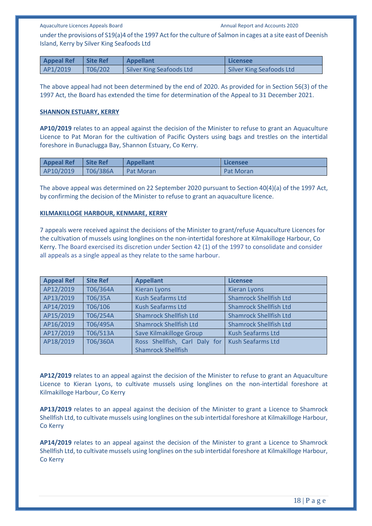under the provisions of S19(a)4 of the 1997 Act for the culture of Salmon in cages at a site east of Deenish Island, Kerry by Silver King Seafoods Ltd

| <b>Appeal Ref</b> | <b>Site Ref</b> | <b>Appellant</b>         | Licensee                        |
|-------------------|-----------------|--------------------------|---------------------------------|
| AP1/2019          | T06/202         | Silver King Seafoods Ltd | <b>Silver King Seafoods Ltd</b> |

The above appeal had not been determined by the end of 2020. As provided for in Section 56(3) of the 1997 Act, the Board has extended the time for determination of the Appeal to 31 December 2021.

#### **SHANNON ESTUARY, KERRY**

**AP10/2019** relates to an appeal against the decision of the Minister to refuse to grant an Aquaculture Licence to Pat Moran for the cultivation of Pacific Oysters using bags and trestles on the intertidal foreshore in Bunaclugga Bay, Shannon Estuary, Co Kerry.

| <b>Appeal Ref</b> | <b>Site Ref</b> | <b>Appellant</b> | l Licensee       |
|-------------------|-----------------|------------------|------------------|
| AP10/2019         | T06/386A        | <b>Pat Moran</b> | <b>Pat Moran</b> |

The above appeal was determined on 22 September 2020 pursuant to Section 40(4)(a) of the 1997 Act, by confirming the decision of the Minister to refuse to grant an aquaculture licence.

#### **KILMAKILLOGE HARBOUR, KENMARE, KERRY**

7 appeals were received against the decisions of the Minister to grant/refuse Aquaculture Licences for the cultivation of mussels using longlines on the non-intertidal foreshore at Kilmakilloge Harbour, Co Kerry. The Board exercised its discretion under Section 42 (1) of the 1997 to consolidate and consider all appeals as a single appeal as they relate to the same harbour.

| <b>Appeal Ref</b> | <b>Site Ref</b> | <b>Appellant</b>              | <b>Licensee</b>               |
|-------------------|-----------------|-------------------------------|-------------------------------|
| AP12/2019         | T06/364A        | <b>Kieran Lyons</b>           | <b>Kieran Lyons</b>           |
| AP13/2019         | T06/35A         | <b>Kush Seafarms Ltd</b>      | <b>Shamrock Shellfish Ltd</b> |
| AP14/2019         | T06/106         | <b>Kush Seafarms Ltd</b>      | <b>Shamrock Shellfish Ltd</b> |
| AP15/2019         | T06/254A        | <b>Shamrock Shellfish Ltd</b> | <b>Shamrock Shellfish Ltd</b> |
| AP16/2019         | T06/495A        | <b>Shamrock Shellfish Ltd</b> | <b>Shamrock Shellfish Ltd</b> |
| AP17/2019         | T06/513A        | Save Kilmakilloge Group       | <b>Kush Seafarms Ltd</b>      |
| AP18/2019         | T06/360A        | Ross Shellfish, Carl Daly for | <b>Kush Seafarms Ltd</b>      |
|                   |                 | <b>Shamrock Shellfish</b>     |                               |

**AP12/2019** relates to an appeal against the decision of the Minister to refuse to grant an Aquaculture Licence to Kieran Lyons, to cultivate mussels using longlines on the non-intertidal foreshore at Kilmakilloge Harbour, Co Kerry

**AP13/2019** relates to an appeal against the decision of the Minister to grant a Licence to Shamrock Shellfish Ltd, to cultivate mussels using longlines on the sub intertidal foreshore at Kilmakilloge Harbour, Co Kerry

**AP14/2019** relates to an appeal against the decision of the Minister to grant a Licence to Shamrock Shellfish Ltd, to cultivate mussels using longlines on the sub intertidal foreshore at Kilmakilloge Harbour, Co Kerry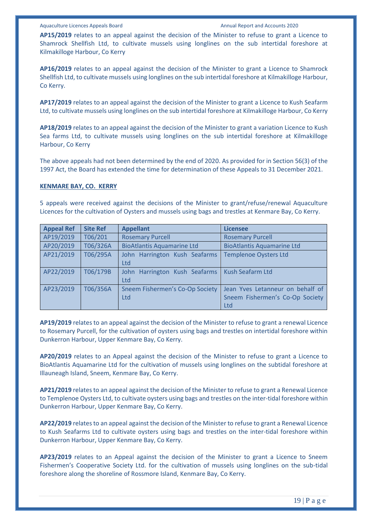**AP15/2019** relates to an appeal against the decision of the Minister to refuse to grant a Licence to Shamrock Shellfish Ltd, to cultivate mussels using longlines on the sub intertidal foreshore at Kilmakilloge Harbour, Co Kerry

**AP16/2019** relates to an appeal against the decision of the Minister to grant a Licence to Shamrock Shellfish Ltd, to cultivate mussels using longlines on the sub intertidal foreshore at Kilmakilloge Harbour, Co Kerry.

**AP17/2019** relates to an appeal against the decision of the Minister to grant a Licence to Kush Seafarm Ltd, to cultivate mussels using longlines on the sub intertidal foreshore at Kilmakilloge Harbour, Co Kerry

**AP18/2019** relates to an appeal against the decision of the Minister to grant a variation Licence to Kush Sea farms Ltd, to cultivate mussels using longlines on the sub intertidal foreshore at Kilmakilloge Harbour, Co Kerry

The above appeals had not been determined by the end of 2020. As provided for in Section 56(3) of the 1997 Act, the Board has extended the time for determination of these Appeals to 31 December 2021.

#### **KENMARE BAY, CO. KERRY**

5 appeals were received against the decisions of the Minister to grant/refuse/renewal Aquaculture Licences for the cultivation of Oysters and mussels using bags and trestles at Kenmare Bay, Co Kerry.

| <b>Appeal Ref</b> | <b>Site Ref</b> | <b>Appellant</b>                       | <b>Licensee</b>                                                                   |
|-------------------|-----------------|----------------------------------------|-----------------------------------------------------------------------------------|
| AP19/2019         | T06/201         | <b>Rosemary Purcell</b>                | <b>Rosemary Purcell</b>                                                           |
| AP20/2019         | T06/326A        | <b>BioAtlantis Aquamarine Ltd</b>      | <b>BioAtlantis Aquamarine Ltd</b>                                                 |
| AP21/2019         | T06/295A        | John Harrington Kush Seafarms<br>Ltd   | <b>Templenoe Oysters Ltd</b>                                                      |
| AP22/2019         | T06/179B        | John Harrington Kush Seafarms<br>Ltd   | <b>Kush Seafarm Ltd</b>                                                           |
| AP23/2019         | T06/356A        | Sneem Fishermen's Co-Op Society<br>Ltd | Jean Yves Letanneur on behalf of<br>Sneem Fishermen's Co-Op Society<br><b>Ltd</b> |

**AP19/2019** relates to an appeal against the decision of the Minister to refuse to grant a renewal Licence to Rosemary Purcell, for the cultivation of oysters using bags and trestles on intertidal foreshore within Dunkerron Harbour, Upper Kenmare Bay, Co Kerry.

**AP20/2019** relates to an Appeal against the decision of the Minister to refuse to grant a Licence to BioAtlantis Aquamarine Ltd for the cultivation of mussels using longlines on the subtidal foreshore at Illauneagh Island, Sneem, Kenmare Bay, Co Kerry.

**AP21/2019** relates to an appeal against the decision of the Minister to refuse to grant a Renewal Licence to Templenoe Oysters Ltd, to cultivate oysters using bags and trestles on the inter-tidal foreshore within Dunkerron Harbour, Upper Kenmare Bay, Co Kerry.

**AP22/2019** relates to an appeal against the decision of the Minister to refuse to grant a Renewal Licence to Kush Seafarms Ltd to cultivate oysters using bags and trestles on the inter-tidal foreshore within Dunkerron Harbour, Upper Kenmare Bay, Co Kerry.

**AP23/2019** relates to an Appeal against the decision of the Minister to grant a Licence to Sneem Fishermen's Cooperative Society Ltd. for the cultivation of mussels using longlines on the sub-tidal foreshore along the shoreline of Rossmore Island, Kenmare Bay, Co Kerry.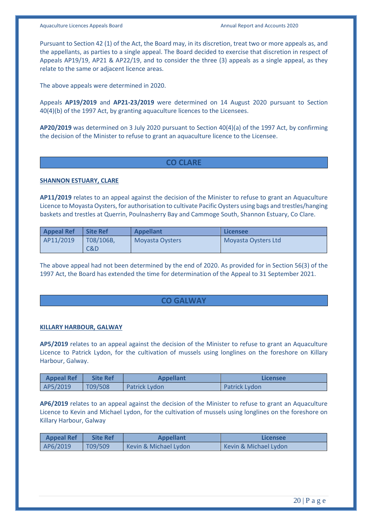Pursuant to Section 42 (1) of the Act, the Board may, in its discretion, treat two or more appeals as, and the appellants, as parties to a single appeal. The Board decided to exercise that discretion in respect of Appeals AP19/19, AP21 & AP22/19, and to consider the three (3) appeals as a single appeal, as they relate to the same or adjacent licence areas.

The above appeals were determined in 2020.

Appeals **AP19/2019** and **AP21-23/2019** were determined on 14 August 2020 pursuant to Section 40(4)(b) of the 1997 Act, by granting aquaculture licences to the Licensees.

**AP20/2019** was determined on 3 July 2020 pursuant to Section 40(4)(a) of the 1997 Act, by confirming the decision of the Minister to refuse to grant an aquaculture licence to the Licensee.

# **CO CLARE**

# **SHANNON ESTUARY, CLARE**

**AP11/2019** relates to an appeal against the decision of the Minister to refuse to grant an Aquaculture Licence to Moyasta Oysters, for authorisation to cultivate Pacific Oysters using bags and trestles/hanging baskets and trestles at Querrin, Poulnasherry Bay and Cammoge South, Shannon Estuary, Co Clare.

| <b>Appeal Ref</b> | <b>Site Ref</b> | <b>Appellant</b>       | l Licensee          |
|-------------------|-----------------|------------------------|---------------------|
| AP11/2019         | T08/106B,       | <b>Moyasta Oysters</b> | Moyasta Oysters Ltd |
|                   | C&D             |                        |                     |

The above appeal had not been determined by the end of 2020. As provided for in Section 56(3) of the 1997 Act, the Board has extended the time for determination of the Appeal to 31 September 2021.

# **CO GALWAY**

#### **KILLARY HARBOUR, GALWAY**

**AP5/2019** relates to an appeal against the decision of the Minister to refuse to grant an Aquaculture Licence to Patrick Lydon, for the cultivation of mussels using longlines on the foreshore on Killary Harbour, Galway.

| <b>Appeal Ref</b> | <b>Site Ref</b> | <b>Appellant</b>     | Licensee             |
|-------------------|-----------------|----------------------|----------------------|
| AP5/2019          | T09/508         | <b>Patrick Lydon</b> | <b>Patrick Lydon</b> |

**AP6/2019** relates to an appeal against the decision of the Minister to refuse to grant an Aquaculture Licence to Kevin and Michael Lydon, for the cultivation of mussels using longlines on the foreshore on Killary Harbour, Galway

| <b>Appeal Ref</b> | <b>Site Ref</b> | <b>Appellant</b>      | Licensee              |
|-------------------|-----------------|-----------------------|-----------------------|
| AP6/2019          | T09/509         | Kevin & Michael Lydon | Kevin & Michael Lydon |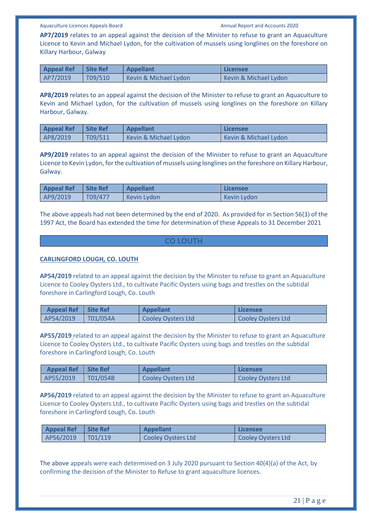**AP7/2019** relates to an appeal against the decision of the Minister to refuse to grant an Aquaculture Licence to Kevin and Michael Lydon, for the cultivation of mussels using longlines on the foreshore on Killary Harbour, Galway

| <b>Appeal Ref</b> | <b>Site Ref</b> | <b>Appellant</b>      | Licensee              |
|-------------------|-----------------|-----------------------|-----------------------|
| AP7/2019          | T09/510         | Kevin & Michael Lydon | Kevin & Michael Lydon |

**AP8/2019** relates to an appeal against the decision of the Minister to refuse to grant an Aquaculture to Kevin and Michael Lydon, for the cultivation of mussels using longlines on the foreshore on Killary Harbour, Galway.

| <b>Appeal Ref</b> | Site Ref | <b>Appellant</b>      | Licensee              |
|-------------------|----------|-----------------------|-----------------------|
| AP8/2019          | T09/511  | Kevin & Michael Lydon | Kevin & Michael Lydon |

**AP9/2019** relates to an appeal against the decision of the Minister to refuse to grant an Aquaculture Licence to Kevin Lydon, for the cultivation of mussels using longlines on the foreshore on Killary Harbour, Galway.

| <b>Appeal Ref</b> | Site Ref | <b>Appellant</b> | Licensee    |
|-------------------|----------|------------------|-------------|
| AP9/2019          | T09/477  | Kevin Lydon      | Kevin Lydon |

The above appeals had not been determined by the end of 2020. As provided for in Section 56(3) of the 1997 Act, the Board has extended the time for determination of these Appeals to 31 December 2021

#### **CO LOUTH**

#### **CARLINGFORD LOUGH, CO. LOUTH**

**AP54/2019** related to an appeal against the decision by the Minister to refuse to grant an Aquaculture Licence to Cooley Oysters Ltd., to cultivate Pacific Oysters using bags and trestles on the subtidal foreshore in Carlingford Lough, Co. Louth

| Appeal Ref   Site Ref |                 | <b>Appellant</b>   | Licensee           |
|-----------------------|-----------------|--------------------|--------------------|
| AP54/2019             | $\mid$ T01/054A | Cooley Oysters Ltd | Cooley Oysters Ltd |

**AP55/2019** related to an appeal against the decision by the Minister to refuse to grant an Aquaculture Licence to Cooley Oysters Ltd., to cultivate Pacific Oysters using bags and trestles on the subtidal foreshore in Carlingford Lough, Co. Louth

| Appeal Ref   Site Ref |                 | <b>Appellant</b>   | Licensee           |
|-----------------------|-----------------|--------------------|--------------------|
| AP55/2019             | $\mid$ T01/054B | Cooley Oysters Ltd | Cooley Oysters Ltd |

**AP56/2019** related to an appeal against the decision by the Minister to refuse to grant an Aquaculture Licence to Cooley Oysters Ltd., to cultivate Pacific Oysters using bags and trestles on the subtidal foreshore in Carlingford Lough, Co. Louth

| Appeal Ref Site Ref | <b>Appellant</b>   | l Licensee         |
|---------------------|--------------------|--------------------|
| AP56/2019   T01/119 | Cooley Oysters Ltd | Cooley Oysters Ltd |

The above appeals were each determined on 3 July 2020 pursuant to Section 40(4)(a) of the Act, by confirming the decision of the Minister to Refuse to grant aquaculture licences.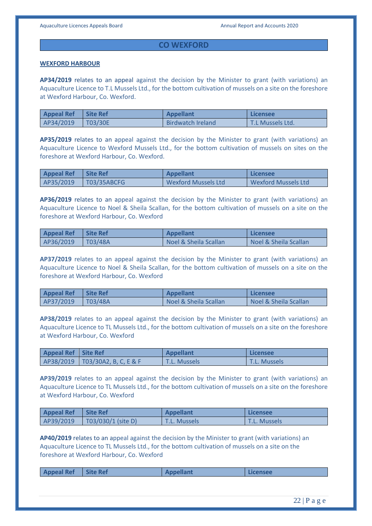# **CO WEXFORD**

#### **WEXFORD HARBOUR**

**AP34/2019** relates to an appeal against the decision by the Minister to grant (with variations) an Aquaculture Licence to T.L Mussels Ltd., for the bottom cultivation of mussels on a site on the foreshore at Wexford Harbour, Co. Wexford.

| <b>Appeal Ref</b> | Site Ref | <b>Appellant</b>         | Licensee         |
|-------------------|----------|--------------------------|------------------|
| AP34/2019         | T03/30E  | <b>Birdwatch Ireland</b> | T.L Mussels Ltd. |

**AP35/2019** relates to an appeal against the decision by the Minister to grant (with variations) an Aquaculture Licence to Wexford Mussels Ltd., for the bottom cultivation of mussels on sites on the foreshore at Wexford Harbour, Co. Wexford.

| <b>Appeal Ref</b> | <b>Site Ref</b> | <b>Appellant</b>    | Licensee            |
|-------------------|-----------------|---------------------|---------------------|
| AP35/2019         | T03/35ABCFG     | Wexford Mussels Ltd | Wexford Mussels Ltd |

**AP36/2019** relates to an appeal against the decision by the Minister to grant (with variations) an Aquaculture Licence to Noel & Sheila Scallan, for the bottom cultivation of mussels on a site on the foreshore at Wexford Harbour, Co. Wexford

| <b>Appeal Ref</b> | <b>Site Ref</b> | <b>Appellant</b>      | Licensee              |
|-------------------|-----------------|-----------------------|-----------------------|
| AP36/2019         | T03/48A         | Noel & Sheila Scallan | Noel & Sheila Scallan |

**AP37/2019** relates to an appeal against the decision by the Minister to grant (with variations) an Aquaculture Licence to Noel & Sheila Scallan, for the bottom cultivation of mussels on a site on the foreshore at Wexford Harbour, Co. Wexford

| <b>Appeal Ref</b> | <b>Site Ref</b> | <b>Appellant</b>      | Licensee                         |
|-------------------|-----------------|-----------------------|----------------------------------|
| AP37/2019         | T03/48A         | Noel & Sheila Scallan | <b>Noel &amp; Sheila Scallan</b> |

**AP38/2019** relates to an appeal against the decision by the Minister to grant (with variations) an Aquaculture Licence to TL Mussels Ltd., for the bottom cultivation of mussels on a site on the foreshore at Wexford Harbour, Co. Wexford

| Appeal Ref   Site Ref |                                   | Appellant           | Licensee            |
|-----------------------|-----------------------------------|---------------------|---------------------|
|                       | AP38/2019   T03/30A2, B, C, E & F | <b>T.L. Mussels</b> | <b>T.L. Mussels</b> |

**AP39/2019** relates to an appeal against the decision by the Minister to grant (with variations) an Aquaculture Licence to TL Mussels Ltd., for the bottom cultivation of mussels on a site on the foreshore at Wexford Harbour, Co. Wexford

| Appeal Ref Site Ref |                            | <b>Appellant</b>    | Licensee            |
|---------------------|----------------------------|---------------------|---------------------|
| AP39/2019           | $\vert$ T03/030/1 (site D) | <b>T.L. Mussels</b> | <b>T.L. Mussels</b> |

**AP40/2019** relates to an appeal against the decision by the Minister to grant (with variations) an Aquaculture Licence to TL Mussels Ltd., for the bottom cultivation of mussels on a site on the foreshore at Wexford Harbour, Co. Wexford

| <b>Appeal Ref</b><br>Appellant<br><b>Site Ref</b><br>Licensee |
|---------------------------------------------------------------|
|---------------------------------------------------------------|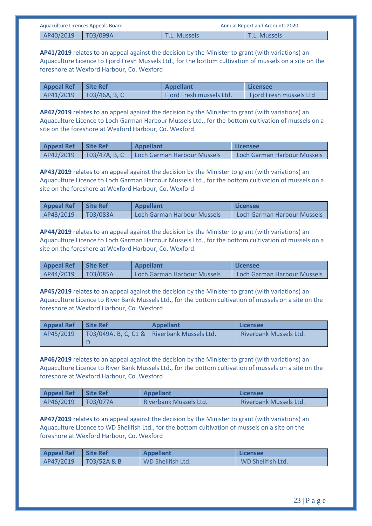| Aquaculture Licences Appeals Board |  | <b>Annual Report and Accounts 2020</b> |                     |
|------------------------------------|--|----------------------------------------|---------------------|
| AP40/2019   T03/099A               |  | <b>T.L. Mussels</b>                    | <b>T.L. Mussels</b> |

**AP41/2019** relates to an appeal against the decision by the Minister to grant (with variations) an Aquaculture Licence to Fjord Fresh Mussels Ltd., for the bottom cultivation of mussels on a site on the foreshore at Wexford Harbour, Co. Wexford

| <b>Appeal Ref</b> | <b>Site Ref</b> | <b>Appellant</b>         | Licensee                       |
|-------------------|-----------------|--------------------------|--------------------------------|
| AP41/2019         | TO3/46A, B, C   | Fjord Fresh mussels Ltd. | <b>Fjord Fresh mussels Ltd</b> |

**AP42/2019** relates to an appeal against the decision by the Minister to grant (with variations) an Aquaculture Licence to Loch Garman Harbour Mussels Ltd., for the bottom cultivation of mussels on a site on the foreshore at Wexford Harbour, Co. Wexford

| <b>Appeal Ref</b> | <b>Site Ref</b> | <b>Appellant</b>            | Licensee                    |
|-------------------|-----------------|-----------------------------|-----------------------------|
| AP42/2019         | T03/47A, B, C   | Loch Garman Harbour Mussels | Loch Garman Harbour Mussels |

**AP43/2019** relates to an appeal against the decision by the Minister to grant (with variations) an Aquaculture Licence to Loch Garman Harbour Mussels Ltd., for the bottom cultivation of mussels on a site on the foreshore at Wexford Harbour, Co. Wexford

| <b>Appeal Ref</b> | <b>Site Ref</b> | <b>Appellant</b>            | Licensee                    |
|-------------------|-----------------|-----------------------------|-----------------------------|
| AP43/2019         | T03/083A        | Loch Garman Harbour Mussels | Loch Garman Harbour Mussels |

**AP44/2019** relates to an appeal against the decision by the Minister to grant (with variations) an Aquaculture Licence to Loch Garman Harbour Mussels Ltd., for the bottom cultivation of mussels on a site on the foreshore at Wexford Harbour, Co. Wexford.

| <b>Appeal Ref</b> | <b>Site Ref</b> | <b>Appellant</b>            | Licensee                    |
|-------------------|-----------------|-----------------------------|-----------------------------|
| AP44/2019         | <b>T03/085A</b> | Loch Garman Harbour Mussels | Loch Garman Harbour Mussels |

**AP45/2019** relates to an appeal against the decision by the Minister to grant (with variations) an Aquaculture Licence to River Bank Mussels Ltd., for the bottom cultivation of mussels on a site on the foreshore at Wexford Harbour, Co. Wexford

| <b>Appeal Ref</b> | <b>Site Ref</b> | <b>Appellant</b>                              | Licensee                      |
|-------------------|-----------------|-----------------------------------------------|-------------------------------|
| AP45/2019         |                 | T03/049A, B, C, C1 &   Riverbank Mussels Ltd. | <b>Riverbank Mussels Ltd.</b> |
|                   |                 |                                               |                               |

**AP46/2019** relates to an appeal against the decision by the Minister to grant (with variations) an Aquaculture Licence to River Bank Mussels Ltd., for the bottom cultivation of mussels on a site on the foreshore at Wexford Harbour, Co. Wexford

| <b>Appeal Ref</b> | <b>Site Ref</b> | <b>Appellant</b>              | Licensee                      |
|-------------------|-----------------|-------------------------------|-------------------------------|
| AP46/2019         | T03/077A        | <b>Riverbank Mussels Ltd.</b> | <b>Riverbank Mussels Ltd.</b> |

**AP47/2019** relates to an appeal against the decision by the Minister to grant (with variations) an Aquaculture Licence to WD Shellfish Ltd., for the bottom cultivation of mussels on a site on the foreshore at Wexford Harbour, Co. Wexford

| <b>Appeal Ref</b> | Site Ref    | <b>Appellant</b>         | Licensee          |
|-------------------|-------------|--------------------------|-------------------|
| AP47/2019         | T03/52A & B | <b>WD Shellfish Ltd.</b> | WD Shellfish Ltd. |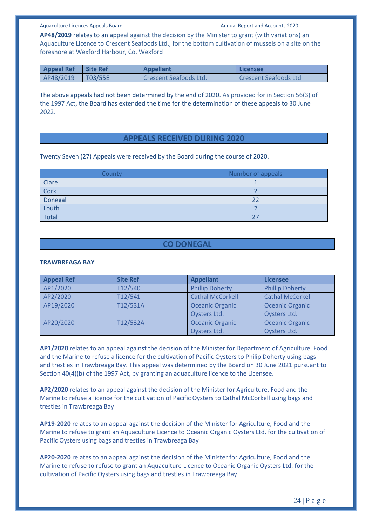**AP48/2019** relates to an appeal against the decision by the Minister to grant (with variations) an Aquaculture Licence to Crescent Seafoods Ltd., for the bottom cultivation of mussels on a site on the foreshore at Wexford Harbour, Co. Wexford

| <b>Appeal Ref</b> | <b>Site Ref</b> | <b>Appellant</b>       | l Licensee            |
|-------------------|-----------------|------------------------|-----------------------|
| AP48/2019         | $\vert$ T03/55E | Crescent Seafoods Ltd. | Crescent Seafoods Ltd |

The above appeals had not been determined by the end of 2020. As provided for in Section 56(3) of the 1997 Act, the Board has extended the time for the determination of these appeals to 30 June 2022.

# **APPEALS RECEIVED DURING 2020**

Twenty Seven (27) Appeals were received by the Board during the course of 2020.

| County       | Number of appeals |
|--------------|-------------------|
| Clare        |                   |
| Cork         |                   |
| Donegal      |                   |
| Louth        |                   |
| <b>Total</b> |                   |

# **CO DONEGAL**

#### **TRAWBREAGA BAY**

| <b>Appeal Ref</b> | <b>Site Ref</b> | <b>Appellant</b>        | <b>Licensee</b>         |
|-------------------|-----------------|-------------------------|-------------------------|
| AP1/2020          | T12/540         | <b>Phillip Doherty</b>  | <b>Phillip Doherty</b>  |
| AP2/2020          | T12/541         | <b>Cathal McCorkell</b> | <b>Cathal McCorkell</b> |
| AP19/2020         | T12/531A        | <b>Oceanic Organic</b>  | <b>Oceanic Organic</b>  |
|                   |                 | Oysters Ltd.            | Oysters Ltd.            |
| AP20/2020         | T12/532A        | <b>Oceanic Organic</b>  | <b>Oceanic Organic</b>  |
|                   |                 | Oysters Ltd.            | Oysters Ltd.            |

**AP1/2020** relates to an appeal against the decision of the Minister for Department of Agriculture, Food and the Marine to refuse a licence for the cultivation of Pacific Oysters to Philip Doherty using bags and trestles in Trawbreaga Bay. This appeal was determined by the Board on 30 June 2021 pursuant to Section 40(4)(b) of the 1997 Act, by granting an aquaculture licence to the Licensee.

**AP2/2020** relates to an appeal against the decision of the Minister for Agriculture, Food and the Marine to refuse a licence for the cultivation of Pacific Oysters to Cathal McCorkell using bags and trestles in Trawbreaga Bay

**AP19-2020** relates to an appeal against the decision of the Minister for Agriculture, Food and the Marine to refuse to grant an Aquaculture Licence to Oceanic Organic Oysters Ltd. for the cultivation of Pacific Oysters using bags and trestles in Trawbreaga Bay

**AP20-2020** relates to an appeal against the decision of the Minister for Agriculture, Food and the Marine to refuse to refuse to grant an Aquaculture Licence to Oceanic Organic Oysters Ltd. for the cultivation of Pacific Oysters using bags and trestles in Trawbreaga Bay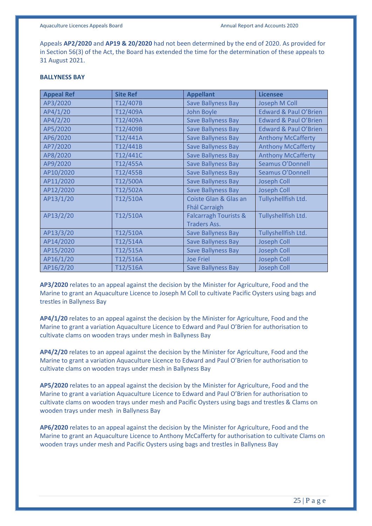Appeals **AP2/2020** and **AP19 & 20/2020** had not been determined by the end of 2020. As provided for in Section 56(3) of the Act, the Board has extended the time for the determination of these appeals to 31 August 2021.

#### **BALLYNESS BAY**

| <b>Appeal Ref</b> | <b>Site Ref</b> | <b>Appellant</b>                 | <b>Licensee</b>                  |
|-------------------|-----------------|----------------------------------|----------------------------------|
| AP3/2020          | T12/407B        | <b>Save Ballyness Bay</b>        | Joseph M Coll                    |
| AP4/1/20          | T12/409A        | John Boyle                       | <b>Edward &amp; Paul O'Brien</b> |
| AP4/2/20          | T12/409A        | <b>Save Ballyness Bay</b>        | <b>Edward &amp; Paul O'Brien</b> |
| AP5/2020          | T12/409B        | <b>Save Ballyness Bay</b>        | <b>Edward &amp; Paul O'Brien</b> |
| AP6/2020          | T12/441A        | <b>Save Ballyness Bay</b>        | <b>Anthony McCafferty</b>        |
| AP7/2020          | T12/441B        | <b>Save Ballyness Bay</b>        | <b>Anthony McCafferty</b>        |
| AP8/2020          | T12/441C        | <b>Save Ballyness Bay</b>        | <b>Anthony McCafferty</b>        |
| AP9/2020          | T12/455A        | <b>Save Ballyness Bay</b>        | Seamus O'Donnell                 |
| AP10/2020         | T12/455B        | <b>Save Ballyness Bay</b>        | Seamus O'Donnell                 |
| AP11/2020         | T12/500A        | <b>Save Ballyness Bay</b>        | <b>Joseph Coll</b>               |
| AP12/2020         | T12/502A        | <b>Save Ballyness Bay</b>        | <b>Joseph Coll</b>               |
| AP13/1/20         | T12/510A        | Coiste Glan & Glas an            | Tullyshellfish Ltd.              |
|                   |                 | <b>Fhál Carraigh</b>             |                                  |
| AP13/2/20         | T12/510A        | <b>Falcarragh Tourists &amp;</b> | Tullyshellfish Ltd.              |
|                   |                 | <b>Traders Ass.</b>              |                                  |
| AP13/3/20         | T12/510A        | <b>Save Ballyness Bay</b>        | Tullyshellfish Ltd.              |
| AP14/2020         | T12/514A        | <b>Save Ballyness Bay</b>        | <b>Joseph Coll</b>               |
| AP15/2020         | T12/515A        | <b>Save Ballyness Bay</b>        | <b>Joseph Coll</b>               |
| AP16/1/20         | T12/516A        | <b>Joe Friel</b>                 | <b>Joseph Coll</b>               |
| AP16/2/20         | T12/516A        | <b>Save Ballyness Bay</b>        | <b>Joseph Coll</b>               |

**AP3/2020** relates to an appeal against the decision by the Minister for Agriculture, Food and the Marine to grant an Aquaculture Licence to Joseph M Coll to cultivate Pacific Oysters using bags and trestles in Ballyness Bay

**AP4/1/20** relates to an appeal against the decision by the Minister for Agriculture, Food and the Marine to grant a variation Aquaculture Licence to Edward and Paul O'Brien for authorisation to cultivate clams on wooden trays under mesh in Ballyness Bay

**AP4/2/20** relates to an appeal against the decision by the Minister for Agriculture, Food and the Marine to grant a variation Aquaculture Licence to Edward and Paul O'Brien for authorisation to cultivate clams on wooden trays under mesh in Ballyness Bay

**AP5/2020** relates to an appeal against the decision by the Minister for Agriculture, Food and the Marine to grant a variation Aquaculture Licence to Edward and Paul O'Brien for authorisation to cultivate clams on wooden trays under mesh and Pacific Oysters using bags and trestles & Clams on wooden trays under mesh in Ballyness Bay

**AP6/2020** relates to an appeal against the decision by the Minister for Agriculture, Food and the Marine to grant an Aquaculture Licence to Anthony McCafferty for authorisation to cultivate Clams on wooden trays under mesh and Pacific Oysters using bags and trestles in Ballyness Bay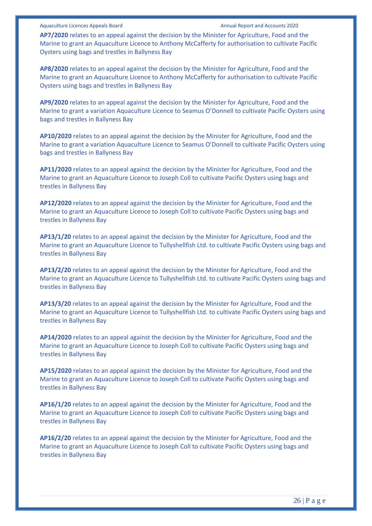**AP7/2020** relates to an appeal against the decision by the Minister for Agriculture, Food and the Marine to grant an Aquaculture Licence to Anthony McCafferty for authorisation to cultivate Pacific Oysters using bags and trestles in Ballyness Bay

**AP8/2020** relates to an appeal against the decision by the Minister for Agriculture, Food and the Marine to grant an Aquaculture Licence to Anthony McCafferty for authorisation to cultivate Pacific Oysters using bags and trestles in Ballyness Bay

**AP9/2020** relates to an appeal against the decision by the Minister for Agriculture, Food and the Marine to grant a variation Aquaculture Licence to Seamus O'Donnell to cultivate Pacific Oysters using bags and trestles in Ballyness Bay

**AP10/2020** relates to an appeal against the decision by the Minister for Agriculture, Food and the Marine to grant a variation Aquaculture Licence to Seamus O'Donnell to cultivate Pacific Oysters using bags and trestles in Ballyness Bay

**AP11/2020** relates to an appeal against the decision by the Minister for Agriculture, Food and the Marine to grant an Aquaculture Licence to Joseph Coll to cultivate Pacific Oysters using bags and trestles in Ballyness Bay

**AP12/2020** relates to an appeal against the decision by the Minister for Agriculture, Food and the Marine to grant an Aquaculture Licence to Joseph Coll to cultivate Pacific Oysters using bags and trestles in Ballyness Bay

**AP13/1/20** relates to an appeal against the decision by the Minister for Agriculture, Food and the Marine to grant an Aquaculture Licence to Tullyshellfish Ltd. to cultivate Pacific Oysters using bags and trestles in Ballyness Bay

**AP13/2/20** relates to an appeal against the decision by the Minister for Agriculture, Food and the Marine to grant an Aquaculture Licence to Tullyshellfish Ltd. to cultivate Pacific Oysters using bags and trestles in Ballyness Bay

**AP13/3/20** relates to an appeal against the decision by the Minister for Agriculture, Food and the Marine to grant an Aquaculture Licence to Tullyshellfish Ltd. to cultivate Pacific Oysters using bags and trestles in Ballyness Bay

**AP14/2020** relates to an appeal against the decision by the Minister for Agriculture, Food and the Marine to grant an Aquaculture Licence to Joseph Coll to cultivate Pacific Oysters using bags and trestles in Ballyness Bay

**AP15/2020** relates to an appeal against the decision by the Minister for Agriculture, Food and the Marine to grant an Aquaculture Licence to Joseph Coll to cultivate Pacific Oysters using bags and trestles in Ballyness Bay

**AP16/1/20** relates to an appeal against the decision by the Minister for Agriculture, Food and the Marine to grant an Aquaculture Licence to Joseph Coll to cultivate Pacific Oysters using bags and trestles in Ballyness Bay

**AP16/2/20** relates to an appeal against the decision by the Minister for Agriculture, Food and the Marine to grant an Aquaculture Licence to Joseph Coll to cultivate Pacific Oysters using bags and trestles in Ballyness Bay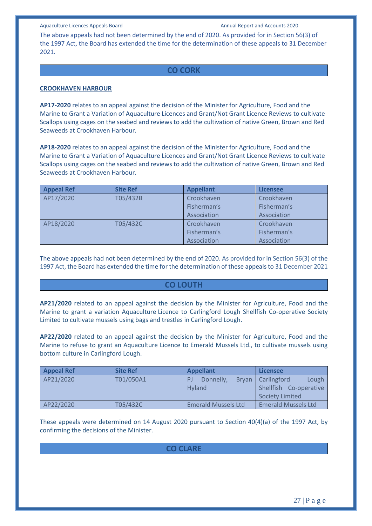The above appeals had not been determined by the end of 2020. As provided for in Section 56(3) of the 1997 Act, the Board has extended the time for the determination of these appeals to 31 December 2021.

# **CO CORK**

#### **CROOKHAVEN HARBOUR**

**AP17-2020** relates to an appeal against the decision of the Minister for Agriculture, Food and the Marine to Grant a Variation of Aquaculture Licences and Grant/Not Grant Licence Reviews to cultivate Scallops using cages on the seabed and reviews to add the cultivation of native Green, Brown and Red Seaweeds at Crookhaven Harbour.

**AP18-2020** relates to an appeal against the decision of the Minister for Agriculture, Food and the Marine to Grant a Variation of Aquaculture Licences and Grant/Not Grant Licence Reviews to cultivate Scallops using cages on the seabed and reviews to add the cultivation of native Green, Brown and Red Seaweeds at Crookhaven Harbour.

| <b>Appeal Ref</b> | <b>Site Ref</b> | <b>Appellant</b> | <b>Licensee</b> |
|-------------------|-----------------|------------------|-----------------|
| AP17/2020         | T05/432B        | Crookhaven       | Crookhaven      |
|                   |                 | Fisherman's      | Fisherman's     |
|                   |                 | Association      | Association     |
| AP18/2020         | T05/432C        | Crookhaven       | Crookhaven      |
|                   |                 | Fisherman's      | Fisherman's     |
|                   |                 | Association      | Association     |

The above appeals had not been determined by the end of 2020. As provided for in Section 56(3) of the 1997 Act, the Board has extended the time for the determination of these appeals to 31 December 2021

# **CO LOUTH**

**AP21/2020** related to an appeal against the decision by the Minister for Agriculture, Food and the Marine to grant a variation Aquaculture Licence to Carlingford Lough Shellfish Co-operative Society Limited to cultivate mussels using bags and trestles in Carlingford Lough.

**AP22/2020** related to an appeal against the decision by the Minister for Agriculture, Food and the Marine to refuse to grant an Aquaculture Licence to Emerald Mussels Ltd., to cultivate mussels using bottom culture in Carlingford Lough.

| <b>Appeal Ref</b> | <b>Site Ref</b> | <b>Appellant</b>                 | Licensee                                                                  |
|-------------------|-----------------|----------------------------------|---------------------------------------------------------------------------|
| AP21/2020         | T01/050A1       | Donnelly.<br>PI<br><b>Hyland</b> | Lough<br>Bryan   Carlingford<br>Shellfish Co-operative<br>Society Limited |
|                   |                 |                                  |                                                                           |
| AP22/2020         | T05/432C        | <b>Emerald Mussels Ltd</b>       | <b>Emerald Mussels Ltd</b>                                                |

These appeals were determined on 14 August 2020 pursuant to Section 40(4)(a) of the 1997 Act, by confirming the decisions of the Minister.

# **CO CLARE**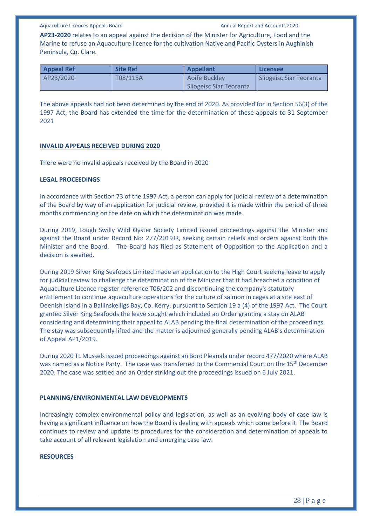**AP23-2020** relates to an appeal against the decision of the Minister for Agriculture, Food and the Marine to refuse an Aquaculture licence for the cultivation Native and Pacific Oysters in Aughinish Peninsula, Co. Clare.

| <b>Appeal Ref</b> | <b>Site Ref</b> | <b>Appellant</b>        | Licensee                |
|-------------------|-----------------|-------------------------|-------------------------|
| AP23/2020         | T08/115A        | Aoife Buckley           | Sliogeisc Siar Teoranta |
|                   |                 | Sliogeisc Siar Teoranta |                         |

The above appeals had not been determined by the end of 2020. As provided for in Section 56(3) of the 1997 Act, the Board has extended the time for the determination of these appeals to 31 September 2021

#### **INVALID APPEALS RECEIVED DURING 2020**

There were no invalid appeals received by the Board in 2020

#### **LEGAL PROCEEDINGS**

In accordance with Section 73 of the 1997 Act, a person can apply for judicial review of a determination of the Board by way of an application for judicial review, provided it is made within the period of three months commencing on the date on which the determination was made.

During 2019, Lough Swilly Wild Oyster Society Limited issued proceedings against the Minister and against the Board under Record No: 277/2019JR, seeking certain reliefs and orders against both the Minister and the Board. The Board has filed as Statement of Opposition to the Application and a decision is awaited.

During 2019 Silver King Seafoods Limited made an application to the High Court seeking leave to apply for judicial review to challenge the determination of the Minister that it had breached a condition of Aquaculture Licence register reference T06/202 and discontinuing the company's statutory entitlement to continue aquaculture operations for the culture of salmon in cages at a site east of Deenish Island in a Ballinskelligs Bay, Co. Kerry, pursuant to Section 19 a (4) of the 1997 Act. The Court granted Silver King Seafoods the leave sought which included an Order granting a stay on ALAB considering and determining their appeal to ALAB pending the final determination of the proceedings. The stay was subsequently lifted and the matter is adjourned generally pending ALAB's determination of Appeal AP1/2019.

During 2020 TL Mussels issued proceedings against an Bord Pleanala under record 477/2020 where ALAB was named as a Notice Party. The case was transferred to the Commercial Court on the 15<sup>th</sup> December 2020. The case was settled and an Order striking out the proceedings issued on 6 July 2021.

#### **PLANNING/ENVIRONMENTAL LAW DEVELOPMENTS**

Increasingly complex environmental policy and legislation, as well as an evolving body of case law is having a significant influence on how the Board is dealing with appeals which come before it. The Board continues to review and update its procedures for the consideration and determination of appeals to take account of all relevant legislation and emerging case law.

#### **RESOURCES**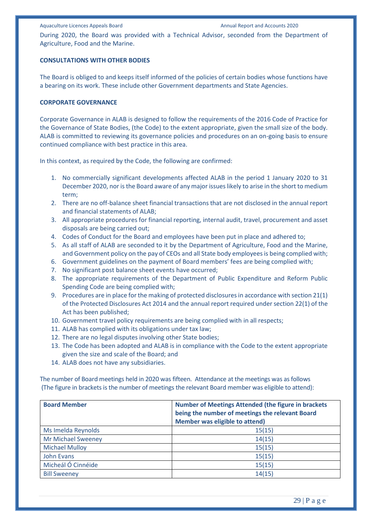During 2020, the Board was provided with a Technical Advisor, seconded from the Department of Agriculture, Food and the Marine.

#### **CONSULTATIONS WITH OTHER BODIES**

The Board is obliged to and keeps itself informed of the policies of certain bodies whose functions have a bearing on its work. These include other Government departments and State Agencies.

#### **CORPORATE GOVERNANCE**

Corporate Governance in ALAB is designed to follow the requirements of the 2016 Code of Practice for the Governance of State Bodies, (the Code) to the extent appropriate, given the small size of the body. ALAB is committed to reviewing its governance policies and procedures on an on-going basis to ensure continued compliance with best practice in this area.

In this context, as required by the Code, the following are confirmed:

- 1. No commercially significant developments affected ALAB in the period 1 January 2020 to 31 December 2020, nor is the Board aware of any major issues likely to arise in the short to medium term;
- 2. There are no off-balance sheet financial transactions that are not disclosed in the annual report and financial statements of ALAB;
- 3. All appropriate procedures for financial reporting, internal audit, travel, procurement and asset disposals are being carried out;
- 4. Codes of Conduct for the Board and employees have been put in place and adhered to;
- 5. As all staff of ALAB are seconded to it by the Department of Agriculture, Food and the Marine, and Government policy on the pay of CEOs and all State body employees is being complied with;
- 6. Government guidelines on the payment of Board members' fees are being complied with;
- 7. No significant post balance sheet events have occurred;
- 8. The appropriate requirements of the Department of Public Expenditure and Reform Public Spending Code are being complied with;
- 9. Procedures are in place for the making of protected disclosures in accordance with section 21(1) of the Protected Disclosures Act 2014 and the annual report required under section 22(1) of the Act has been published;
- 10. Government travel policy requirements are being complied with in all respects;
- 11. ALAB has complied with its obligations under tax law;
- 12. There are no legal disputes involving other State bodies;
- 13. The Code has been adopted and ALAB is in compliance with the Code to the extent appropriate given the size and scale of the Board; and
- 14. ALAB does not have any subsidiaries.

The number of Board meetings held in 2020 was fifteen. Attendance at the meetings was as follows (The figure in brackets is the number of meetings the relevant Board member was eligible to attend):

| <b>Board Member</b>       | <b>Number of Meetings Attended (the figure in brackets</b><br>being the number of meetings the relevant Board<br><b>Member was eligible to attend)</b> |
|---------------------------|--------------------------------------------------------------------------------------------------------------------------------------------------------|
| Ms Imelda Reynolds        | 15(15)                                                                                                                                                 |
| <b>Mr Michael Sweeney</b> | 14(15)                                                                                                                                                 |
| <b>Michael Mulloy</b>     | 15(15)                                                                                                                                                 |
| John Evans                | 15(15)                                                                                                                                                 |
| Micheál Ó Cinnéide        | 15(15)                                                                                                                                                 |
| <b>Bill Sweeney</b>       | 14(15)                                                                                                                                                 |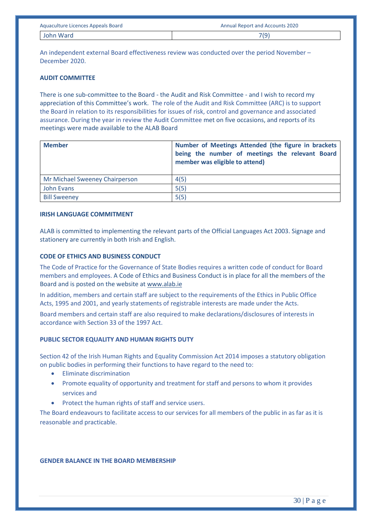| Aquaculture Licences Appeals Board | <b>Annual Report and Accounts 2020</b> |
|------------------------------------|----------------------------------------|
| John Ward                          | 7(9)                                   |

An independent external Board effectiveness review was conducted over the period November – December 2020.

#### **AUDIT COMMITTEE**

There is one sub-committee to the Board - the Audit and Risk Committee - and I wish to record my appreciation of this Committee's work. The role of the Audit and Risk Committee (ARC) is to support the Board in relation to its responsibilities for issues of risk, control and governance and associated assurance. During the year in review the Audit Committee met on five occasions, and reports of its meetings were made available to the ALAB Board

| <b>Member</b>                  | Number of Meetings Attended (the figure in brackets<br>being the number of meetings the relevant Board<br>member was eligible to attend) |
|--------------------------------|------------------------------------------------------------------------------------------------------------------------------------------|
| Mr Michael Sweeney Chairperson | 4(5)                                                                                                                                     |
| John Evans                     | 5(5)                                                                                                                                     |
| <b>Bill Sweeney</b>            | 5(5)                                                                                                                                     |

#### **IRISH LANGUAGE COMMITMENT**

ALAB is committed to implementing the relevant parts of the Official Languages Act 2003. Signage and stationery are currently in both Irish and English.

#### **CODE OF ETHICS AND BUSINESS CONDUCT**

The Code of Practice for the Governance of State Bodies requires a written code of conduct for Board members and employees. A Code of Ethics and Business Conduct is in place for all the members of the Board and is posted on the website a[t www.alab.ie](http://www.alab.ie/)

In addition, members and certain staff are subject to the requirements of the Ethics in Public Office Acts, 1995 and 2001, and yearly statements of registrable interests are made under the Acts.

Board members and certain staff are also required to make declarations/disclosures of interests in accordance with Section 33 of the 1997 Act.

# **PUBLIC SECTOR EQUALITY AND HUMAN RIGHTS DUTY**

Section 42 of the Irish Human Rights and Equality Commission Act 2014 imposes a statutory obligation on public bodies in performing their functions to have regard to the need to:

- Eliminate discrimination
- Promote equality of opportunity and treatment for staff and persons to whom it provides services and
- Protect the human rights of staff and service users.

The Board endeavours to facilitate access to our services for all members of the public in as far as it is reasonable and practicable.

#### **GENDER BALANCE IN THE BOARD MEMBERSHIP**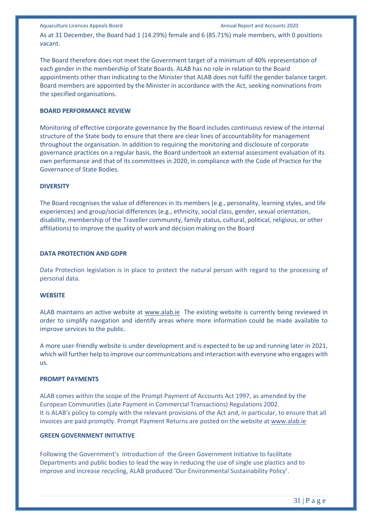Aquaculture Licences Appeals Board Annual Report and Accounts 2020 As at 31 December, the Board had 1 (14.29%) female and 6 (85.71%) male members, with 0 positions vacant.

The Board therefore does not meet the Government target of a minimum of 40% representation of each gender in the membership of State Boards. ALAB has no role in relation to the Board appointments other than indicating to the Minister that ALAB does not fulfil the gender balance target. Board members are appointed by the Minister in accordance with the Act, seeking nominations from the specified organisations.

# **BOARD PERFORMANCE REVIEW**

Monitoring of effective corporate governance by the Board includes continuous review of the internal structure of the State body to ensure that there are clear lines of accountability for management throughout the organisation. In addition to requiring the monitoring and disclosure of corporate governance practices on a regular basis, the Board undertook an external assessment evaluation of its own performance and that of its committees in 2020, in compliance with the Code of Practice for the Governance of State Bodies.

### **DIVERSITY**

The Board recognises the value of differences in its members (e.g., personality, learning styles, and life experiences) and group/social differences (e.g., ethnicity, social class, gender, sexual orientation, disability, membership of the Traveller community, family status, cultural, political, religious, or other affiliations) to improve the quality of work and decision making on the Board

# **DATA PROTECTION AND GDPR**

Data Protection legislation is in place to protect the natural person with regard to the processing of personal data.

### **WEBSITE**

ALAB maintains an active website at [www.alab.ie](http://www.alab.ie/) The existing website is currently being reviewed in order to simplify navigation and identify areas where more information could be made available to improve services to the public.

A more user-friendly website is under development and is expected to be up and running later in 2021, which will further help to improve our communications and interaction with everyone who engages with us.

### **PROMPT PAYMENTS**

ALAB comes within the scope of the Prompt Payment of Accounts Act 1997, as amended by the European Communities (Late Payment in Commercial Transactions) Regulations 2002. It is ALAB's policy to comply with the relevant provisions of the Act and, in particular, to ensure that all invoices are paid promptly. Prompt Payment Returns are posted on the website at [www.alab.ie](http://www.alab.ie/)

# **GREEN GOVERNMENT INITIATIVE**

Following the Government's introduction of the Green Government Initiative to facilitate Departments and public bodies to lead the way in reducing the use of single use plastics and to improve and increase recycling, ALAB produced 'Our Environmental Sustainability Policy'.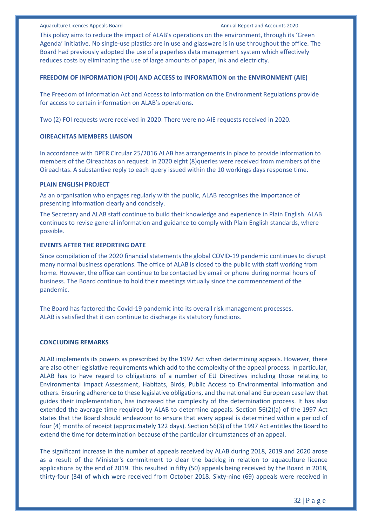This policy aims to reduce the impact of ALAB's operations on the environment, through its 'Green Agenda' initiative. No single-use plastics are in use and glassware is in use throughout the office. The Board had previously adopted the use of a paperless data management system which effectively reduces costs by eliminating the use of large amounts of paper, ink and electricity.

#### **FREEDOM OF INFORMATION (FOI) AND ACCESS to INFORMATION on the ENVIRONMENT (AIE)**

The Freedom of Information Act and Access to Information on the Environment Regulations provide for access to certain information on ALAB's operations.

Two (2) FOI requests were received in 2020. There were no AIE requests received in 2020.

#### **OIREACHTAS MEMBERS LIAISON**

In accordance with DPER Circular 25/2016 ALAB has arrangements in place to provide information to members of the Oireachtas on request. In 2020 eight (8)queries were received from members of the Oireachtas. A substantive reply to each query issued within the 10 workings days response time.

#### **PLAIN ENGLISH PROJECT**

As an organisation who engages regularly with the public, ALAB recognises the importance of presenting information clearly and concisely.

The Secretary and ALAB staff continue to build their knowledge and experience in Plain English. ALAB continues to revise general information and guidance to comply with Plain English standards, where possible.

#### **EVENTS AFTER THE REPORTING DATE**

Since compilation of the 2020 financial statements the global COVID-19 pandemic continues to disrupt many normal business operations. The office of ALAB is closed to the public with staff working from home. However, the office can continue to be contacted by email or phone during normal hours of business. The Board continue to hold their meetings virtually since the commencement of the pandemic.

The Board has factored the Covid-19 pandemic into its overall risk management processes. ALAB is satisfied that it can continue to discharge its statutory functions.

#### **CONCLUDING REMARKS**

ALAB implements its powers as prescribed by the 1997 Act when determining appeals. However, there are also other legislative requirements which add to the complexity of the appeal process. In particular, ALAB has to have regard to obligations of a number of EU Directives including those relating to Environmental Impact Assessment, Habitats, Birds, Public Access to Environmental Information and others. Ensuring adherence to these legislative obligations, and the national and European case law that guides their implementation, has increased the complexity of the determination process. It has also extended the average time required by ALAB to determine appeals. Section 56(2)(a) of the 1997 Act states that the Board should endeavour to ensure that every appeal is determined within a period of four (4) months of receipt (approximately 122 days). Section 56(3) of the 1997 Act entitles the Board to extend the time for determination because of the particular circumstances of an appeal.

The significant increase in the number of appeals received by ALAB during 2018, 2019 and 2020 arose as a result of the Minister's commitment to clear the backlog in relation to aquaculture licence applications by the end of 2019. This resulted in fifty (50) appeals being received by the Board in 2018, thirty-four (34) of which were received from October 2018. Sixty-nine (69) appeals were received in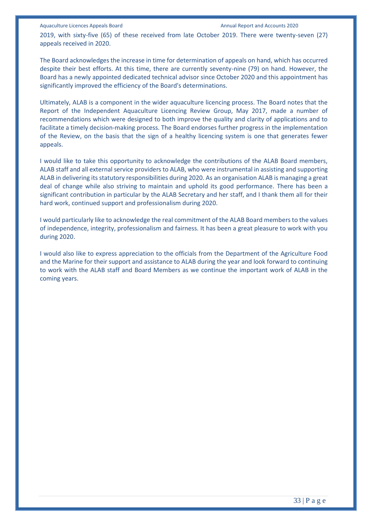2019, with sixty-five (65) of these received from late October 2019. There were twenty-seven (27) appeals received in 2020.

The Board acknowledges the increase in time for determination of appeals on hand, which has occurred despite their best efforts. At this time, there are currently seventy-nine (79) on hand. However, the Board has a newly appointed dedicated technical advisor since October 2020 and this appointment has significantly improved the efficiency of the Board's determinations.

Ultimately, ALAB is a component in the wider aquaculture licencing process. The Board notes that the Report of the Independent Aquaculture Licencing Review Group, May 2017, made a number of recommendations which were designed to both improve the quality and clarity of applications and to facilitate a timely decision-making process. The Board endorses further progress in the implementation of the Review, on the basis that the sign of a healthy licencing system is one that generates fewer appeals.

I would like to take this opportunity to acknowledge the contributions of the ALAB Board members, ALAB staff and all external service providers to ALAB, who were instrumental in assisting and supporting ALAB in delivering its statutory responsibilities during 2020. As an organisation ALAB is managing a great deal of change while also striving to maintain and uphold its good performance. There has been a significant contribution in particular by the ALAB Secretary and her staff, and I thank them all for their hard work, continued support and professionalism during 2020.

I would particularly like to acknowledge the real commitment of the ALAB Board members to the values of independence, integrity, professionalism and fairness. It has been a great pleasure to work with you during 2020.

I would also like to express appreciation to the officials from the Department of the Agriculture Food and the Marine for their support and assistance to ALAB during the year and look forward to continuing to work with the ALAB staff and Board Members as we continue the important work of ALAB in the coming years.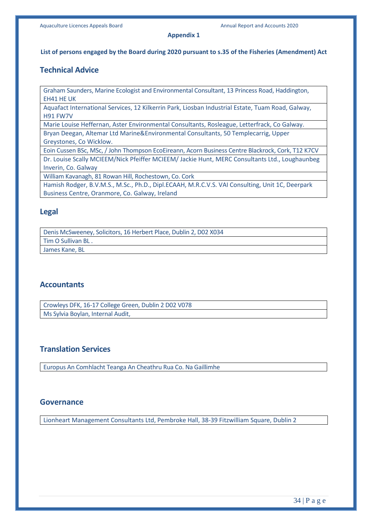#### **Appendix 1**

#### **List of persons engaged by the Board during 2020 pursuant to s.35 of the Fisheries (Amendment) Act**

# **Technical Advice**

Graham Saunders, Marine Ecologist and Environmental Consultant, 13 Princess Road, Haddington, EH41 HE UK

Aquafact International Services, 12 Kilkerrin Park, Liosban Industrial Estate, Tuam Road, Galway, H91 FW7V

Marie Louise Heffernan, Aster Environmental Consultants, Rosleague, Letterfrack, Co Galway.

Bryan Deegan, Altemar Ltd Marine&Environmental Consultants, 50 Templecarrig, Upper Greystones, Co Wicklow.

Eoin Cussen BSc, MSc, / John Thompson EcoEireann, Acorn Business Centre Blackrock, Cork, T12 K7CV Dr. Louise Scally MCIEEM/Nick Pfeiffer MCIEEM/ Jackie Hunt, MERC Consultants Ltd., Loughaunbeg Inverin, Co. Galway

William Kavanagh, 81 Rowan Hill, Rochestown, Co. Cork

Hamish Rodger, B.V.M.S., M.Sc., Ph.D., Dipl.ECAAH, M.R.C.V.S. VAI Consulting, Unit 1C, Deerpark Business Centre, Oranmore, Co. Galway, Ireland

# **Legal**

Denis McSweeney, Solicitors, 16 Herbert Place, Dublin 2, D02 X034 Tim O Sullivan BL .

James Kane, BL

# **Accountants**

Crowleys DFK, 16-17 College Green, Dublin 2 D02 V078 Ms Sylvia Boylan, Internal Audit,

# **Translation Services**

Europus An Comhlacht Teanga An Cheathru Rua Co. Na Gaillimhe

# **Governance**

Lionheart Management Consultants Ltd, Pembroke Hall, 38-39 Fitzwilliam Square, Dublin 2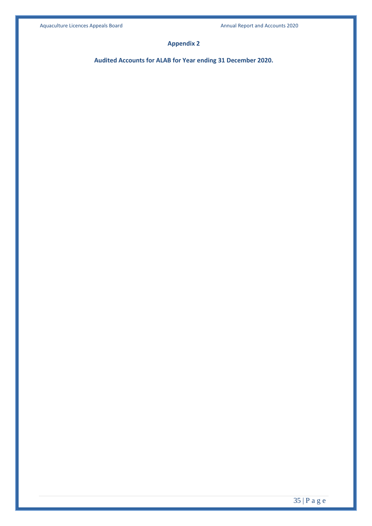# **Appendix 2**

**Audited Accounts for ALAB for Year ending 31 December 2020.**

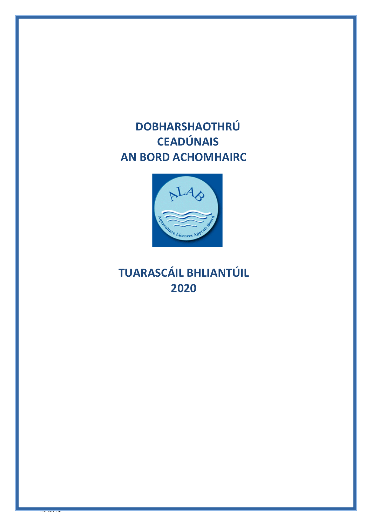# **DOBHARSHAOTHRÚ CEADÚNAIS AN BORD ACHOMHAIRC**



# **TUARASCÁIL BHLIANTÚIL 2020**

 $75720772$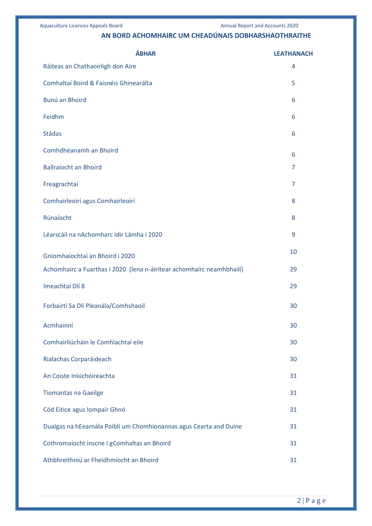# **AN BORD ACHOMHAIRC UM CHEADÚNAIS DOBHARSHAOTHRAITHE**

| <b>ÁBHAR</b>                                                          | <b>LEATHANACH</b> |
|-----------------------------------------------------------------------|-------------------|
| Ráiteas an Chathaoirligh don Aire                                     | 4                 |
| Comhaltaí Boird & Faisnéis Ghinearálta                                | 5                 |
| Bunú an Bhoird                                                        | 6                 |
| Feidhm                                                                | 6                 |
| <b>Stádas</b>                                                         | 6                 |
| Comhdhéanamh an Bhoird                                                | 6                 |
| <b>Ballraíocht an Bhoird</b>                                          | 7                 |
| Freagrachtaí                                                          | 7                 |
| Comhairleoirí agus Comhairleoirí                                      | 8                 |
| Rúnaíocht                                                             | 8                 |
| Léarscáil na nAchomharc idir Lámha i 2020                             | 9                 |
| Gníomhaíochtaí an Bhoird i 2020                                       | 10                |
| Achomhairc a Fuarthas i 2020 (lena n-áirítear achomhairc neamhbhailí) | 29                |
| Imeachtaí Dlí 8                                                       | 29                |
| Forbairtí Sa Dlí Pleanála/Comhshaoil                                  | 30                |
| Acmhainní                                                             | 30                |
| Comhairliúcháin le Comhlachtaí eile                                   | 30                |
| Rialachas Corparáideach                                               | 30                |
| An Coiste Iniúchóireachta                                             | 31                |
| <b>Tiomantas na Gaeilge</b>                                           | 31                |
| Cód Eitice agus Iompair Ghnó                                          | 31                |
| Dualgas na hEearnála Poiblí um Chomhionannas agus Cearta and Duine    | 31                |
| Cothromaíocht inscne I gComhaltas an Bhoird                           | 31                |
| Athbhreithniú ar Fheidhmíocht an Bhoird                               | 31                |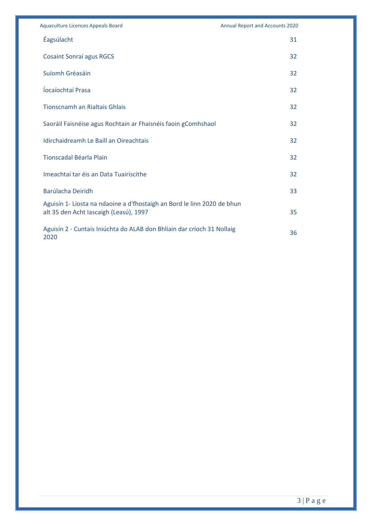| <b>Aquaculture Licences Appeals Board</b>                                                                         | <b>Annual Report and Accounts 2020</b> |
|-------------------------------------------------------------------------------------------------------------------|----------------------------------------|
| Éagsúlacht                                                                                                        | 31                                     |
| <b>Cosaint Sonraí agus RGCS</b>                                                                                   | 32                                     |
| Suíomh Gréasáin                                                                                                   | 32                                     |
| Íocaíochtaí Prasa                                                                                                 | 32                                     |
| <b>Tionscnamh an Rialtais Ghlais</b>                                                                              | 32                                     |
| Saoráil Faisnéise agus Rochtain ar Fhaisnéis faoin gComhshaol                                                     | 32                                     |
| Idirchaidreamh Le Baill an Oireachtais                                                                            | 32                                     |
| <b>Tionscadal Béarla Plain</b>                                                                                    | 32                                     |
| Imeachtaí tar éis an Data Tuairiscithe                                                                            | 32                                     |
| Barúlacha Deiridh                                                                                                 | 33                                     |
| Aguisín 1- Liosta na ndaoine a d'fhostaigh an Bord le linn 2020 de bhun<br>alt 35 den Acht Iascaigh (Leasú), 1997 | 35                                     |
| Aguisín 2 - Cuntais Iniúchta do ALAB don Bhliain dar críoch 31 Nollaig<br>2020                                    | 36                                     |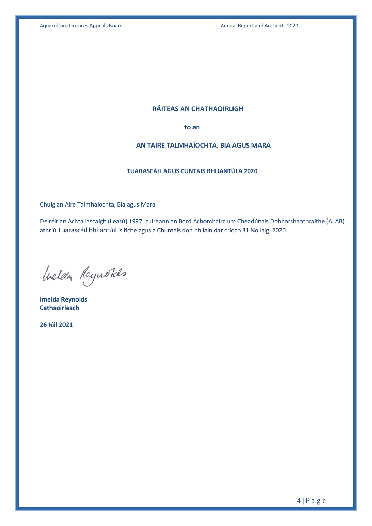# **RÁITEAS AN CHATHAOIRLIGH**

**to an**

# **AN TAIRE TALMHAÍOCHTA, BIA AGUS MARA**

# **TUARASCÁIL AGUS CUNTAIS BHLIANTÚLA 2020**

Chuig an Aire Talmhaíochta, Bia agus Mara

De réir an Achta Iascaigh (Leasú) 1997, cuireann an Bord Achomhairc um Cheadúnais Dobharshaothraithe (ALAB) athríú Tuarascáil bhliantúil is fiche agus a Chuntais don bhliain dar críoch 31 Nollaig 2020.

Inelda Reynolds

**Imelda Reynolds Cathaoirleach**

**26 Iúil 2021**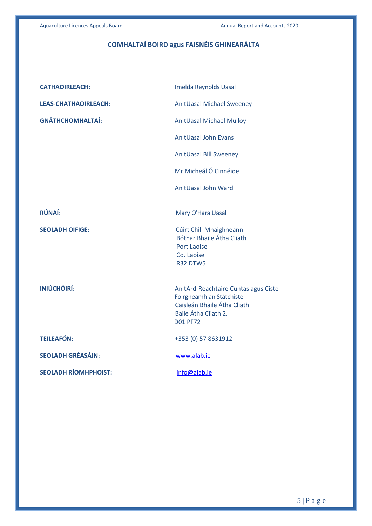# **COMHALTAÍ BOIRD agus FAISNÉIS GHINEARÁLTA**

| <b>CATHAOIRLEACH:</b>       | Imelda Reynolds Uasal                                                                                                                      |
|-----------------------------|--------------------------------------------------------------------------------------------------------------------------------------------|
| <b>LEAS-CHATHAOIRLEACH:</b> | An tUasal Michael Sweeney                                                                                                                  |
| <b>GNÁTHCHOMHALTAÍ:</b>     | An tUasal Michael Mulloy                                                                                                                   |
|                             | An tUasal John Evans                                                                                                                       |
|                             | An tUasal Bill Sweeney                                                                                                                     |
|                             | Mr Micheál Ó Cinnéide                                                                                                                      |
|                             | An tUasal John Ward                                                                                                                        |
| RÚNAÍ:                      | Mary O'Hara Uasal                                                                                                                          |
| <b>SEOLADH OIFIGE:</b>      | Cúirt Chill Mhaighneann<br>Bóthar Bhaile Átha Cliath<br><b>Port Laoise</b><br>Co. Laoise<br><b>R32 DTW5</b>                                |
| INIÚCHÓIRÍ:                 | An tArd-Reachtaire Cuntas agus Ciste<br>Foirgneamh an Státchiste<br>Caisleán Bhaile Átha Cliath<br>Baile Átha Cliath 2.<br><b>D01 PF72</b> |
| <b>TEILEAFÓN:</b>           | +353 (0) 57 8631912                                                                                                                        |
| <b>SEOLADH GRÉASÁIN:</b>    | www.alab.ie                                                                                                                                |
| <b>SEOLADH RÍOMHPHOIST:</b> | info@alab.ie                                                                                                                               |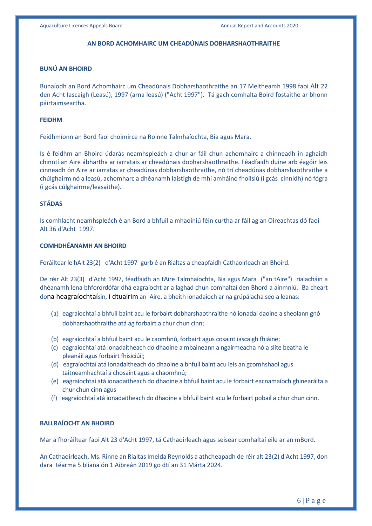#### **AN BORD ACHOMHAIRC UM CHEADÚNAIS DOBHARSHAOTHRAITHE**

### **BUNÚ AN BHOIRD**

Bunaíodh an Bord Achomhairc um Cheadúnais Dobharshaothraithe an 17 Meitheamh 1998 faoi Alt 22 den Acht Iascaigh (Leasú), 1997 (arna leasú) ("Acht 1997"). Tá gach comhalta Boird fostaithe ar bhonn páirtaimseartha.

#### **FEIDHM**

Feidhmíonn an Bord faoi choimirce na Roinne Talmhaíochta, Bia agus Mara.

Is é feidhm an Bhoird údarás neamhspleách a chur ar fáil chun achomhairc a chinneadh in aghaidh chinntí an Aire ábhartha ar iarratais ar cheadúnais dobharshaothraithe. Féadfaidh duine arb éagóir leis cinneadh ón Aire ar iarratas ar cheadúnas dobharshaothraithe, nó trí cheadúnas dobharshaothraithe a chúlghairm nó a leasú, achomharc a dhéanamh laistigh de mhí amháinó fhoilsiú (i gcás cinnidh) nó fógra (i gcás cúlghairme/leasaithe).

### **STÁDAS**

Is comhlacht neamhspleách é an Bord a bhfuil a mhaoiniú féin curtha ar fáil ag an Oireachtas dó faoi Alt 36 d'Acht 1997.

#### **COMHDHÉANAMH AN BHOIRD**

Foráiltear le hAlt 23(2) d'Acht 1997 gurb é an Rialtas a cheapfaidh Cathaoirleach an Bhoird.

De réir Alt 23(3) d'Acht 1997, féadfaidh an tAire Talmhaíochta, Bia agus Mara ("an tAire") rialacháin a dhéanamh lena bhforordófar dhá eagraíocht ar a laghad chun comhaltaí den Bhord a ainmniú. Ba cheart dona heagraíochtaísin, i dtuairim an Aire, a bheith ionadaíoch ar na grúpálacha seo a leanas:

- (a) eagraíochtaí a bhfuil baint acu le forbairt dobharshaothraithe nó ionadaí daoine a sheolann gnó dobharshaothraithe atá ag forbairt a chur chun cinn;
- (b) eagraíochtaí a bhfuil baint acu le caomhnú, forbairt agus cosaint iascaigh fhiáine;
- (c) eagraíochtaí atá ionadaitheach do dhaoine a mbaineann a ngairmeacha nó a slite beatha le pleanáil agus forbairt fhisiciúil;
- (d) eagraíochtaí atá ionadaitheach do dhaoine a bhfuil baint acu leis an gcomhshaol agus taitneamhachtaí a chosaint agus a chaomhnú;
- (e) eagraíochtaí atá ionadaitheach do dhaoine a bhfuil baint acu le forbairt eacnamaíoch ghinearálta a chur chun cinn agus
- (f) eagraíochtaí atá ionadaitheach do dhaoine a bhfuil baint acu le forbairt pobail a chur chun cinn.

# **BALLRAÍOCHT AN BHOIRD**

Mar a fhoráiltear faoi Alt 23 d'Acht 1997, tá Cathaoirleach agus seisear comhaltaí eile ar an mBord.

An Cathaoirleach, Ms. Rinne an Rialtas Imelda Reynolds a athcheapadh de réir alt 23(2) d'Acht 1997, don dara téarma 5 bliana ón 1 Aibreán 2019 go dtí an 31 Márta 2024.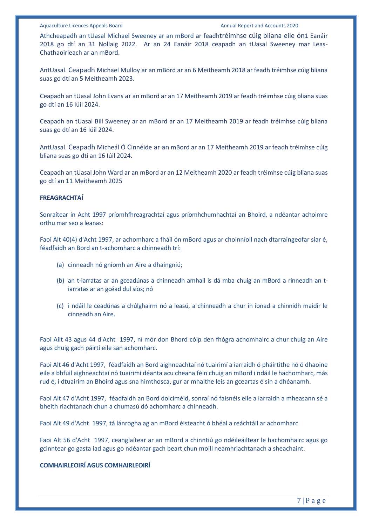Athcheapadh an tUasal Michael Sweeney ar an mBord ar feadhtréimhse cúig bliana eile ón1 Eanáir 2018 go dtí an 31 Nollaig 2022. Ar an 24 Eanáir 2018 ceapadh an tUasal Sweeney mar Leas-Chathaoirleach ar an mBord.

AntUasal. Ceapadh Michael Mulloy ar an mBord ar an 6 Meitheamh 2018 ar feadh tréimhse cúig bliana suas go dtí an 5 Meitheamh 2023.

Ceapadh an tUasal John Evans ar an mBord ar an 17 Meitheamh 2019 ar feadh tréimhse cúig bliana suas go dtí an 16 Iúil 2024.

Ceapadh an tUasal Bill Sweeney ar an mBord ar an 17 Meitheamh 2019 ar feadh tréimhse cúig bliana suas go dtí an 16 Iúil 2024.

AntUasal. Ceapadh Micheál Ó Cinnéide ar an mBord ar an 17 Meitheamh 2019 ar feadh tréimhse cúig bliana suas go dtí an 16 Iúil 2024.

Ceapadh an tUasal John Ward ar an mBord ar an 12 Meitheamh 2020 ar feadh tréimhse cúig bliana suas go dtí an 11 Meitheamh 2025

#### **FREAGRACHTAÍ**

Sonraítear in Acht 1997 príomhfhreagrachtaí agus príomhchumhachtaí an Bhoird, a ndéantar achoimre orthu mar seo a leanas:

Faoi Alt 40(4) d'Acht 1997, ar achomharc a fháil ón mBord agus ar choinníoll nach dtarraingeofar siar é, féadfaidh an Bord an t-achomharc a chinneadh trí:

- (a) cinneadh nó gníomh an Aire a dhaingniú;
- (b) an t-iarratas ar an gceadúnas a chinneadh amhail is dá mba chuig an mBord a rinneadh an tiarratas ar an gcéad dul síos; nó
- (c) i ndáil le ceadúnas a chúlghairm nó a leasú, a chinneadh a chur in ionad a chinnidh maidir le cinneadh an Aire.

Faoi Ailt 43 agus 44 d'Acht 1997, ní mór don Bhord cóip den fhógra achomhairc a chur chuig an Aire agus chuig gach páirtí eile san achomharc.

Faoi Alt 46 d'Acht 1997, féadfaidh an Bord aighneachtaí nó tuairimí a iarraidh ó pháirtithe nó ó dhaoine eile a bhfuil aighneachtaí nó tuairimí déanta acu cheana féin chuig an mBord i ndáil le hachomharc, más rud é, i dtuairim an Bhoird agus sna himthosca, gur ar mhaithe leis an gceartas é sin a dhéanamh.

Faoi Alt 47 d'Acht 1997, féadfaidh an Bord doiciméid, sonraí nó faisnéis eile a iarraidh a mheasann sé a bheith riachtanach chun a chumasú dó achomharc a chinneadh.

Faoi Alt 49 d'Acht 1997, tá lánrogha ag an mBord éisteacht ó bhéal a reáchtáil ar achomharc.

Faoi Alt 56 d'Acht 1997, ceanglaítear ar an mBord a chinntiú go ndéileáiltear le hachomhairc agus go gcinntear go gasta iad agus go ndéantar gach beart chun moill neamhriachtanach a sheachaint.

#### **COMHAIRLEOIRÍ AGUS COMHAIRLEOIRÍ**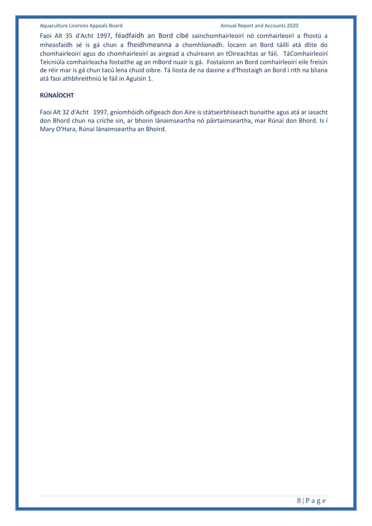Faoi Alt 35 d'Acht 1997, féadfaidh an Bord cibé sainchomhairleoirí nó comhairleoirí a fhostú a mheasfaidh sé is gá chun a fheidhmeanna a chomhlíonadh. Íocann an Bord táillí atá dlite do chomhairleoirí agus do chomhairleoirí as airgead a chuireann an tOireachtas ar fáil. TáComhairleoirí Teicniúla comhairleacha fostaithe ag an mBord nuair is gá. Fostaíonn an Bord comhairleoirí eile freisin de réir mar is gá chun tacú lena chuid oibre. Tá liosta de na daoine a d'fhostaigh an Bord i rith na bliana atá faoi athbhreithniú le fáil in Aguisín 1.

# **RÚNAÍOCHT**

Faoi Alt 32 d'Acht 1997, gníomhóidh oifigeach don Aire is státseirbhíseach bunaithe agus atá ar iasacht don Bhord chun na críche sin, ar bhonn lánaimseartha nó páirtaimseartha, mar Rúnaí don Bhord. Is í Mary O'Hara, Rúnaí lánaimseartha an Bhoird.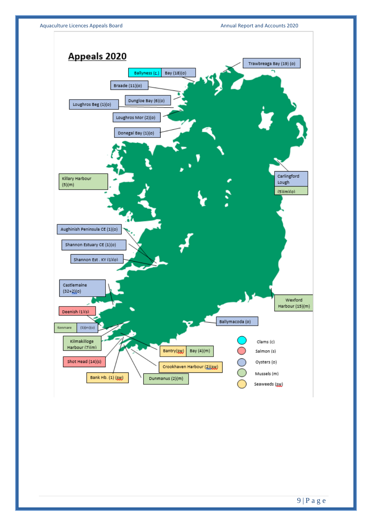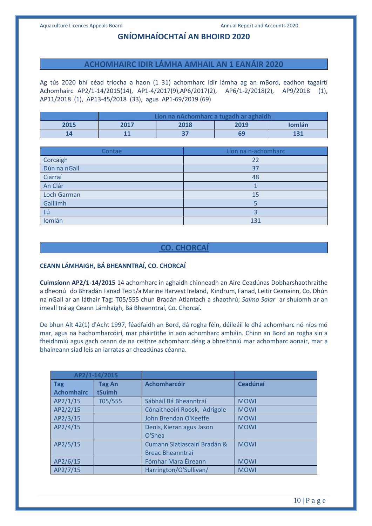# **GNÍOMHAÍOCHTAÍ AN BHOIRD 2020**

### **ACHOMHAIRC IDIR LÁMHA AMHAIL AN 1 EANÁIR 2020**

Ag tús 2020 bhí céad tríocha a haon (1 31) achomharc idir lámha ag an mBord, eadhon tagairtí Achomhairc AP2/1-14/2015(14), AP1-4/2017(9),AP6/2017(2), AP6/1-2/2018(2), AP9/2018 (1), AP11/2018 (1), AP13-45/2018 (33), agus AP1-69/2019 (69)

|      | Líon na nAchomharc a tugadh ar aghaidh |      |      |        |
|------|----------------------------------------|------|------|--------|
| 2015 | 2017                                   | 2018 | 2019 | Iomlán |
|      | $\blacksquare$                         |      |      | 131    |

| Contae             | Líon na n-achomharc |
|--------------------|---------------------|
| Corcaigh           | 22                  |
| Dún na nGall       | 37                  |
| Ciarraí            | 48                  |
| An Clár            |                     |
| <b>Loch Garman</b> | 15                  |
| Gaillimh           |                     |
| Lú                 |                     |
| Iomlán             | 131                 |

# **CO. CHORCAÍ**

# **CEANN LÁMHAIGH, BÁ BHEANNTRAÍ, CO. CHORCAÍ**

**Cuimsíonn AP2/1-14/2015** 14 achomharc in aghaidh chinneadh an Aire Ceadúnas Dobharshaothraithe a dheonú do Bhradán Fanad Teo t/a Marine Harvest Ireland, Kindrum, Fanad, Leitir Ceanainn, Co. Dhún na nGall ar an láthair Tag: T05/555 chun Bradán Atlantach a shaothrú; *Salmo Salar* ar shuíomh ar an imeall trá ag Ceann Lámhaigh, Bá Bheanntraí, Co. Chorcaí.

De bhun Alt 42(1) d'Acht 1997, féadfaidh an Bord, dá rogha féin, déileáil le dhá achomharc nó níos mó mar, agus na hachomharcóirí, mar pháirtithe in aon achomharc amháin. Chinn an Bord an rogha sin a fheidhmiú agus gach ceann de na ceithre achomharc déag a bhreithniú mar achomharc aonair, mar a bhaineann siad leis an iarratas ar cheadúnas céanna.

|                   | AP2/1-14/2015 |                              |             |
|-------------------|---------------|------------------------------|-------------|
| <b>Tag</b>        | <b>Tag An</b> | <b>Achomharcóir</b>          | Ceadúnaí    |
| <b>Achomhairc</b> | tSuímh        |                              |             |
| AP2/1/15          | T05/555       | Sábháil Bá Bheanntraí        | <b>MOWI</b> |
| AP2/2/15          |               | Cónaitheoirí Roosk, Adrigole | <b>MOWI</b> |
| AP2/3/15          |               | John Brendan O'Keeffe        | <b>MOWI</b> |
| AP2/4/15          |               | Denis, Kieran agus Jason     | <b>MOWI</b> |
|                   |               | O'Shea                       |             |
| AP2/5/15          |               | Cumann Slatiascairí Bradán & | <b>MOWI</b> |
|                   |               | <b>Breac Bheanntraí</b>      |             |
| AP2/6/15          |               | Fómhar Mara Éireann          | <b>MOWI</b> |
| AP2/7/15          |               | Harrington/O'Sullivan/       | <b>MOWI</b> |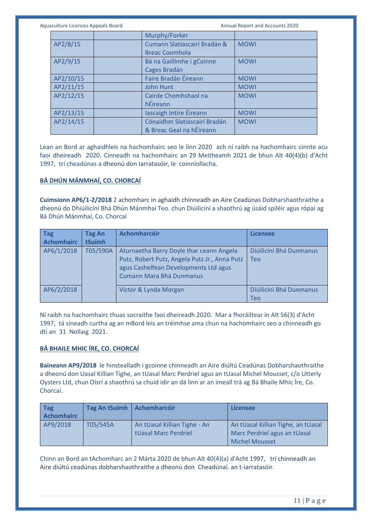Aquaculture Licences Appeals Board **Annual Report and Accounts 2020** Annual Report and Accounts 2020

|           | Murphy/Forker                |             |
|-----------|------------------------------|-------------|
| AP2/8/15  | Cumann Slatiascairí Bradán & | <b>MOWI</b> |
|           | <b>Breac Coomhola</b>        |             |
| AP2/9/15  | Bá na Gaillimhe i gCoinne    | <b>MOWI</b> |
|           | Cages Bradán                 |             |
| AP2/10/15 | Faire Bradán Éireann         | <b>MOWI</b> |
| AP2/11/15 | <b>John Hunt</b>             | <b>MOWI</b> |
| AP2/12/15 | Cairde Chomhshaol na         | <b>MOWI</b> |
|           | hÉireann                     |             |
| AP2/13/15 | lascaigh Intíre Éireann      | <b>MOWI</b> |
| AP2/14/15 | Cónaidhm Slatiascairí Bradán | <b>MOWI</b> |
|           | & Breac Geal na hÉireann     |             |

Lean an Bord ar aghaidhleis na hachomhairc seo le linn 2020 ach ní raibh na hachomhairc cinnte acu faoi dheireadh 2020. Cinneadh na hachomhairc an 29 Meitheamh 2021 de bhun Alt 40(4)(b) d'Acht 1997, trí cheadúnas a dheonú don Iarratasóir, le coinníollacha.

# **BÁ DHÚN MÁNMHAÍ, CO. CHORCAÍ**

**Cuimsíonn AP6/1-2/2018** 2 achomharc in aghaidh chinneadh an Aire Ceadúnas Dobharshaothraithe a dheonú do Dhiúilicíní Bhá Dhún Mánmhaí Teo. chun Diúilicíní a shaothrú ag úsáid spiléir agus rópaí ag Bá Dhún Mánmhaí, Co. Chorcaí

| <b>Tag</b><br><b>Achomhairc</b> | Tag An<br>tSuímh | <b>Achomharcóir</b>                                                                                                                                                   | <b>Licensee</b>                |
|---------------------------------|------------------|-----------------------------------------------------------------------------------------------------------------------------------------------------------------------|--------------------------------|
| AP6/1/2018                      | T05/590A         | Aturnaetha Barry Doyle thar ceann Angela<br>Putz, Robert Putz, Angela Putz Jr., Anna Putz<br>agus Cashelfean Developments Ltd agus<br><b>Cumann Mara Bhá Dunmanus</b> | Diúilicíní Bhá Dunmanus<br>Teo |
| AP6/2/2018                      |                  | Victor & Lynda Morgan                                                                                                                                                 | Diúilicíní Bhá Dunmanus<br>Teo |

Ní raibh na hachomhairc thuas socraithe faoi dheireadh 2020. Mar a fhoráiltear in Alt 56(3) d'Acht 1997, tá síneadh curtha ag an mBord leis an tréimhse ama chun na hachomhairc seo a chinneadh go dtí an 31 Nollaig 2021.

### **BÁ BHAILE MHIC ÍRE, CO. CHORCAÍ**

**Baineann AP9/2018** le hinstealladh i gcoinne chinneadh an Aire diúltú Ceadúnas Dobharshaothraithe a dheonú don Uasal Killian Tighe, an tUasal Marc Perdriel agus an tUasal Michel Mousset, c/o Utterly Oysters Ltd, chun Oisrí a shaothrú sa chuid idir an dá linn ar an imeall trá ag Bá Bhaile Mhic Íre, Co. Chorcaí.

| <b>Tag</b><br>Achomhairc | <b>Tag An tSuimh</b> | Achomharcóir                                         | Licensee                                                                                    |
|--------------------------|----------------------|------------------------------------------------------|---------------------------------------------------------------------------------------------|
| AP9/2018                 | T05/545A             | An tUasal Killian Tighe - An<br>tUasal Marc Perdriel | An tUasal Killian Tighe, an tUasal<br>Marc Perdriel agus an tUasal<br><b>Michel Mousset</b> |

Chinn an Bord an tAchomharc an 2 Márta 2020 de bhun Alt 40(4)(a) d'Acht 1997, trí chinneadh an Aire diúltú ceadúnas dobharshaothraithe a dheonú don Cheadúnaí. an t-iarratasóir.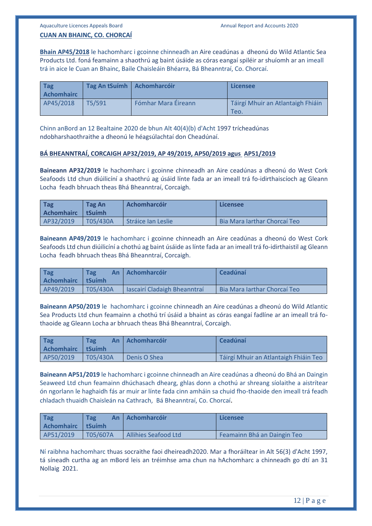# **CUAN AN BHAINC, CO. CHORCAÍ**

**Bhain AP45/2018** le hachomharc i gcoinne chinneadh an Aire ceadúnas a dheonú do Wild Atlantic Sea Products Ltd. foná feamainn a shaothrú ag baint úsáide as córas eangaí spiléir ar shuíomh ar an imeall trá in aice le Cuan an Bhainc, Baile Chaisleáin Bhéarra, Bá Bheanntraí, Co. Chorcaí.

| <b>Tag</b><br><b>Achomhairc</b> | Tag An tSuímh   Achomharcóir |                     | <b>Licensee</b>                           |
|---------------------------------|------------------------------|---------------------|-------------------------------------------|
| AP45/2018                       | T5/591                       | Fómhar Mara Éireann | Táirgí Mhuir an Atlantaigh Fhiáin<br>Teo. |

Chinn anBord an 12 Bealtaine 2020 de bhun Alt 40(4)(b) d'Acht 1997 trícheadúnas ndobharshaothraithe a dheonú le héagsúlachtaí don Cheadúnaí.

#### **BÁ BHEANNTRAÍ, CORCAIGH AP32/2019, AP 49/2019, AP50/2019 agus AP51/2019**

**Baineann AP32/2019** le hachomharc i gcoinne chinneadh an Aire ceadúnas a dheonú do West Cork Seafoods Ltd chun diúilicíní a shaothrú ag úsáid línte fada ar an imeall trá fo-idirthaiscíoch ag Gleann Locha feadh bhruach theas Bhá Bheanntraí, Corcaigh.

| <b>Tag</b><br>Achomhairc LtSuímh | Tag An   | <b>Achomharcóir</b> | Licensee                     |
|----------------------------------|----------|---------------------|------------------------------|
| AP32/2019                        | T05/430A | Stráice Ian Leslie  | Bia Mara Jarthar Chorcaí Teo |

**Baineann AP49/2019** le hachomharc i gcoinne chinneadh an Aire ceadúnas a dheonú do West Cork Seafoods Ltd chun diúilicíní a chothú ag baint úsáide as línte fada ar an imeall trá fo-idirthaistil ag Gleann Locha feadh bhruach theas Bhá Bheanntraí, Corcaigh.

| Tag<br>Achomhairc LtSuímh | <b>Tag</b> | An   Achomharcóir            | Ceadúnaí                     |
|---------------------------|------------|------------------------------|------------------------------|
| AP49/2019                 | T05/430A   | lascairí Cladaigh Bheanntraí | Bia Mara Iarthar Chorcaí Teo |

**Baineann AP50/2019** le hachomharc i gcoinne chinneadh an Aire ceadúnas a dheonú do Wild Atlantic Sea Products Ltd chun feamainn a chothú trí úsáid a bhaint as córas eangaí fadlíne ar an imeall trá fothaoide ag Gleann Locha ar bhruach theas Bhá Bheanntraí, Corcaigh.

| Tag<br><b>Achomhairc</b> I tSuímh | <b>Tag</b> | An   Achomharcóir | Ceadúnaí                              |
|-----------------------------------|------------|-------------------|---------------------------------------|
| AP50/2019                         | T05/430A   | Denis O Shea      | Táirgí Mhuir an Atlantaigh Fhiáin Teo |

**Baineann AP51/2019** le hachomharc i gcoinne chinneadh an Aire ceadúnas a dheonú do Bhá an Daingin Seaweed Ltd chun feamainn dhúchasach dhearg, ghlas donn a chothú ar shreang síolaithe a aistrítear ón ngorlann le haghaidh fás ar muir ar línte fada cinn amháin sa chuid fho-thaoide den imeall trá feadh chladach thuaidh Chaisleán na Cathrach, Bá Bheanntraí, Co. Chorcaí.

| Tag<br><b>Achomhairc</b> | <b>Tag</b><br>An.<br>l tSuímh | <b>Bachomharcóir</b>        | Licensee                    |
|--------------------------|-------------------------------|-----------------------------|-----------------------------|
| AP51/2019                | T05/607A                      | <b>Allihies Seafood Ltd</b> | Feamainn Bhá an Daingin Teo |

Ní raibhna hachomharc thuas socraithe faoi dheireadh2020. Mar a fhoráiltear in Alt 56(3) d'Acht 1997, tá síneadh curtha ag an mBord leis an tréimhse ama chun na hAchomharc a chinneadh go dtí an 31 Nollaig 2021.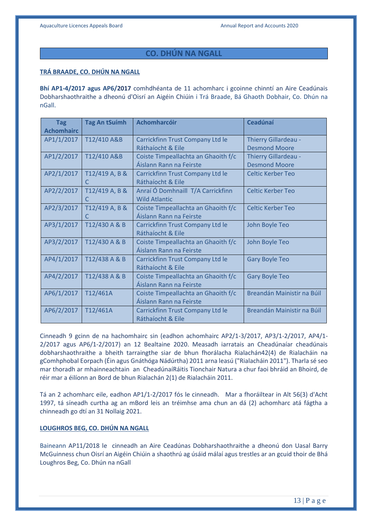# **CO. DHÚN NA NGALL**

#### **TRÁ BRAADE, CO. DHÚN NA NGALL**

**Bhí AP1-4/2017 agus AP6/2017** comhdhéanta de 11 achomharc i gcoinne chinntí an Aire Ceadúnais Dobharshaothraithe a dheonú d'Oisrí an Aigéin Chiúin i Trá Braade, Bá Ghaoth Dobhair, Co. Dhún na nGall.

| <b>Tag</b>        | <b>Tag An tSuímh</b> | <b>Achomharcóir</b>                 | <b>Ceadúnaí</b>            |
|-------------------|----------------------|-------------------------------------|----------------------------|
| <b>Achomhairc</b> |                      |                                     |                            |
| AP1/1/2017        | T12/410 A&B          | Carrickfinn Trust Company Ltd le    | Thierry Gillardeau -       |
|                   |                      | Ráthaíocht & Eile                   | <b>Desmond Moore</b>       |
| AP1/2/2017        | T12/410 A&B          | Coiste Timpeallachta an Ghaoith f/c | Thierry Gillardeau -       |
|                   |                      | Áislann Rann na Feirste             | <b>Desmond Moore</b>       |
| AP2/1/2017        | T12/419 A, B &       | Carrickfinn Trust Company Ltd le    | <b>Celtic Kerber Teo</b>   |
|                   | C                    | Ráthaíocht & Eile                   |                            |
| AP2/2/2017        | T12/419 A, B &       | Anraí Ó Domhnaill T/A Carrickfinn   | <b>Celtic Kerber Teo</b>   |
|                   | C                    | <b>Wild Atlantic</b>                |                            |
| AP2/3/2017        | T12/419 A, B &       | Coiste Timpeallachta an Ghaoith f/c | <b>Celtic Kerber Teo</b>   |
|                   | C                    | Áislann Rann na Feirste             |                            |
| AP3/1/2017        | T12/430 A & B        | Carrickfinn Trust Company Ltd le    | John Boyle Teo             |
|                   |                      | Ráthaíocht & Eile                   |                            |
| AP3/2/2017        | T12/430 A & B        | Coiste Timpeallachta an Ghaoith f/c | John Boyle Teo             |
|                   |                      | Áislann Rann na Feirste             |                            |
| AP4/1/2017        | T12/438 A & B        | Carrickfinn Trust Company Ltd le    | <b>Gary Boyle Teo</b>      |
|                   |                      | Ráthaíocht & Eile                   |                            |
| AP4/2/2017        | T12/438 A & B        | Coiste Timpeallachta an Ghaoith f/c | <b>Gary Boyle Teo</b>      |
|                   |                      | Áislann Rann na Feirste             |                            |
| AP6/1/2017        | T12/461A             | Coiste Timpeallachta an Ghaoith f/c | Breandán Mainistir na Búil |
|                   |                      | Áislann Rann na Feirste             |                            |
| AP6/2/2017        | T12/461A             | Carrickfinn Trust Company Ltd le    | Breandán Mainistir na Búil |
|                   |                      | Ráthaíocht & Eile                   |                            |

Cinneadh 9 gcinn de na hachomhairc sin (eadhon achomhairc AP2/1-3/2017, AP3/1-2/2017, AP4/1- 2/2017 agus AP6/1-2/2017) an 12 Bealtaine 2020. Measadh iarratais an Cheadúnaíar cheadúnais dobharshaothraithe a bheith tarraingthe siar de bhun fhorálacha Rialachán42(4) de Rialacháin na gComhphobal Eorpach (Éin agus Gnáthóga Nádúrtha) 2011 arna leasú ("Rialacháin 2011"). Tharla sé seo mar thoradh ar mhainneachtain an CheadúnaíRáitis Tionchair Natura a chur faoi bhráid an Bhoird, de réir mar a éilíonn an Bord de bhun Rialachán 2(1) de Rialacháin 2011.

Tá an 2 achomharc eile, eadhon AP1/1-2/2017 fós le cinneadh. Mar a fhoráiltear in Alt 56(3) d'Acht 1997, tá síneadh curtha ag an mBord leis an tréimhse ama chun an dá (2) achomharc atá fágtha a chinneadh go dtí an 31 Nollaig 2021.

# **LOUGHROS BEG, CO. DHÚN NA NGALL**

Baineann AP11/2018 le cinneadh an Aire Ceadúnas Dobharshaothraithe a dheonú don Uasal Barry McGuinness chun Oisrí an Aigéin Chiúin a shaothrú ag úsáid málaí agus trestles ar an gcuid thoir de Bhá Loughros Beg, Co. Dhún na nGall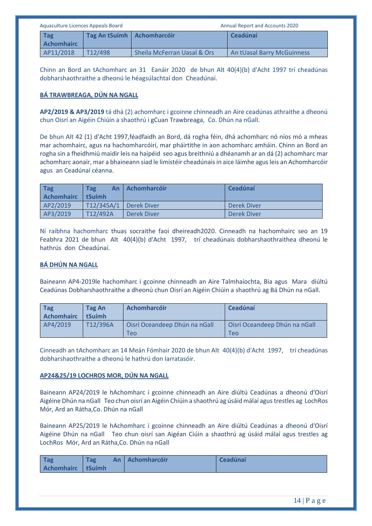| Aquaculture Licences Appeals Board |                              |                             | <b>Annual Report and Accounts 2020</b> |
|------------------------------------|------------------------------|-----------------------------|----------------------------------------|
| <b>Tag</b><br><b>Achomhairc</b>    | Tag An tSuímh   Achomharcóir |                             | Ceadúnaí                               |
| AP11/2018                          | T12/498                      | Sheila McFerran Uasal & Ors | An tUasal Barry McGuinness             |

Chinn an Bord an tAchomharc an 31 Eanáir 2020 de bhun Alt 40(4)(b) d'Acht 1997 trí cheadúnas dobharshaothraithe a dheonú le héagsúlachtaí don Cheadúnaí.

# **BÁ TRAWBREAGA, DÚN NA NGALL**

**AP2/2019 & AP3/2019** tá dhá (2) achomharc i gcoinne chinneadh an Aire ceadúnas athraithe a dheonú chun Oisrí an Aigéin Chiúin a shaothrú i gCuan Trawbreaga, Co. Dhún na nGall.

De bhun Alt 42 (1) d'Acht 1997,féadfaidh an Bord, dá rogha féin, dhá achomharc nó níos mó a mheas mar achomhairc, agus na hachomharcóirí, mar pháirtithe in aon achomharc amháin. Chinn an Bord an rogha sin a fheidhmiú maidir leis na haipéid seo agus breithniú a dhéanamh ar an dá (2) achomharc mar achomharc aonair, mar a bhaineann siad le limistéir cheadúnais in aice láimhe agus leis an Achomharcóir agus an Ceadúnaí céanna.

| <b>Tag</b><br><b>Achomhairc</b> | <b>Tag</b><br>tSuímh   | An   Achomharcóir | <b>Ceadúnaí</b> |
|---------------------------------|------------------------|-------------------|-----------------|
| AP2/2019                        | T12/345A/1 Derek Diver |                   | Derek Diver     |
| AP3/2019                        | T12/492A               | Derek Diver       | Derek Diver     |

Ní raibhna hachomharc thuas socraithe faoi dheireadh2020. Cinneadh na hachomhairc seo an 19 Feabhra 2021 de bhun Alt 40(4)(b) d'Acht 1997, trí cheadúnais dobharshaothraithea dheonú le hathrús don Cheadúnaí.

# **BÁ DHÚN NA NGALL**

Baineann AP4-2019le hachomharc i gcoinne chinneadh an Aire Talmhaíochta, Bia agus Mara diúltú Ceadúnas Dobharshaothraithe a dheonú chun Oisrí an Aigéin Chiúin a shaothrú ag Bá Dhún na nGall.

| <b>Tag</b><br><b>Achomhairc</b> | Tag An<br>tSuímh | <b>Achomharcóir</b>                  | Ceadúnaí                             |
|---------------------------------|------------------|--------------------------------------|--------------------------------------|
| AP4/2019                        | T12/396A         | Oisrí Oceandeep Dhún na nGall<br>Teo | Oisrí Oceandeep Dhún na nGall<br>Teo |

Cinneadh an tAchomharc an 14 Meán Fómhair 2020 de bhun Alt 40(4)(b) d'Acht 1997, trí cheadúnas dobharshaothraithe a dheonú le hathrú don Iarratasóir.

### **AP24&25/19 LOCHROS MOR, DÚN NA NGALL**

Baineann AP24/2019 le hAchomharc i gcoinne chinneadh an Aire diúltú Ceadúnas a dheonú d'Oisrí Aigéine Dhún na nGall Teo chun oisrí an Aigéin Chiúin a shaothrú ag úsáid málaí agus trestles ag LochRos Mór, Ard an Rátha,Co. Dhún na nGall

Baineann AP25/2019 le hAchomharc i gcoinne chinneadh an Aire diúltú Ceadúnas a dheonú d'Oisrí Aigéine Dhún na nGall Teo chun oisrí san Aigéan Ciúin a shaothrú ag úsáid málaí agus trestles ag LochRos Mór, Ard an Rátha,Co. Dhún na nGall

| Tag<br>Tag.<br>Achomhairc   tSuímh |  | An Achomharcóir | <b>Ceadúnaí</b> |
|------------------------------------|--|-----------------|-----------------|
|------------------------------------|--|-----------------|-----------------|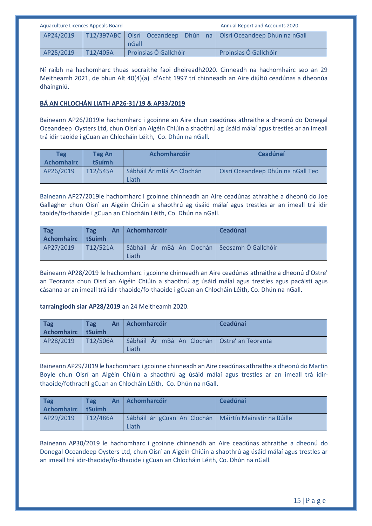| Aquaculture Licences Appeals Board | <b>Annual Report and Accounts 2020</b> |                       |                                                                      |
|------------------------------------|----------------------------------------|-----------------------|----------------------------------------------------------------------|
| AP24/2019                          |                                        | nGall                 | T12/397ABC   Oisrí Oceandeep Dhún na   Oisrí Oceandeep Dhún na nGall |
| AP25/2019                          | $\boxed{712/405}$                      | Proinsias Ó Gallchóir | Proinsias Ó Gallchóir                                                |

Ní raibh na hachomharc thuas socraithe faoi dheireadh2020. Cinneadh na hachomhairc seo an 29 Meitheamh 2021, de bhun Alt 40(4)(a) d'Acht 1997 trí chinneadh an Aire diúltú ceadúnas a dheonúa dhaingniú.

# **BÁ AN CHLOCHÁN LIATH AP26-31/19 & AP33/2019**

Baineann AP26/2019le hachomharc i gcoinne an Aire chun ceadúnas athraithe a dheonú do Donegal Oceandeep Oysters Ltd, chun Oisrí an Aigéin Chiúin a shaothrú ag úsáid málaí agus trestles ar an imeall trá idir taoide i gCuan an Chlocháin Léith, Co. Dhún na nGall.

| <b>Tag</b><br><b>Achomhairc</b> | <b>Tag An</b><br><b>tSuímh</b> | <b>Achomharcóir</b>                | <b>Ceadúnaí</b>                   |
|---------------------------------|--------------------------------|------------------------------------|-----------------------------------|
| AP26/2019                       | T12/545A                       | Sábháil Ár mBá An Clochán<br>Liath | Oisrí Oceandeep Dhún na nGall Teo |

Baineann AP27/2019le hachomharc i gcoinne chinneadh an Aire ceadúnas athraithe a dheonú do Joe Gallagher chun Oisrí an Aigéin Chiúin a shaothrú ag úsáid málaí agus trestles ar an imeall trá idir taoide/fo-thaoide i gCuan an Chlocháin Léith, Co. Dhún na nGall.

| Tag<br>Achomhairc I tSuímh | <b>Tag</b> | An Achomharcóir                                        | Ceadúnaí |
|----------------------------|------------|--------------------------------------------------------|----------|
| AP27/2019                  | T12/521A   | Sábháil Ár mBá An Clochán Seosamh Ó Gallchóir<br>Liath |          |

Baineann AP28/2019 le hachomharc i gcoinne chinneadh an Aire ceadúnas athraithe a dheonú d'Ostre' an Teoranta chun Oisrí an Aigéin Chiúin a shaothrú ag úsáid málaí agus trestles agus pacáistí agus cásanna ar an imeall trá idir-thaoide/fo-thaoide i gCuan an Chlocháin Léith, Co. Dhún na nGall.

### **tarraingíodh siar AP28/2019** an 24 Meitheamh 2020.

| $\overline{\phantom{a}}$ Tag<br>Achomhairc I tSuímh | <b>Tag</b> | An Achomharcóir                                         | Ceadúnaí |
|-----------------------------------------------------|------------|---------------------------------------------------------|----------|
| AP28/2019                                           | T12/506A   | Sábháil Ár mBá An Clochán   Ostre' an Teoranta<br>Liath |          |

Baineann AP29/2019 le hachomharc i gcoinne chinneadh an Aire ceadúnas athraithe a dheonú do Martin Boyle chun Oisrí an Aigéin Chiúin a shaothrú ag úsáid málaí agus trestles ar an imeall trá idirthaoide/fothrachi gCuan an Chlocháin Léith, Co. Dhún na nGall.

| Tag<br>Achomhairc   tSuímh | <b>Tag</b> | An   Achomharcóir                                                  | Ceadúnaí |
|----------------------------|------------|--------------------------------------------------------------------|----------|
| AP29/2019                  | T12/486A   | Sábháil ár gCuan An Clochán   Máirtín Mainistir na Búille<br>Liath |          |

Baineann AP30/2019 le hachomharc i gcoinne chinneadh an Aire ceadúnas athraithe a dheonú do Donegal Oceandeep Oysters Ltd, chun Oisrí an Aigéin Chiúin a shaothrú ag úsáid málaí agus trestles ar an imeall trá idir-thaoide/fo-thaoide i gCuan an Chlocháin Léith, Co. Dhún na nGall.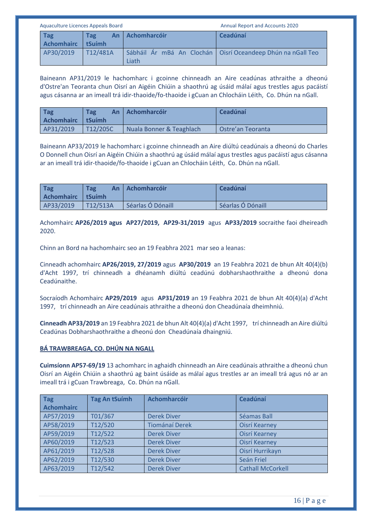| Aquaculture Licences Appeals Board |               | <b>Annual Report and Accounts 2020</b> |                                                               |
|------------------------------------|---------------|----------------------------------------|---------------------------------------------------------------|
| <b>Tag</b><br><b>Achomhairc</b>    | Tag<br>tSuímh | An Achomharcóir                        | Ceadúnaí                                                      |
| AP30/2019                          | T12/481A      | Liath                                  | Sábháil Ár mBá An Clochán   Oisrí Oceandeep Dhún na nGall Teo |

Baineann AP31/2019 le hachomharc i gcoinne chinneadh an Aire ceadúnas athraithe a dheonú d'Ostre'an Teoranta chun Oisrí an Aigéin Chiúin a shaothrú ag úsáid málaí agus trestles agus pacáistí agus cásanna ar an imeall trá idir-thaoide/fo-thaoide i gCuan an Chlocháin Léith, Co. Dhún na nGall.

| <b>Tag</b><br><b>Achomhairc</b> | <b>Tag</b><br>An<br>I tSuímh | <b>Lachomharcóir</b>     | Ceadúnaí          |
|---------------------------------|------------------------------|--------------------------|-------------------|
| AP31/2019                       | T12/205C                     | Nuala Bonner & Teaghlach | Ostre'an Teoranta |

Baineann AP33/2019 le hachomharc i gcoinne chinneadh an Aire diúltú ceadúnais a dheonú do Charles O Donnell chun Oisrí an Aigéin Chiúin a shaothrú ag úsáid málaí agus trestles agus pacáistí agus cásanna ar an imeall trá idir-thaoide/fo-thaoide i gCuan an Chlocháin Léith, Co. Dhún na nGall.

| Tag<br>Achomhairc I tSuímh | <b>Tag</b> | An   Achomharcóir | Ceadúnaí          |
|----------------------------|------------|-------------------|-------------------|
| AP33/2019                  | T12/513A   | Séarlas Ó Dónaill | Séarlas Ó Dónaill |

Achomhairc **AP26/2019 agus AP27/2019, AP29-31/2019** agus **AP33/2019** socraithe faoi dheireadh 2020.

Chinn an Bord na hachomhairc seo an 19 Feabhra 2021 mar seo a leanas:

Cinneadh achomhairc **AP26/2019, 27/2019** agus **AP30/2019** an 19 Feabhra 2021 de bhun Alt 40(4)(b) d'Acht 1997, trí chinneadh a dhéanamh diúltú ceadúnú dobharshaothraithe a dheonú dona Ceadúnaithe.

Socraíodh Achomhairc **AP29/2019** agus **AP31/2019** an 19 Feabhra 2021 de bhun Alt 40(4)(a) d'Acht 1997, trí chinneadh an Aire ceadúnais athraithe a dheonú don Cheadúnaía dheimhniú.

**Cinneadh AP33/2019** an 19 Feabhra 2021 de bhun Alt 40(4)(a) d'Acht 1997, trí chinneadh an Aire diúltú Ceadúnas Dobharshaothraithe a dheonú don Cheadúnaía dhaingniú.

# **BÁ TRAWBREAGA, CO. DHÚN NA NGALL**

**Cuimsíonn AP57-69/19** 13 achomharc in aghaidh chinneadh an Aire ceadúnais athraithe a dheonú chun Oisrí an Aigéin Chiúin a shaothrú ag baint úsáide as málaí agus trestles ar an imeall trá agus nó ar an imeall trá i gCuan Trawbreaga, Co. Dhún na nGall.

| <b>Tag</b><br><b>Achomhairc</b> | <b>Tag An tSuímh</b> | <b>Achomharcóir</b>   | Ceadúnaí                 |
|---------------------------------|----------------------|-----------------------|--------------------------|
|                                 |                      |                       |                          |
| AP57/2019                       | T01/367              | <b>Derek Diver</b>    | Séamas Ball              |
| AP58/2019                       | T12/520              | <b>Tiománaí Derek</b> | <b>Oisrí Kearney</b>     |
| AP59/2019                       | T12/522              | <b>Derek Diver</b>    | <b>Oisrí Kearney</b>     |
| AP60/2019                       | T12/523              | <b>Derek Diver</b>    | <b>Oisrí Kearney</b>     |
| AP61/2019                       | T12/528              | <b>Derek Diver</b>    | Oisrí Hurrikayn          |
| AP62/2019                       | T12/530              | <b>Derek Diver</b>    | Seán Friel               |
| AP63/2019                       | T12/542              | <b>Derek Diver</b>    | <b>Cathall McCorkell</b> |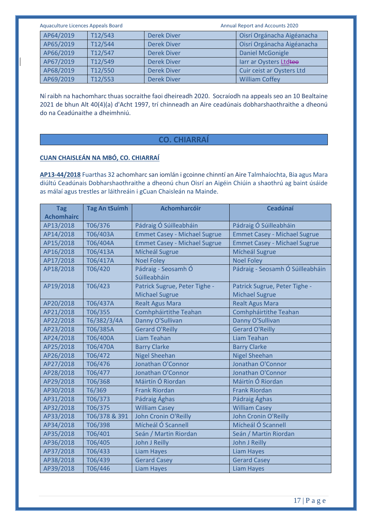| Aquaculture Licences Appeals Board |         | <b>Annual Report and Accounts 2020</b> |                            |
|------------------------------------|---------|----------------------------------------|----------------------------|
| AP64/2019                          | T12/543 | <b>Derek Diver</b>                     | Oisrí Orgánacha Aigéanacha |
| AP65/2019                          | T12/544 | <b>Derek Diver</b>                     | Oisrí Orgánacha Aigéanacha |
| AP66/2019                          | T12/547 | <b>Derek Diver</b>                     | <b>Daniel McGonigle</b>    |
| AP67/2019                          | T12/549 | <b>Derek Diver</b>                     | larr ar Oysters Ltdteo     |
| AP68/2019                          | T12/550 | <b>Derek Diver</b>                     | Cuir ceist ar Oysters Ltd  |
| AP69/2019                          | T12/553 | <b>Derek Diver</b>                     | <b>William Coffey</b>      |

Ní raibh na hachomharc thuas socraithe faoi dheireadh 2020. Socraíodh na appeals seo an 10 Bealtaine 2021 de bhun Alt 40(4)(a) d'Acht 1997, trí chinneadh an Aire ceadúnais dobharshaothraithe a dheonú do na Ceadúnaithe a dheimhniú.

# **CO. CHIARRAÍ**

# **CUAN CHAISLEÁN NA MBÓ, CO. CHIARRAÍ**

**AP13-44/2018** Fuarthas 32 achomharc san iomlán i gcoinne chinntí an Aire Talmhaíochta, Bia agus Mara diúltú Ceadúnais Dobharshaothraithe a dheonú chun Oisrí an Aigéin Chiúin a shaothrú ag baint úsáide as málaí agus trestles ar láithreáin i gCuan Chaisleán na Mainde.

| <b>Tag</b><br><b>Achomhairc</b> | <b>Tag An tSuímh</b> | <b>Achomharcóir</b>                                    | <b>Ceadúnaí</b>                                        |
|---------------------------------|----------------------|--------------------------------------------------------|--------------------------------------------------------|
| AP13/2018                       | T06/376              | Pádraig Ó Súilleabháin                                 | Pádraig Ó Súilleabháin                                 |
| AP14/2018                       | T06/403A             | <b>Emmet Casey - Michael Sugrue</b>                    | <b>Emmet Casey - Michael Sugrue</b>                    |
| AP15/2018                       | T06/404A             | <b>Emmet Casey - Michael Sugrue</b>                    | <b>Emmet Casey - Michael Sugrue</b>                    |
| AP16/2018                       | T06/413A             | Mícheál Sugrue                                         | Mícheál Sugrue                                         |
| AP17/2018                       | T06/417A             | <b>Noel Foley</b>                                      | <b>Noel Folev</b>                                      |
| AP18/2018                       | T06/420              | Pádraig - Seosamh Ó<br>Súilleabháin                    | Pádraig - Seosamh Ó Súilleabháin                       |
| AP19/2018                       | T06/423              | Patrick Sugrue, Peter Tighe -<br><b>Michael Sugrue</b> | Patrick Sugrue, Peter Tighe -<br><b>Michael Sugrue</b> |
| AP20/2018                       | T06/437A             | <b>Realt Agus Mara</b>                                 | <b>Realt Agus Mara</b>                                 |
| AP21/2018                       | T06/355              | Comhpháirtithe Teahan                                  | Comhpháirtithe Teahan                                  |
| AP22/2018                       | T6/382/3/4A          | Danny O'Sullivan                                       | Danny O'Sullivan                                       |
| AP23/2018                       | T06/385A             | <b>Gerard O'Reilly</b>                                 | <b>Gerard O'Reilly</b>                                 |
| AP24/2018                       | T06/400A             | <b>Liam Teahan</b>                                     | Liam Teahan                                            |
| AP25/2018                       | T06/470A             | <b>Barry Clarke</b>                                    | <b>Barry Clarke</b>                                    |
| AP26/2018                       | T06/472              | <b>Nigel Sheehan</b>                                   | <b>Nigel Sheehan</b>                                   |
| AP27/2018                       | T06/476              | Jonathan O'Connor                                      | Jonathan O'Connor                                      |
| AP28/2018                       | T06/477              | Jonathan O'Connor                                      | Jonathan O'Connor                                      |
| AP29/2018                       | T06/368              | Máirtín Ó Riordan                                      | Máirtín Ó Riordan                                      |
| AP30/2018                       | T6/369               | <b>Frank Riordan</b>                                   | <b>Frank Riordan</b>                                   |
| AP31/2018                       | T06/373              | Pádraig Ághas                                          | Pádraig Ághas                                          |
| AP32/2018                       | T06/375              | <b>William Casey</b>                                   | <b>William Casey</b>                                   |
| AP33/2018                       | T06/378 & 391        | John Cronin O'Reilly                                   | John Cronin O'Reilly                                   |
| AP34/2018                       | T06/398              | Mícheál Ó Scannell                                     | Mícheál Ó Scannell                                     |
| AP35/2018                       | T06/401              | Seán / Martin Riordan                                  | Seán / Martin Riordan                                  |
| AP36/2018                       | T06/405              | John J Reilly                                          | John J Reilly                                          |
| AP37/2018                       | T06/433              | <b>Liam Hayes</b>                                      | <b>Liam Hayes</b>                                      |
| AP38/2018                       | T06/439              | <b>Gerard Casey</b>                                    | <b>Gerard Casey</b>                                    |
| AP39/2018                       | T06/446              | <b>Liam Hayes</b>                                      | <b>Liam Hayes</b>                                      |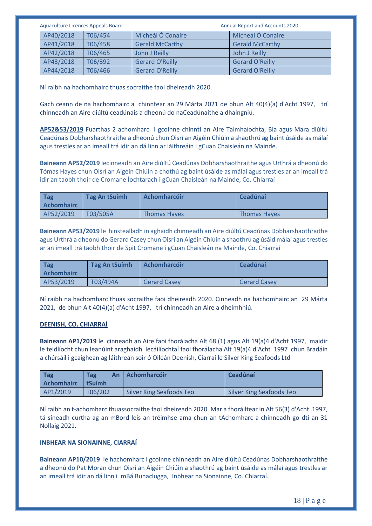| Aquaculture Licences Appeals Board | Annual Report and Accounts 2020 |                        |
|------------------------------------|---------------------------------|------------------------|
| AP40/2018<br>T06/454               | Mícheál Ó Conaire               | Mícheál Ó Conaire      |
| AP41/2018<br>T06/458               | <b>Gerald McCarthy</b>          | <b>Gerald McCarthy</b> |
| AP42/2018<br>T06/465               | John J Reilly                   | John J Reilly          |
| AP43/2018<br>T06/392               | <b>Gerard O'Reilly</b>          | <b>Gerard O'Reilly</b> |
| AP44/2018<br>T06/466               | <b>Gerard O'Reilly</b>          | <b>Gerard O'Reilly</b> |

Ní raibh na hachomhairc thuas socraithe faoi dheireadh 2020.

Gach ceann de na hachomhairc a chinntear an 29 Márta 2021 de bhun Alt 40(4)(a) d'Acht 1997, trí chinneadh an Aire diúltú ceadúnais a dheonú do naCeadúnaithe a dhaingniú.

**AP52&53/2019** Fuarthas 2 achomharc i gcoinne chinntí an Aire Talmhaíochta, Bia agus Mara diúltú Ceadúnais Dobharshaothraithe a dheonú chun Oisrí an Aigéin Chiúin a shaothrú ag baint úsáide as málaí agus trestles ar an imeall trá idir an dá linn ar láithreáin i gCuan Chaisleán na Mainde.

**Baineann AP52/2019** lecinneadh an Aire diúltú Ceadúnas Dobharshaothraithe agus Urthrá a dheonú do Tómas Hayes chun Oisrí an Aigéin Chiúin a chothú ag baint úsáide as málaí agus trestles ar an imeall trá idir an taobh thoir de Cromane Íochtarach i gCuan Chaisleán na Mainde, Co. Chiarraí

| Tag<br><b>Achomhairc</b> | Tag An tSuímh | <b>Achomharcóir</b> | Ceadúnaí            |
|--------------------------|---------------|---------------------|---------------------|
| AP52/2019                | T03/505A      | <b>Thomas Haves</b> | <b>Thomas Haves</b> |

**Baineann AP53/2019** le hinstealladh in aghaidh chinneadh an Aire diúltú Ceadúnas Dobharshaothraithe agus Urthrá a dheonú do Gerard Casey chun Oisrí an Aigéin Chiúin a shaothrú ag úsáid málaí agus trestles ar an imeall trá taobh thoir de Spit Cromane i gCuan Chaisleán na Mainde, Co. Chiarraí

| Tag<br><b>Achomhairc</b> | Tag An tSuímh | <b>Achomharcóir</b> | <b>Ceadúnaí</b>     |
|--------------------------|---------------|---------------------|---------------------|
| AP53/2019                | T03/494A      | <b>Gerard Casev</b> | <b>Gerard Casev</b> |

Ní raibh na hachomharc thuas socraithe faoi dheireadh 2020. Cinneadh na hachomhairc an 29 Márta 2021, de bhun Alt 40(4)(a) d'Acht 1997, trí chinneadh an Aire a dheimhniú.

### **DEENISH, CO. CHIARRAÍ**

**Baineann AP1/2019** le cinneadh an Aire faoi fhorálacha Alt 68 (1) agus Alt 19(a)4 d'Acht 1997, maidir le teidlíocht chun leanúint araghaidh lecáilíochtaí faoi fhorálacha Alt 19(a)4 d'Acht 1997 chun Bradáin a chúrsáil i gcaighean ag láithreán soir ó Oileán Deenish, Ciarraí le Silver King Seafoods Ltd

| Tag<br>Achomhairc   tSuímh | <b>Tag</b> | An   Achomharcóir        | Ceadúnaí                 |
|----------------------------|------------|--------------------------|--------------------------|
| AP1/2019                   | T06/202    | Silver King Seafoods Teo | Silver King Seafoods Teo |

Ní raibh an t-achomharc thuassocraithe faoi dheireadh 2020. Mar a fhoráiltear in Alt 56(3) d'Acht 1997, tá síneadh curtha ag an mBord leis an tréimhse ama chun an tAchomharc a chinneadh go dtí an 31 Nollaig 2021.

#### **INBHEAR NA SIONAINNE, CIARRAÍ**

**Baineann AP10/2019** le hachomharc i gcoinne chinneadh an Aire diúltú Ceadúnas Dobharshaothraithe a dheonú do Pat Moran chun Oisrí an Aigéin Chiúin a shaothrú ag baint úsáide as málaí agus trestles ar an imeall trá idir an dá linn i mBá Bunaclugga, Inbhear na Sionainne, Co. Chiarraí.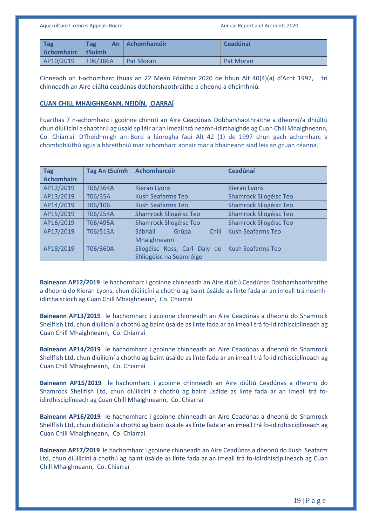| <b>Tag</b><br>Achomhairc   tSuímh | Tag<br>An | <b>Achomharcóir</b> | Ceadúnaí         |
|-----------------------------------|-----------|---------------------|------------------|
| AP10/2019                         | T06/386A  | <b>Pat Moran</b>    | <b>Pat Moran</b> |

Cinneadh an t-achomharc thuas an 22 Meán Fómhair 2020 de bhun Alt 40(4)(a) d'Acht 1997, trí chinneadh an Aire diúltú ceadúnas dobharshaothraithe a dheonú a dheimhniú.

#### **CUAN CHILL MHAIGHNEANN, NEIDÍN, CIARRAÍ**

Fuarthas 7 n-achomharc i gcoinne chinntí an Aire Ceadúnais Dobharshaothraithe a dheonú/a dhiúltú chun diúilicíní a shaothrú ag úsáid spiléir ar an imeall trá neamh-idirthaighde ag Cuan Chill Mhaighneann, Co. Chiarraí. D'fheidhmigh an Bord a lánrogha faoi Alt 42 (1) de 1997 chun gach achomharc a chomhdhlúthú agus a bhreithniú mar achomharc aonair mar a bhaineann siad leis an gcuan céanna.

| <b>Tag</b>        | <b>Tag An tSuímh</b> | Achomharcóir                     | <b>Ceadúnaí</b>               |
|-------------------|----------------------|----------------------------------|-------------------------------|
| <b>Achomhairc</b> |                      |                                  |                               |
| AP12/2019         | T06/364A             | <b>Kieran Lyons</b>              | <b>Kieran Lyons</b>           |
| AP13/2019         | T06/35A              | <b>Kush Seafarms Teo</b>         | Shamrock Sliogéisc Teo        |
| AP14/2019         | T06/106              | <b>Kush Seafarms Teo</b>         | Shamrock Sliogéisc Teo        |
| AP15/2019         | T06/254A             | <b>Shamrock Sliogéisc Teo</b>    | Shamrock Sliogéisc Teo        |
| AP16/2019         | T06/495A             | <b>Shamrock Sliogéisc Teo</b>    | <b>Shamrock Sliogéisc Teo</b> |
| AP17/2019         | T06/513A             | Sábháil<br>Grúpa<br><b>Chill</b> | <b>Kush Seafarms Teo</b>      |
|                   |                      | Mhaighneann                      |                               |
| AP18/2019         | T06/360A             | Sliogéisc Ross, Carl Daly do     | <b>Kush Seafarms Teo</b>      |
|                   |                      | Shliogéisc na Seamróige          |                               |

**Baineann AP12/2019** le hachomharc i gcoinne chinneadh an Aire diúltú Ceadúnas Dobharshaothraithe a dheonú do Kieran Lyons, chun diúilicíní a chothú ag baint úsáide as línte fada ar an imeall trá neamhidirthaiscíoch ag Cuan Chill Mhaighneann, Co. Chiarraí

**Baineann AP13/2019** le hachomharc i gcoinne chinneadh an Aire Ceadúnas a dheonú do Shamrock Shellfish Ltd, chun diúilicíní a chothú ag baint úsáide as línte fada ar an imeall trá fo-idirdhisciplíneach ag Cuan Chill Mhaighneann, Co. Chiarraí

**Baineann AP14/2019** le hachomharc i gcoinne chinneadh an Aire Ceadúnas a dheonú do Shamrock Shellfish Ltd, chun diúilicíní a chothú ag baint úsáide as línte fada ar an imeall trá fo-idirdhisciplíneach ag Cuan Chill Mhaighneann, Co. Chiarraí

**Baineann AP15/2019** le hachomharc i gcoinne chinneadh an Aire diúltú Ceadúnas a dheonú do Shamrock Shellfish Ltd, chun diúilicíní a chothú ag baint úsáide as línte fada ar an imeall trá foidirdhisciplíneach ag Cuan Chill Mhaighneann, Co. Chiarraí

**Baineann AP16/2019** le hachomharc i gcoinne chinneadh an Aire Ceadúnas a dheonú do Shamrock Shellfish Ltd, chun diúilicíní a chothú ag baint úsáide as línte fada ar an imeall trá fo-idirdhisciplíneach ag Cuan Chill Mhaighneann, Co. Chiarraí.

**Baineann AP17/2019** le hachomharc i gcoinne chinneadh an Aire Ceadúnas a dheonú do Kush Seafarm Ltd, chun diúilicíní a chothú ag baint úsáide as línte fada ar an imeall trá fo-idirdhisciplíneach ag Cuan Chill Mhaighneann, Co. Chiarraí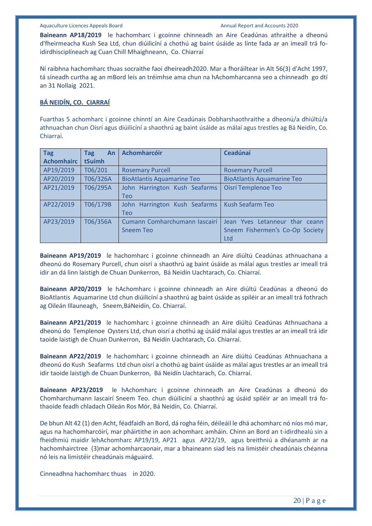**Baineann AP18/2019** le hachomharc i gcoinne chinneadh an Aire Ceadúnas athraithe a dheonú d'fheirmeacha Kush Sea Ltd, chun diúilicíní a chothú ag baint úsáide as línte fada ar an imeall trá foidirdhisciplíneach ag Cuan Chill Mhaighneann, Co. Chiarraí

Ní raibhna hachomharc thuas socraithe faoi dheireadh2020. Mar a fhoráiltear in Alt 56(3) d'Acht 1997, tá síneadh curtha ag an mBord leis an tréimhse ama chun na hAchomharcanna seo a chinneadh go dtí an 31 Nollaig 2021.

#### **BÁ NEIDÍN, CO. CIARRAÍ**

Fuarthas 5 achomharc i gcoinne chinntí an Aire Ceadúnais Dobharshaothraithe a dheonú/a dhiúltú/a athnuachan chun Oisrí agus diúilicíní a shaothrú ag baint úsáide as málaí agus trestles ag Bá Neidín, Co. Chiarraí.

| <b>Tag</b>        | An<br><b>Tag</b> | <b>Achomharcóir</b>               | <b>Ceadúnaí</b>                   |
|-------------------|------------------|-----------------------------------|-----------------------------------|
| <b>Achomhairc</b> | tSuímh           |                                   |                                   |
| AP19/2019         | T06/201          | <b>Rosemary Purcell</b>           | <b>Rosemary Purcell</b>           |
| AP20/2019         | T06/326A         | <b>BioAtlantis Aquamarine Teo</b> | <b>BioAtlantis Aquamarine Teo</b> |
| AP21/2019         | T06/295A         | John Harrington Kush Seafarms     | <b>Oisrí Templenoe Teo</b>        |
|                   |                  | <b>Teo</b>                        |                                   |
| AP22/2019         | T06/179B         | John Harrington Kush Seafarms     | <b>Kush Seafarm Teo</b>           |
|                   |                  | <b>Teo</b>                        |                                   |
| AP23/2019         | T06/356A         | Cumann Comharchumann Iascairí     | Jean Yves Letanneur thar ceann    |
|                   |                  | <b>Sneem Teo</b>                  | Sneem Fishermen's Co-Op Society   |
|                   |                  |                                   | Ltd                               |

**Baineann AP19/2019** le hachomharc i gcoinne chinneadh an Aire diúltú Ceadúnas athnuachana a dheonú do Rosemary Purcell, chun oisrí a shaothrú ag baint úsáide as málaí agus trestles ar imeall trá idir an dá linn laistigh de Chuan Dunkerron, Bá Neidín Uachtarach, Co. Chiarraí.

**Baineann AP20/2019** le hAchomharc i gcoinne chinneadh an Aire diúltú Ceadúnas a dheonú do BioAtlantis Aquamarine Ltd chun diúilicíní a shaothrú ag baint úsáide as spiléir ar an imeall trá fothrach ag Oileán Illauneagh, Sneem,BáNeidín, Co. Chiarraí.

**Baineann AP21/2019** le hachomharc i gcoinne chinneadh an Aire diúltú Ceadúnas Athnuachana a dheonú do Templenoe Oysters Ltd, chun oisrí a chothú ag úsáid málaí agus trestles ar an imeall trá idir taoide laistigh de Chuan Dunkerron, Bá Neidín Uachtarach, Co. Chiarraí.

**Baineann AP22/2019** le hachomharc i gcoinne chinneadh an Aire diúltú Ceadúnas Athnuachana a dheonú do Kush Seafarms Ltd chun oisrí a chothú ag baint úsáide as málaí agus trestles ar an imeall trá idir taoide laistigh de Chuan Dunkerron, Bá Neidín Uachtarach, Co. Chiarraí.

**Baineann AP23/2019** le hAchomharc i gcoinne chinneadh an Aire Ceadúnas a dheonú do Chomharchumann Iascairí Sneem Teo. chun diúilicíní a shaothrú ag úsáid spiléir ar an imeall trá fothaoide feadh chladach Oileán Ros Mór, Bá Neidín, Co. Chiarraí.

De bhun Alt 42 (1) den Acht, féadfaidh an Bord, dá rogha féin, déileáil le dhá achomharc nó níos mó mar, agus na hachomharcóirí, mar pháirtithe in aon achomharc amháin. Chinn an Bord an t-idirdhealú sin a fheidhmiú maidir lehAchomharc AP19/19, AP21 agus AP22/19, agus breithniú a dhéanamh ar na hachomhairctree (3)mar achomharcaonair, mar a bhaineann siad leis na limistéir cheadúnais chéanna nó leis na limistéir cheadúnais máguaird.

Cinneadhna hachomharc thuas in 2020.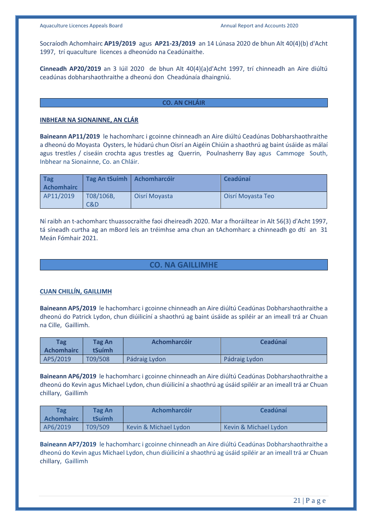Socraíodh Achomhairc **AP19/2019** agus **AP21-23/2019** an 14 Lúnasa 2020 de bhun Alt 40(4)(b) d'Acht 1997, trí quaculture licences a dheonúdo na Ceadúnaithe.

**Cinneadh AP20/2019** an 3 Iúil 2020 de bhun Alt 40(4)(a)d'Acht 1997, trí chinneadh an Aire diúltú ceadúnas dobharshaothraithe a dheonú don Cheadúnaía dhaingniú.

#### **CO. AN CHLÁIR**

#### **INBHEAR NA SIONAINNE, AN CLÁR**

**Baineann AP11/2019** le hachomharc i gcoinne chinneadh an Aire diúltú Ceadúnas Dobharshaothraithe a dheonú do Moyasta Oysters, le húdarú chun Oisrí an Aigéin Chiúin a shaothrú ag baint úsáide as málaí agus trestles / ciseáin crochta agus trestles ag Querrin, Poulnasherry Bay agus Cammoge South, Inbhear na Sionainne, Co. an Chláir.

| Tag<br><b>Achomhairc</b> | Tag An tSuímh   Achomharcóir |               | Ceadúnaí          |
|--------------------------|------------------------------|---------------|-------------------|
| AP11/2019                | T08/106B,<br>C&D.            | Oisrí Moyasta | Oisrí Moyasta Teo |

Ní raibh an t-achomharc thuassocraithe faoi dheireadh 2020. Mar a fhoráiltear in Alt 56(3) d'Acht 1997, tá síneadh curtha ag an mBord leis an tréimhse ama chun an tAchomharc a chinneadh go dtí an 31 Meán Fómhair 2021.

# **CO. NA GAILLIMHE**

#### **CUAN CHILLÍN, GAILLIMH**

**Baineann AP5/2019** le hachomharc i gcoinne chinneadh an Aire diúltú Ceadúnas Dobharshaothraithe a dheonú do Patrick Lydon, chun diúilicíní a shaothrú ag baint úsáide as spiléir ar an imeall trá ar Chuan na Cille, Gaillimh.

| <b>Tag</b><br><b>Achomhairc</b> | <b>Tag An</b><br><b>tSuímh</b> | <b>Achomharcóir</b> | <b>Ceadúnaí</b> |
|---------------------------------|--------------------------------|---------------------|-----------------|
| AP5/2019                        | T09/508                        | Pádraig Lydon       | Pádraig Lydon   |

**Baineann AP6/2019** le hachomharc i gcoinne chinneadh an Aire diúltú Ceadúnas Dobharshaothraithe a dheonú do Kevin agus Michael Lydon, chun diúilicíní a shaothrú ag úsáid spiléir ar an imeall trá ar Chuan chillary, Gaillimh

| Tag<br>Achomhairc | Tag An<br>tSuímh | <b>Achomharcóir</b>   | Ceadúnaí              |
|-------------------|------------------|-----------------------|-----------------------|
| AP6/2019          | T09/509          | Kevin & Michael Lydon | Kevin & Michael Lydon |

**Baineann AP7/2019** le hachomharc i gcoinne chinneadh an Aire diúltú Ceadúnas Dobharshaothraithe a dheonú do Kevin agus Michael Lydon, chun diúilicíní a shaothrú ag úsáid spiléir ar an imeall trá ar Chuan chillary, Gaillimh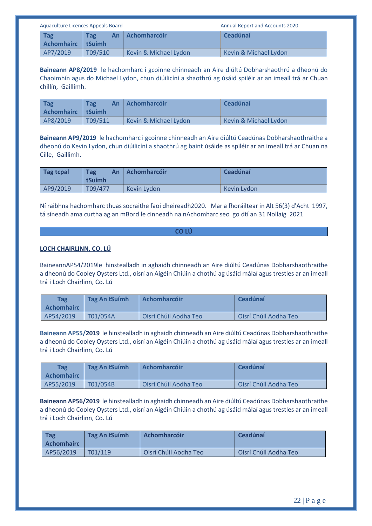| Aquaculture Licences Appeals Board |               |                       | <b>Annual Report and Accounts 2020</b> |
|------------------------------------|---------------|-----------------------|----------------------------------------|
| Tag<br><b>Achomhairc</b>           | Tag<br>tSuímh | An Achomharcóir       | Ceadúnaí                               |
| AP7/2019                           | T09/510       | Kevin & Michael Lydon | Kevin & Michael Lydon                  |

**Baineann AP8/2019** le hachomharc i gcoinne chinneadh an Aire diúltú Dobharshaothrú a dheonú do Chaoimhín agus do Michael Lydon, chun diúilicíní a shaothrú ag úsáid spiléir ar an imeall trá ar Chuan chillín, Gaillimh.

| <b>Tag</b><br><b>Achomhairc</b> | <b>Tag</b><br>An<br>tSuímh | <b>Achomharcóir</b>   | Ceadúnaí              |
|---------------------------------|----------------------------|-----------------------|-----------------------|
| AP8/2019                        | <b>T09/511</b>             | Kevin & Michael Lydon | Kevin & Michael Lydon |

**Baineann AP9/2019** le hachomharc i gcoinne chinneadh an Aire diúltú Ceadúnas Dobharshaothraithe a dheonú do Kevin Lydon, chun diúilicíní a shaothrú ag baint úsáide as spiléir ar an imeall trá ar Chuan na Cille, Gaillimh.

| Tag tcpal | <b>Tag</b><br>An<br>tSuímh | <b>Achomharcóir</b> | <b>Ceadúnaí</b> |
|-----------|----------------------------|---------------------|-----------------|
| AP9/2019  | T09/477                    | Kevin Lydon         | Kevin Lydon     |

Ní raibhna hachomharc thuas socraithe faoi dheireadh2020. Mar a fhoráiltear in Alt 56(3) d'Acht 1997, tá síneadh ama curtha ag an mBord le cinneadh na nAchomharc seo go dtí an 31 Nollaig 2021

#### **CO LÚ**

# **LOCH CHAIRLINN, CO. LÚ**

BaineannAP54/2019le hinstealladh in aghaidh chinneadh an Aire diúltú Ceadúnas Dobharshaothraithe a dheonú do Cooley Oysters Ltd., oisrí an Aigéin Chiúin a chothú ag úsáid málaí agus trestles ar an imeall trá i Loch Chairlinn, Co. Lú

| <b>Tag</b><br><b>Achomhairc</b> | Tag An tSuímh | <b>Achomharcóir</b>   | <b>Ceadúnaí</b>       |
|---------------------------------|---------------|-----------------------|-----------------------|
| AP54/2019                       | T01/054A      | Oisrí Chúil Aodha Teo | Oisrí Chúil Aodha Teo |

**Baineann AP55/2019** le hinstealladh in aghaidh chinneadh an Aire diúltú Ceadúnas Dobharshaothraithe a dheonú do Cooley Oysters Ltd., oisrí an Aigéin Chiúin a chothú ag úsáid málaí agus trestles ar an imeall trá i Loch Chairlinn, Co. Lú

| <b>Tag</b><br><b>Achomhairc</b> | Tag An tSuímh | <b>Achomharcóir</b>   | <b>Ceadúnaí</b>       |
|---------------------------------|---------------|-----------------------|-----------------------|
| AP55/2019                       | T01/054B      | Oisrí Chúil Aodha Teo | Oisrí Chúil Aodha Teo |

**Baineann AP56/2019** le hinstealladh in aghaidh chinneadh an Aire diúltú Ceadúnas Dobharshaothraithe a dheonú do Cooley Oysters Ltd., oisrí an Aigéin Chiúin a chothú ag úsáid málaí agus trestles ar an imeall trá i Loch Chairlinn, Co. Lú

| <b>Tag</b><br><b>Achomhairc</b> | Tag An tSuímh | <b>LAchomharcóir</b>  | Ceadúnaí              |
|---------------------------------|---------------|-----------------------|-----------------------|
| AP56/2019                       | T01/119       | Oisrí Chúil Aodha Teo | Oisrí Chúil Aodha Teo |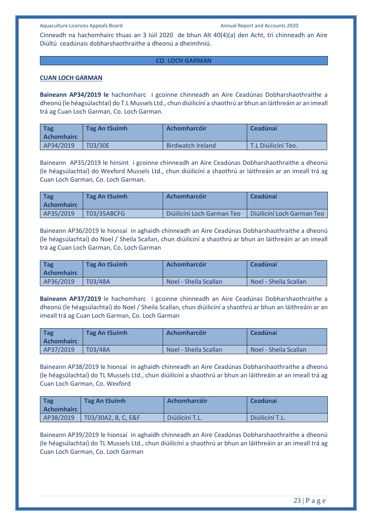Cinneadh na hachomhairc thuas an 3 Iúil 2020 de bhun Alt 40(4)(a) den Acht, trí chinneadh an Aire Diúltú ceadúnais dobharshaothraithe a dheonú a dheimhniú.

#### **CO. LOCH GARMAN**

#### **CUAN LOCH GARMAN**

**Baineann AP34/2019 le** hachomharc i gcoinne chinneadh an Aire Ceadúnas Dobharshaothraithe a dheonú (le héagsúlachtaí) do T.L Mussels Ltd., chun diúilicíní a shaothrú ar bhun an láithreáin ar an imeall trá ag Cuan Loch Garman, Co. Loch Garman.

| <b>Tag</b><br><b>Achomhairc</b> | Tag An tSuímh | <b>Achomharcóir</b> | Ceadúnaí            |
|---------------------------------|---------------|---------------------|---------------------|
| AP34/2019                       | T03/30E       | Birdwatch Ireland   | T.L Diúilicíní Teo. |

Baineann AP35/2019 le hinsint i gcoinne chinneadh an Aire Ceadúnas Dobharshaothraithe a dheonú (le héagsúlachtaí) do Wexford Mussels Ltd., chun diúilicíní a shaothrú ar láithreáin ar an imeall trá ag Cuan Loch Garman, Co. Loch Garman.

| Tag<br><b>Achomhairc</b> | Tag An tSuímh      | <b>Achomharcóir</b>        | Ceadúnaí                   |
|--------------------------|--------------------|----------------------------|----------------------------|
| AP35/2019                | <b>T03/35ABCFG</b> | Diúilicíní Loch Garman Teo | Diúilicíní Loch Garman Teo |

Baineann AP36/2019 le hionsaí in aghaidh chinneadh an Aire Ceadúnas Dobharshaothraithe a dheonú (le héagsúlachtaí) do Noel / Sheila Scallan, chun diúilicíní a shaothrú ar bhun an láithreáin ar an imeall trá ag Cuan Loch Garman, Co. Loch Garman

| Tag<br><b>Achomhairc</b> | Tag An tSuímh | <b>Achomharcóir</b>   | Ceadúnaí              |
|--------------------------|---------------|-----------------------|-----------------------|
| AP36/2019                | T03/48A       | Noel - Sheila Scallan | Noel - Sheila Scallan |

**Baineann AP37/2019** le hachomharc i gcoinne chinneadh an Aire Ceadúnas Dobharshaothraithe a dheonú (le héagsúlachtaí) do Noel / Sheila Scallan, chun diúilicíní a shaothrú ar bhun an láithreáin ar an imeall trá ag Cuan Loch Garman, Co. Loch Garman

| <b>Tag</b><br>Achomhairc | Tag An tSuímh | Achomharcóir          | Ceadúnaí              |
|--------------------------|---------------|-----------------------|-----------------------|
| AP37/2019                | T03/48A       | Noel - Sheila Scallan | Noel - Sheila Scallan |

Baineann AP38/2019 le hionsaí in aghaidh chinneadh an Aire Ceadúnas Dobharshaothraithe a dheonú (le héagsúlachtaí) do TL Mussels Ltd., chun diúilicíní a shaothrú ar bhun an láithreáin ar an imeall trá ag Cuan Loch Garman, Co. Wexford

| Tag<br><b>Achomhairc</b> | Tag An tSuímh       | <b>Achomharcóir</b> | Ceadúnaí        |
|--------------------------|---------------------|---------------------|-----------------|
| AP38/2019                | T03/30A2, B, C, E&F | Diúilicíní T.L.     | Diúilicíní T.L. |

Baineann AP39/2019 le hionsaí in aghaidh chinneadh an Aire Ceadúnas Dobharshaothraithe a dheonú (le héagsúlachtaí) do TL Mussels Ltd., chun diúilicíní a shaothrú ar bhun an láithreáin ar an imeall trá ag Cuan Loch Garman, Co. Loch Garman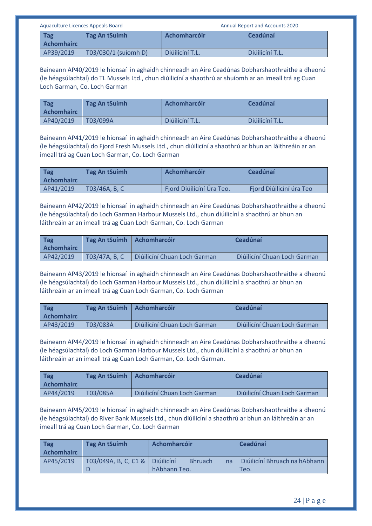| Aquaculture Licences Appeals Board |                                 |                      | <b>Annual Report and Accounts 2020</b> |                 |
|------------------------------------|---------------------------------|----------------------|----------------------------------------|-----------------|
|                                    | <b>Tag</b><br><b>Achomhairc</b> | Tag An tSuimh        | Achomharcóir                           | Ceadúnaí        |
|                                    | AP39/2019                       | T03/030/1 (suíomh D) | Diúilicíní T.L.                        | Diúilicíní T.L. |

Baineann AP40/2019 le hionsaí in aghaidh chinneadh an Aire Ceadúnas Dobharshaothraithe a dheonú (le héagsúlachtaí) do TL Mussels Ltd., chun diúilicíní a shaothrú ar shuíomh ar an imeall trá ag Cuan Loch Garman, Co. Loch Garman

| Tag<br><b>Achomhairc</b> | Tag An tSuímh | <b>Achomharcóir</b> | Ceadúnaí        |
|--------------------------|---------------|---------------------|-----------------|
| AP40/2019                | T03/099A      | Diúilicíní T.L.     | Diúilicíní T.L. |

Baineann AP41/2019 le hionsaí in aghaidh chinneadh an Aire Ceadúnas Dobharshaothraithe a dheonú (le héagsúlachtaí) do Fjord Fresh Mussels Ltd., chun diúilicíní a shaothrú ar bhun an láithreáin ar an imeall trá ag Cuan Loch Garman, Co. Loch Garman

| Tag<br><b>Achomhairc</b> | Tag An tSuímh | <b>Achomharcóir</b>       | Ceadúnaí                 |
|--------------------------|---------------|---------------------------|--------------------------|
| AP41/2019                | TO3/46A, B, C | Fjord Diúilicíní Úra Teo. | Fjord Diúilicíní úra Teo |

Baineann AP42/2019 le hionsaí in aghaidh chinneadh an Aire Ceadúnas Dobharshaothraithe a dheonú (le héagsúlachtaí) do Loch Garman Harbour Mussels Ltd., chun diúilicíní a shaothrú ar bhun an láithreáin ar an imeall trá ag Cuan Loch Garman, Co. Loch Garman

| Tag<br><b>Achomhairc</b> | Tag An tSuímh   Achomharcóir |                              | Ceadúnaí                     |
|--------------------------|------------------------------|------------------------------|------------------------------|
| AP42/2019                | T03/47A, B, C                | Diúilicíní Chuan Loch Garman | Diúilicíní Chuan Loch Garman |

Baineann AP43/2019 le hionsaí in aghaidh chinneadh an Aire Ceadúnas Dobharshaothraithe a dheonú (le héagsúlachtaí) do Loch Garman Harbour Mussels Ltd., chun diúilicíní a shaothrú ar bhun an láithreáin ar an imeall trá ag Cuan Loch Garman, Co. Loch Garman

| <b>Tag</b><br><b>Achomhairc</b> | Tag An tSuímh | <b>Achomharcóir</b>          | Ceadúnaí                     |
|---------------------------------|---------------|------------------------------|------------------------------|
| AP43/2019                       | T03/083A      | Diúilicíní Chuan Loch Garman | Diúilicíní Chuan Loch Garman |

Baineann AP44/2019 le hionsaí in aghaidh chinneadh an Aire Ceadúnas Dobharshaothraithe a dheonú (le héagsúlachtaí) do Loch Garman Harbour Mussels Ltd., chun diúilicíní a shaothrú ar bhun an láithreáin ar an imeall trá ag Cuan Loch Garman, Co. Loch Garman.

| Tag<br><b>Achomhairc</b> | Tag An tSuímh | <b>LAchomharcóir</b>         | Ceadúnaí                     |
|--------------------------|---------------|------------------------------|------------------------------|
| AP44/2019                | T03/085A      | Diúilicíní Chuan Loch Garman | Diúilicíní Chuan Loch Garman |

Baineann AP45/2019 le hionsaí in aghaidh chinneadh an Aire Ceadúnas Dobharshaothraithe a dheonú (le héagsúlachtaí) do River Bank Mussels Ltd., chun diúilicíní a shaothrú ar bhun an láithreáin ar an imeall trá ag Cuan Loch Garman, Co. Loch Garman

| <b>Tag</b><br><b>Achomhairc</b> | Tag An tSuimh        | Achomharcóir                                       | Ceadúnaí                              |
|---------------------------------|----------------------|----------------------------------------------------|---------------------------------------|
| AP45/2019                       | T03/049A, B, C, C1 & | Diúilicíní<br><b>Bhruach</b><br>na<br>hAbhann Teo. | Diúilicíní Bhruach na hAbhann<br>Teo. |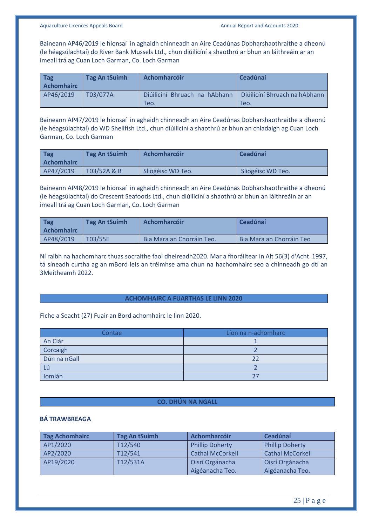Baineann AP46/2019 le hionsaí in aghaidh chinneadh an Aire Ceadúnas Dobharshaothraithe a dheonú (le héagsúlachtaí) do River Bank Mussels Ltd., chun diúilicíní a shaothrú ar bhun an láithreáin ar an imeall trá ag Cuan Loch Garman, Co. Loch Garman

| Tag<br><b>Achomhairc</b> | Tag An tSuimh | Achomharcóir                          | Ceadúnaí                              |
|--------------------------|---------------|---------------------------------------|---------------------------------------|
| AP46/2019                | T03/077A      | Diúilicíní Bhruach na hAbhann<br>Teo. | Diúilicíní Bhruach na hAbhann<br>TeO. |

Baineann AP47/2019 le hionsaí in aghaidh chinneadh an Aire Ceadúnas Dobharshaothraithe a dheonú (le héagsúlachtaí) do WD Shellfish Ltd., chun diúilicíní a shaothrú ar bhun an chladaigh ag Cuan Loch Garman, Co. Loch Garman

| <b>Tag</b><br><b>Achomhairc</b> | Tag An tSuímh | <b>Achomharcóir</b> | <b>Ceadúnaí</b>   |
|---------------------------------|---------------|---------------------|-------------------|
| AP47/2019                       | T03/52A & B   | Sliogéisc WD Teo.   | Sliogéisc WD Teo. |

Baineann AP48/2019 le hionsaí in aghaidh chinneadh an Aire Ceadúnas Dobharshaothraithe a dheonú (le héagsúlachtaí) do Crescent Seafoods Ltd., chun diúilicíní a shaothrú ar bhun an láithreáin ar an imeall trá ag Cuan Loch Garman, Co. Loch Garman

| Tag<br><b>Achomhairc</b> | Tag An tSuimh | <b>Achomharcóir</b>       | Ceadúnaí                        |
|--------------------------|---------------|---------------------------|---------------------------------|
| AP48/2019                | T03/55E       | Bia Mara an Chorráin Teo. | <b>Bia Mara an Chorráin Teo</b> |

Ní raibh na hachomharc thuas socraithe faoi dheireadh2020. Mar a fhoráiltear in Alt 56(3) d'Acht 1997, tá síneadh curtha ag an mBord leis an tréimhse ama chun na hachomhairc seo a chinneadh go dtí an 3Meitheamh 2022.

#### **ACHOMHAIRC A FUARTHAS LE LINN 2020**

Fiche a Seacht (27) Fuair an Bord achomhairc le linn 2020.

| Contae       | Líon na n-achomharc |
|--------------|---------------------|
| An Clár      |                     |
| Corcaigh     |                     |
| Dún na nGall |                     |
| - Lú         |                     |
| Iomlán       |                     |

#### **CO. DHÚN NA NGALL**

### **BÁ TRAWBREAGA**

| <b>Tag Achomhairc</b> | <b>Tag An tSuímh</b> | Achomharcóir            | Ceadúnaí                |
|-----------------------|----------------------|-------------------------|-------------------------|
| AP1/2020              | T12/540              | <b>Phillip Doherty</b>  | <b>Phillip Doherty</b>  |
| AP2/2020              | T12/541              | <b>Cathal McCorkell</b> | <b>Cathal McCorkell</b> |
| AP19/2020             | T12/531A             | Oisrí Orgánacha         | Oisrí Orgánacha         |
|                       |                      | Aigéanacha Teo.         | Aigéanacha Teo.         |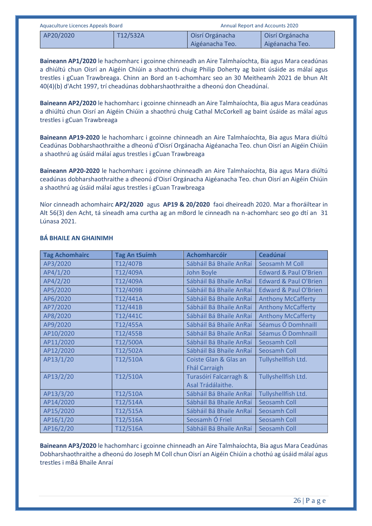| Aquaculture Licences Appeals Board |          |                 | <b>Annual Report and Accounts 2020</b> |
|------------------------------------|----------|-----------------|----------------------------------------|
| AP20/2020                          | T12/532A | Oisrí Orgánacha | Oisrí Orgánacha                        |
|                                    |          | Aigéanacha Teo. | Aigéanacha Teo.                        |

**Baineann AP1/2020** le hachomharc i gcoinne chinneadh an Aire Talmhaíochta, Bia agus Mara ceadúnas a dhiúltú chun Oisrí an Aigéin Chiúin a shaothrú chuig Philip Doherty ag baint úsáide as málaí agus trestles i gCuan Trawbreaga. Chinn an Bord an t-achomharc seo an 30 Meitheamh 2021 de bhun Alt 40(4)(b) d'Acht 1997, trí cheadúnas dobharshaothraithe a dheonú don Cheadúnaí.

**Baineann AP2/2020** le hachomharc i gcoinne chinneadh an Aire Talmhaíochta, Bia agus Mara ceadúnas a dhiúltú chun Oisrí an Aigéin Chiúin a shaothrú chuig Cathal McCorkell ag baint úsáide as málaí agus trestles i gCuan Trawbreaga

**Baineann AP19-2020** le hachomharc i gcoinne chinneadh an Aire Talmhaíochta, Bia agus Mara diúltú Ceadúnas Dobharshaothraithe a dheonú d'Oisrí Orgánacha Aigéanacha Teo. chun Oisrí an Aigéin Chiúin a shaothrú ag úsáid málaí agus trestles i gCuan Trawbreaga

**Baineann AP20-2020** le hachomharc i gcoinne chinneadh an Aire Talmhaíochta, Bia agus Mara diúltú ceadúnas dobharshaothraithe a dheonú d'Oisrí Orgánacha Aigéanacha Teo. chun Oisrí an Aigéin Chiúin a shaothrú ag úsáid málaí agus trestles i gCuan Trawbreaga

Níor cinneadh achomhairc **AP2/2020** agus **AP19 & 20/2020** faoi dheireadh 2020. Mar a fhoráiltear in Alt 56(3) den Acht, tá síneadh ama curtha ag an mBord le cinneadh na n-achomharc seo go dtí an 31 Lúnasa 2021.

| <b>Tag Achomhairc</b> | <b>Tag An tSuímh</b> | <b>Achomharcóir</b>     | <b>Ceadúnaí</b>                  |
|-----------------------|----------------------|-------------------------|----------------------------------|
| AP3/2020              | T12/407B             | Sábháil Bá Bhaile AnRaí | Seosamh M Coll                   |
| AP4/1/20              | T12/409A             | <b>John Boyle</b>       | <b>Edward &amp; Paul O'Brien</b> |
| AP4/2/20              | T12/409A             | Sábháil Bá Bhaile AnRaí | <b>Edward &amp; Paul O'Brien</b> |
| AP5/2020              | T12/409B             | Sábháil Bá Bhaile AnRaí | <b>Edward &amp; Paul O'Brien</b> |
| AP6/2020              | T12/441A             | Sábháil Bá Bhaile AnRaí | <b>Anthony McCafferty</b>        |
| AP7/2020              | T12/441B             | Sábháil Bá Bhaile AnRaí | <b>Anthony McCafferty</b>        |
| AP8/2020              | T12/441C             | Sábháil Bá Bhaile AnRaí | <b>Anthony McCafferty</b>        |
| AP9/2020              | T12/455A             | Sábháil Bá Bhaile AnRaí | Séamus Ó Domhnaill               |
| AP10/2020             | T12/455B             | Sábháil Bá Bhaile AnRaí | Séamus Ó Domhnaill               |
| AP11/2020             | T12/500A             | Sábháil Bá Bhaile AnRaí | Seosamh Coll                     |
| AP12/2020             | T12/502A             | Sábháil Bá Bhaile AnRaí | Seosamh Coll                     |
| AP13/1/20             | T12/510A             | Coiste Glan & Glas an   | Tullyshellfish Ltd.              |
|                       |                      | <b>Fhál Carraigh</b>    |                                  |
| AP13/2/20             | T12/510A             | Turasóirí Falcarragh &  | Tullyshellfish Ltd.              |
|                       |                      | Asal Trádálaithe.       |                                  |
| AP13/3/20             | T12/510A             | Sábháil Bá Bhaile AnRaí | Tullyshellfish Ltd.              |
| AP14/2020             | T12/514A             | Sábháil Bá Bhaile AnRaí | Seosamh Coll                     |
| AP15/2020             | T12/515A             | Sábháil Bá Bhaile AnRaí | <b>Seosamh Coll</b>              |
| AP16/1/20             | T12/516A             | Seosamh Ó Friel         | <b>Seosamh Coll</b>              |
| AP16/2/20             | T12/516A             | Sábháil Bá Bhaile AnRaí | Seosamh Coll                     |

# **BÁ BHAILE AN GHAINIMH**

**Baineann AP3/2020** le hachomharc i gcoinne chinneadh an Aire Talmhaíochta, Bia agus Mara Ceadúnas Dobharshaothraithe a dheonú do Joseph M Coll chun Oisrí an Aigéin Chiúin a chothú ag úsáid málaí agus trestles i mBá Bhaile Anraí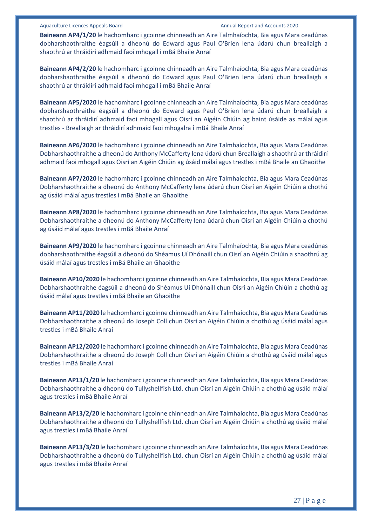**Baineann AP4/1/20** le hachomharc i gcoinne chinneadh an Aire Talmhaíochta, Bia agus Mara ceadúnas dobharshaothraithe éagsúil a dheonú do Edward agus Paul O'Brien lena údarú chun breallaigh a shaothrú ar thráidirí adhmaid faoi mhogall i mBá Bhaile Anraí

**Baineann AP4/2/20** le hachomharc i gcoinne chinneadh an Aire Talmhaíochta, Bia agus Mara ceadúnas dobharshaothraithe éagsúil a dheonú do Edward agus Paul O'Brien lena údarú chun breallaigh a shaothrú ar thráidirí adhmaid faoi mhogall i mBá Bhaile Anraí

**Baineann AP5/2020** le hachomharc i gcoinne chinneadh an Aire Talmhaíochta, Bia agus Mara ceadúnas dobharshaothraithe éagsúil a dheonú do Edward agus Paul O'Brien lena údarú chun breallaigh a shaothrú ar thráidirí adhmaid faoi mhogall agus Oisrí an Aigéin Chiúin ag baint úsáide as málaí agus trestles - Breallaigh ar thráidirí adhmaid faoi mhogalra i mBá Bhaile Anraí

**Baineann AP6/2020** le hachomharc i gcoinne chinneadh an Aire Talmhaíochta, Bia agus Mara Ceadúnas Dobharshaothraithe a dheonú do Anthony McCafferty lena údarú chun Breallaigh a shaothrú ar thráidirí adhmaid faoi mhogall agus Oisrí an Aigéin Chiúin ag úsáid málaí agus trestles i mBá Bhaile an Ghaoithe

**Baineann AP7/2020** le hachomharc i gcoinne chinneadh an Aire Talmhaíochta, Bia agus Mara Ceadúnas Dobharshaothraithe a dheonú do Anthony McCafferty lena údarú chun Oisrí an Aigéin Chiúin a chothú ag úsáid málaí agus trestles i mBá Bhaile an Ghaoithe

**Baineann AP8/2020** le hachomharc i gcoinne chinneadh an Aire Talmhaíochta, Bia agus Mara Ceadúnas Dobharshaothraithe a dheonú do Anthony McCafferty lena údarú chun Oisrí an Aigéin Chiúin a chothú ag úsáid málaí agus trestles i mBá Bhaile Anraí

**Baineann AP9/2020** le hachomharc i gcoinne chinneadh an Aire Talmhaíochta, Bia agus Mara ceadúnas dobharshaothraithe éagsúil a dheonú do Shéamus Uí Dhónaill chun Oisrí an Aigéin Chiúin a shaothrú ag úsáid málaí agus trestles i mBá Bhaile an Ghaoithe

**Baineann AP10/2020** le hachomharc i gcoinne chinneadh an Aire Talmhaíochta, Bia agus Mara Ceadúnas Dobharshaothraithe éagsúil a dheonú do Shéamus Uí Dhónaill chun Oisrí an Aigéin Chiúin a chothú ag úsáid málaí agus trestles i mBá Bhaile an Ghaoithe

**Baineann AP11/2020** le hachomharc i gcoinne chinneadh an Aire Talmhaíochta, Bia agus Mara Ceadúnas Dobharshaothraithe a dheonú do Joseph Coll chun Oisrí an Aigéin Chiúin a chothú ag úsáid málaí agus trestles i mBá Bhaile Anraí

**Baineann AP12/2020** le hachomharc i gcoinne chinneadh an Aire Talmhaíochta, Bia agus Mara Ceadúnas Dobharshaothraithe a dheonú do Joseph Coll chun Oisrí an Aigéin Chiúin a chothú ag úsáid málaí agus trestles i mBá Bhaile Anraí

**Baineann AP13/1/20** le hachomharc i gcoinne chinneadh an Aire Talmhaíochta, Bia agus Mara Ceadúnas Dobharshaothraithe a dheonú do Tullyshellfish Ltd. chun Oisrí an Aigéin Chiúin a chothú ag úsáid málaí agus trestles i mBá Bhaile Anraí

**Baineann AP13/2/20** le hachomharc i gcoinne chinneadh an Aire Talmhaíochta, Bia agus Mara Ceadúnas Dobharshaothraithe a dheonú do Tullyshellfish Ltd. chun Oisrí an Aigéin Chiúin a chothú ag úsáid málaí agus trestles i mBá Bhaile Anraí

**Baineann AP13/3/20** le hachomharc i gcoinne chinneadh an Aire Talmhaíochta, Bia agus Mara Ceadúnas Dobharshaothraithe a dheonú do Tullyshellfish Ltd. chun Oisrí an Aigéin Chiúin a chothú ag úsáid málaí agus trestles i mBá Bhaile Anraí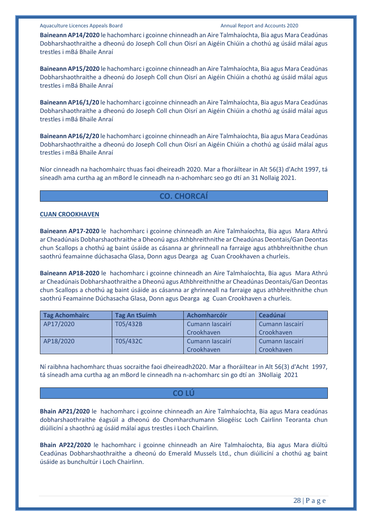**Baineann AP14/2020** le hachomharc i gcoinne chinneadh an Aire Talmhaíochta, Bia agus Mara Ceadúnas Dobharshaothraithe a dheonú do Joseph Coll chun Oisrí an Aigéin Chiúin a chothú ag úsáid málaí agus trestles i mBá Bhaile Anraí

**Baineann AP15/2020** le hachomharc i gcoinne chinneadh an Aire Talmhaíochta, Bia agus Mara Ceadúnas Dobharshaothraithe a dheonú do Joseph Coll chun Oisrí an Aigéin Chiúin a chothú ag úsáid málaí agus trestles i mBá Bhaile Anraí

**Baineann AP16/1/20** le hachomharc i gcoinne chinneadh an Aire Talmhaíochta, Bia agus Mara Ceadúnas Dobharshaothraithe a dheonú do Joseph Coll chun Oisrí an Aigéin Chiúin a chothú ag úsáid málaí agus trestles i mBá Bhaile Anraí

**Baineann AP16/2/20** le hachomharc i gcoinne chinneadh an Aire Talmhaíochta, Bia agus Mara Ceadúnas Dobharshaothraithe a dheonú do Joseph Coll chun Oisrí an Aigéin Chiúin a chothú ag úsáid málaí agus trestles i mBá Bhaile Anraí

Níor cinneadh na hachomhairc thuas faoi dheireadh 2020. Mar a fhoráiltear in Alt 56(3) d'Acht 1997, tá síneadh ama curtha ag an mBord le cinneadh na n-achomharc seo go dtí an 31 Nollaig 2021.

### **CO. CHORCAÍ**

#### **CUAN CROOKHAVEN**

**Baineann AP17-2020** le hachomharc i gcoinne chinneadh an Aire Talmhaíochta, Bia agus Mara Athrú ar Cheadúnais Dobharshaothraithe a Dheonú agus Athbhreithnithe ar Cheadúnas Deontais/Gan Deontas chun Scallops a chothú ag baint úsáide as cásanna ar ghrinneall na farraige agus athbhreithnithe chun saothrú feamainne dúchasacha Glasa, Donn agus Dearga ag Cuan Crookhaven a churleis.

**Baineann AP18-2020** le hachomharc i gcoinne chinneadh an Aire Talmhaíochta, Bia agus Mara Athrú ar Cheadúnais Dobharshaothraithe a Dheonú agus Athbhreithnithe ar Cheadúnas Deontais/Gan Deontas chun Scallops a chothú ag baint úsáide as cásanna ar ghrinneall na farraige agus athbhreithnithe chun saothrú Feamainne Dúchasacha Glasa, Donn agus Dearga ag Cuan Crookhaven a churleis.

| <b>Tag Achomhairc</b> | <b>Tag An tSuimh</b> | Achomharcóir    | Ceadúnaí        |
|-----------------------|----------------------|-----------------|-----------------|
| AP17/2020             | T05/432B             | Cumann Iascairí | Cumann Iascairí |
|                       |                      | Crookhaven      | Crookhaven      |
| AP18/2020             | T05/432C             | Cumann Iascairí | Cumann Iascairí |
|                       |                      | Crookhaven      | Crookhaven      |

Ní raibhna hachomharc thuas socraithe faoi dheireadh2020. Mar a fhoráiltear in Alt 56(3) d'Acht 1997, tá síneadh ama curtha ag an mBord le cinneadh na n-achomharc sin go dtí an 3Nollaig 2021

# **CO LÚ**

**Bhain AP21/2020** le hachomharc i gcoinne chinneadh an Aire Talmhaíochta, Bia agus Mara ceadúnas dobharshaothraithe éagsúil a dheonú do Chomharchumann Sliogéisc Loch Cairlinn Teoranta chun diúilicíní a shaothrú ag úsáid málaí agus trestles i Loch Chairlinn.

**Bhain AP22/2020** le hachomharc i gcoinne chinneadh an Aire Talmhaíochta, Bia agus Mara diúltú Ceadúnas Dobharshaothraithe a dheonú do Emerald Mussels Ltd., chun diúilicíní a chothú ag baint úsáide as bunchultúr i Loch Chairlinn.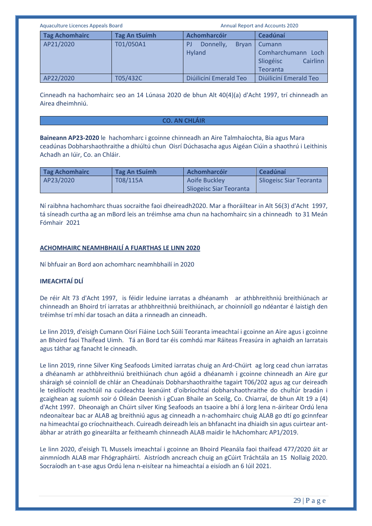| Aquaculture Licences Appeals Board |                       | <b>Annual Report and Accounts 2020</b> |                                           |                                                                      |
|------------------------------------|-----------------------|----------------------------------------|-------------------------------------------|----------------------------------------------------------------------|
|                                    | <b>Tag Achomhairc</b> | <b>Tag An tSuímh</b>                   | Achomharcóir                              | Ceadúnaí                                                             |
|                                    | AP21/2020             | T01/050A1                              | Donnelly,<br><b>Bryan</b><br>P.<br>Hyland | Cumann<br>Comharchumann<br>Loch<br>Cairlinn<br>Sliogéisc<br>Teoranta |
|                                    | AP22/2020             | T05/432C                               | Diúilicíní Emerald Teo                    | Diúilicíní Emerald Teo                                               |

Cinneadh na hachomhairc seo an 14 Lúnasa 2020 de bhun Alt 40(4)(a) d'Acht 1997, trí chinneadh an Airea dheimhniú.

#### **CO. AN CHLÁIR**

**Baineann AP23-2020** le hachomharc i gcoinne chinneadh an Aire Talmhaíochta, Bia agus Mara ceadúnas Dobharshaothraithe a dhiúltú chun Oisrí Dúchasacha agus Aigéan Ciúin a shaothrú i Leithinis Achadh an Iúir, Co. an Chláir.

| <b>Tag Achomhairc</b> | Tag An tSuímh | <b>Achomharcóir</b>     | Ceadúnaí                       |
|-----------------------|---------------|-------------------------|--------------------------------|
| AP23/2020             | T08/115A      | Aoife Buckley           | <b>Sliogeisc Siar Teoranta</b> |
|                       |               | Sliogeisc Siar Teoranta |                                |

Ní raibhna hachomharc thuas socraithe faoi dheireadh2020. Mar a fhoráiltear in Alt 56(3) d'Acht 1997, tá síneadh curtha ag an mBord leis an tréimhse ama chun na hachomhairc sin a chinneadh to 31 Meán Fómhair 2021

### **ACHOMHAIRC NEAMHBHAILÍ A FUARTHAS LE LINN 2020**

Ní bhfuair an Bord aon achomharc neamhbhailí in 2020

# **IMEACHTAÍ DLÍ**

De réir Alt 73 d'Acht 1997, is féidir leduine iarratas a dhéanamh ar athbhreithniú breithiúnach ar chinneadh an Bhoird trí iarratas ar athbhreithniú breithiúnach, ar choinníoll go ndéantar é laistigh den tréimhse trí mhí dar tosach an dáta a rinneadh an cinneadh.

Le linn 2019, d'eisigh Cumann Oisrí Fiáine Loch Súilí Teoranta imeachtaí i gcoinne an Aire agus i gcoinne an Bhoird faoi Thaifead Uimh. Tá an Bord tar éis comhdú mar Ráiteas Freasúra in aghaidh an Iarratais agus táthar ag fanacht le cinneadh.

Le linn 2019, rinne Silver King Seafoods Limited iarratas chuig an Ard-Chúirt ag lorg cead chun iarratas a dhéanamh ar athbhreithniú breithiúnach chun agóid a dhéanamh i gcoinne chinneadh an Aire gur sháraigh sé coinníoll de chlár an Cheadúnais Dobharshaothraithe tagairt T06/202 agus ag cur deireadh le teidlíocht reachtúil na cuideachta leanúint d'oibríochtaí dobharshaothraithe do chultúr bradán i gcaighean ag suíomh soir ó Oileán Deenish i gCuan Bhaile an Sceilg, Co. Chiarraí, de bhun Alt 19 a (4) d'Acht 1997. Dheonaigh an Chúirt silver King Seafoods an tsaoire a bhí á lorg lena n-áirítear Ordú lena ndeonaítear bac ar ALAB ag breithniú agus ag cinneadh a n-achomhairc chuig ALAB go dtí go gcinnfear na himeachtaí go críochnaitheach. Cuireadh deireadh leis an bhfanacht ina dhiaidh sin agus cuirtear antábhar ar atráth go ginearálta ar feitheamh chinneadh ALAB maidir le hAchomharc AP1/2019.

Le linn 2020, d'eisigh TL Mussels imeachtaí i gcoinne an Bhoird Pleanála faoi thaifead 477/2020 áit ar ainmníodh ALAB mar Fhógrapháirtí. Aistríodh ancreach chuig an gCúirt Tráchtála an 15 Nollaig 2020. Socraíodh an t-ase agus Ordú lena n-eisítear na himeachtaí a eisíodh an 6 Iúil 2021.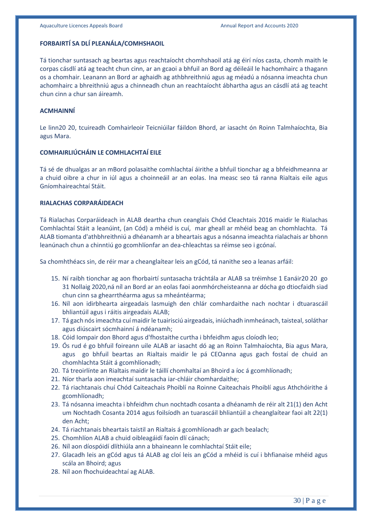#### **FORBAIRTÍ SA DLÍ PLEANÁLA/COMHSHAOIL**

Tá tionchar suntasach ag beartas agus reachtaíocht chomhshaoil atá ag éirí níos casta, chomh maith le corpas cásdlí atá ag teacht chun cinn, ar an gcaoi a bhfuil an Bord ag déileáil le hachomhairc a thagann os a chomhair. Leanann an Bord ar aghaidh ag athbhreithniú agus ag méadú a nósanna imeachta chun achomhairc a bhreithniú agus a chinneadh chun an reachtaíocht ábhartha agus an cásdlí atá ag teacht chun cinn a chur san áireamh.

#### **ACMHAINNÍ**

Le linn20 20, tcuireadh Comhairleoir Teicniúilar fáildon Bhord, ar iasacht ón Roinn Talmhaíochta, Bia agus Mara.

#### **COMHAIRLIÚCHÁIN LE COMHLACHTAÍ EILE**

Tá sé de dhualgas ar an mBord polasaithe comhlachtaí áirithe a bhfuil tionchar ag a bhfeidhmeanna ar a chuid oibre a chur in iúl agus a choinneáil ar an eolas. Ina measc seo tá ranna Rialtais eile agus Gníomhaireachtaí Stáit.

# **RIALACHAS CORPARÁIDEACH**

Tá Rialachas Corparáideach in ALAB deartha chun ceanglais Chód Cleachtais 2016 maidir le Rialachas Comhlachtaí Stáit a leanúint, (an Cód) a mhéid is cuí, mar gheall ar mhéid beag an chomhlachta. Tá ALAB tiomanta d'athbhreithniú a dhéanamh ar a bheartais agus a nósanna imeachta rialachais ar bhonn leanúnach chun a chinntiú go gcomhlíonfar an dea-chleachtas sa réimse seo i gcónaí.

Sa chomhthéacs sin, de réir mar a cheanglaítear leis an gCód, tá nanithe seo a leanas arfáil:

- 15. Ní raibh tionchar ag aon fhorbairtí suntasacha tráchtála ar ALAB sa tréimhse 1 Eanáir20 20 go 31 Nollaig 2020,ná níl an Bord ar an eolas faoi aonmhórcheisteanna ar dócha go dtiocfaidh siad chun cinn sa ghearrthéarma agus sa mheántéarma;
- 16. Níl aon idirbhearta airgeadais lasmuigh den chlár comhardaithe nach nochtar i dtuarascáil bhliantúil agus i ráitis airgeadais ALAB;
- 17. Tá gach nós imeachta cuí maidir le tuairisciú airgeadais, iniúchadh inmheánach, taisteal, soláthar agus diúscairt sócmhainní á ndéanamh;
- 18. Cóid Iompair don Bhord agus d'fhostaithe curtha i bhfeidhm agus cloíodh leo;
- 19. Ós rud é go bhfuil foireann uile ALAB ar iasacht dó ag an Roinn Talmhaíochta, Bia agus Mara, agus go bhfuil beartas an Rialtais maidir le pá CEOanna agus gach fostaí de chuid an chomhlachta Stáit á gcomhlíonadh;
- 20. Tá treoirlínte an Rialtais maidir le táillí chomhaltaí an Bhoird a íoc á gcomhlíonadh;
- 21. Níor tharla aon imeachtaí suntasacha iar-chláir chomhardaithe;
- 22. Tá riachtanais chuí Chód Caiteachais Phoiblí na Roinne Caiteachais Phoiblí agus Athchóirithe á gcomhlíonadh;
- 23. Tá nósanna imeachta i bhfeidhm chun nochtadh cosanta a dhéanamh de réir alt 21(1) den Acht um Nochtadh Cosanta 2014 agus foilsíodh an tuarascáil bhliantúil a cheanglaítear faoi alt 22(1) den Acht;
- 24. Tá riachtanais bheartais taistil an Rialtais á gcomhlíonadh ar gach bealach;
- 25. Chomhlíon ALAB a chuid oibleagáidí faoin dlí cánach;
- 26. Níl aon díospóidí dlíthiúla ann a bhaineann le comhlachtaí Stáit eile;
- 27. Glacadh leis an gCód agus tá ALAB ag cloí leis an gCód a mhéid is cuí i bhfianaise mhéid agus scála an Bhoird; agus
- 28. Níl aon fhochuideachtaí ag ALAB.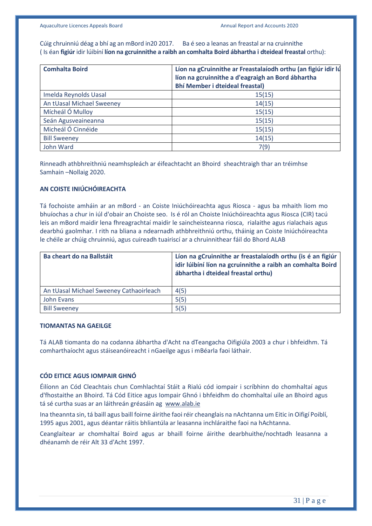Cúig chruinniú déag a bhí ag an mBord in20 2017. Ba é seo a leanas an freastal ar na cruinnithe ( Is éan **figiúr** idir lúibíní **líon na gcruinnithe a raibh an comhalta Boird ábhartha i dteideal freastal** orthu):

| <b>Comhalta Boird</b>     | Líon na gCruinnithe ar Freastalaíodh orthu (an figiúr idir lú<br>líon na gcruinnithe a d'eagraigh an Bord ábhartha<br><b>Bhí Member i dteideal freastal)</b> |
|---------------------------|--------------------------------------------------------------------------------------------------------------------------------------------------------------|
| Imelda Reynolds Uasal     | 15(15)                                                                                                                                                       |
| An tUasal Michael Sweeney | 14(15)                                                                                                                                                       |
| Mícheál Ó Mulloy          | 15(15)                                                                                                                                                       |
| Seán Agusveaineanna       | 15(15)                                                                                                                                                       |
| Micheál Ó Cinnéide        | 15(15)                                                                                                                                                       |
| <b>Bill Sweeney</b>       | 14(15)                                                                                                                                                       |
| John Ward                 | 7(9)                                                                                                                                                         |

Rinneadh athbhreithniú neamhspleách ar éifeachtacht an Bhoird sheachtraigh thar an tréimhse Samhain –Nollaig 2020.

# **AN COISTE INIÚCHÓIREACHTA**

Tá fochoiste amháin ar an mBord - an Coiste Iniúchóireachta agus Riosca - agus ba mhaith liom mo bhuíochas a chur in iúl d'obair an Choiste seo. Is é ról an Choiste Iniúchóireachta agus Riosca (CIR) tacú leis an mBord maidir lena fhreagrachtaí maidir le saincheisteanna riosca, rialaithe agus rialachais agus dearbhú gaolmhar. I rith na bliana a ndearnadh athbhreithniú orthu, tháinig an Coiste Iniúchóireachta le chéile ar chúig chruinniú, agus cuireadh tuairiscí ar a chruinnithear fáil do Bhord ALAB

| Ba cheart do na Ballstáit               | Líon na gCruinnithe ar freastalaíodh orthu (is é an figiúr<br>idir lúibíní líon na gcruinnithe a raibh an comhalta Boird<br>ábhartha i dteideal freastal orthu) |
|-----------------------------------------|-----------------------------------------------------------------------------------------------------------------------------------------------------------------|
| An tUasal Michael Sweeney Cathaoirleach | 4(5)                                                                                                                                                            |
| John Evans                              | 5(5)                                                                                                                                                            |
| <b>Bill Sweeney</b>                     | 5(5)                                                                                                                                                            |

#### **TIOMANTAS NA GAEILGE**

Tá ALAB tiomanta do na codanna ábhartha d'Acht na dTeangacha Oifigiúla 2003 a chur i bhfeidhm. Tá comharthaíocht agus stáiseanóireacht i nGaeilge agus i mBéarla faoi láthair.

#### **CÓD EITICE AGUS IOMPAIR GHNÓ**

Éilíonn an Cód Cleachtais chun Comhlachtaí Stáit a Rialú cód iompair i scríbhinn do chomhaltaí agus d'fhostaithe an Bhoird. Tá Cód Eitice agus Iompair Ghnó i bhfeidhm do chomhaltaí uile an Bhoird agus tá sé curtha suas ar an láithreán gréasáin ag [www.alab.ie](http://www.alab.ie/)

Ina theannta sin, tá baill agus baill foirne áirithe faoi réir cheanglais na nAchtanna um Eitic in Oifigí Poiblí, 1995 agus 2001, agus déantar ráitis bhliantúla ar leasanna inchláraithe faoi na hAchtanna.

Ceanglaítear ar chomhaltaí Boird agus ar bhaill foirne áirithe dearbhuithe/nochtadh leasanna a dhéanamh de réir Alt 33 d'Acht 1997.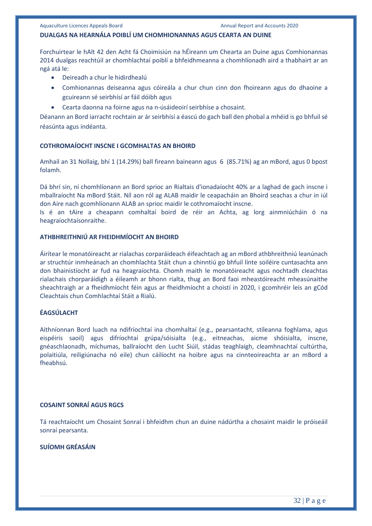#### **DUALGAS NA HEARNÁLA POIBLÍ UM CHOMHIONANNAS AGUS CEARTA AN DUINE**

Forchuirtear le hAlt 42 den Acht fá Choimisiún na hÉireann um Chearta an Duine agus Comhionannas 2014 dualgas reachtúil ar chomhlachtaí poiblí a bhfeidhmeanna a chomhlíonadh aird a thabhairt ar an ngá atá le:

- Deireadh a chur le hidirdhealú
- Comhionannas deiseanna agus cóireála a chur chun cinn don fhoireann agus do dhaoine a gcuireann sé seirbhísí ar fáil dóibh agus
- Cearta daonna na foirne agus na n-úsáideoirí seirbhíse a chosaint.

Déanann an Bord iarracht rochtain ar ár seirbhísí a éascú do gach ball den phobal a mhéid is go bhfuil sé réasúnta agus indéanta.

#### **COTHROMAÍOCHT INSCNE I GCOMHALTAS AN BHOIRD**

Amhail an 31 Nollaig, bhí 1 (14.29%) ball fireann baineann agus 6 (85.71%) ag an mBord, agus 0 bpost folamh.

Dá bhrí sin, ní chomhlíonann an Bord sprioc an Rialtais d'ionadaíocht 40% ar a laghad de gach inscne i mballraíocht Na mBord Stáit. Níl aon ról ag ALAB maidir le ceapacháin an Bhoird seachas a chur in iúl don Aire nach gcomhlíonann ALAB an sprioc maidir le cothromaíocht inscne.

Is é an tAire a cheapann comhaltaí boird de réir an Achta, ag lorg ainmniúcháin ó na heagraíochtaísonraithe.

# **ATHBHREITHNIÚ AR FHEIDHMÍOCHT AN BHOIRD**

Áirítear le monatóireacht ar rialachas corparáideach éifeachtach ag an mBord athbhreithniú leanúnach ar struchtúr inmheánach an chomhlachta Stáit chun a chinntiú go bhfuil línte soiléire cuntasachta ann don bhainistíocht ar fud na heagraíochta. Chomh maith le monatóireacht agus nochtadh cleachtas rialachais chorparáidigh a éileamh ar bhonn rialta, thug an Bord faoi mheastóireacht mheasúnaithe sheachtraigh ar a fheidhmíocht féin agus ar fheidhmíocht a choistí in 2020, i gcomhréir leis an gCód Cleachtais chun Comhlachtaí Stáit a Rialú.

# **ÉAGSÚLACHT**

Aithníonnan Bord luach na ndifríochtaí ina chomhaltaí (e.g., pearsantacht, stíleanna foghlama, agus eispéiris saoil) agus difríochtaí grúpa/sóisialta (e.g., eitneachas, aicme shóisialta, inscne, gnéaschlaonadh, míchumas, ballraíocht den Lucht Siúil, stádas teaghlaigh, cleamhnachtaí cultúrtha, polaitiúla, reiligiúnacha nó eile) chun cáilíocht na hoibre agus na cinnteoireachta ar an mBord a fheabhsú.

#### **COSAINT SONRAÍ AGUS RGCS**

Tá reachtaíocht um Chosaint Sonraí i bhfeidhm chun an duine nádúrtha a chosaint maidir le próiseáil sonraí pearsanta.

### **SUÍOMH GRÉASÁIN**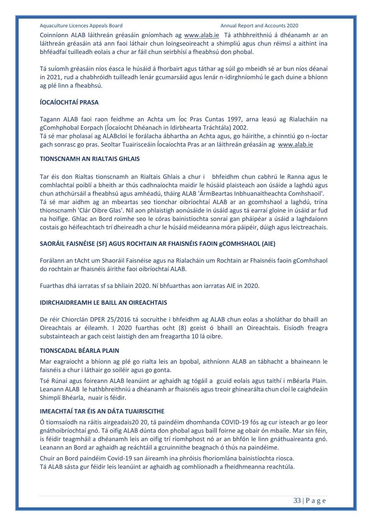Coinníonn ALAB láithreán gréasáin gníomhach ag [www.alab.ie](http://www.alab.ie/) Tá athbhreithniú á dhéanamh ar an láithreán gréasáin atá ann faoi láthair chun loingseoireacht a shimpliú agus chun réimsí a aithint ina bhféadfaí tuilleadh eolais a chur ar fáil chun seirbhísí a fheabhsú don phobal.

Tá suíomh gréasáin níos éasca le húsáid á fhorbairt agus táthar ag súil go mbeidh sé ar bun níos déanaí in 2021, rud a chabhróidh tuilleadh lenár gcumarsáid agus lenár n-idirghníomhú le gach duine a bhíonn ag plé linn a fheabhsú.

# **ÍOCAÍOCHTAÍ PRASA**

Tagann ALAB faoi raon feidhme an Achta um Íoc Pras Cuntas 1997, arna leasú ag Rialacháin na gComhphobal Eorpach (Íocaíocht Dhéanach in Idirbhearta Tráchtála) 2002.

Tá sé mar pholasaí ag ALABcloí le forálacha ábhartha an Achta agus, go háirithe, a chinntiú go n-íoctar gach sonrasc go pras. Seoltar Tuairisceáin Íocaíochta Pras ar an láithreán gréasáin ag [www.alab.ie](http://www.alab.ie/)

#### **TIONSCNAMH AN RIALTAIS GHLAIS**

Tar éis don Rialtas tionscnamh an Rialtais Ghlais a chur i bhfeidhm chun cabhrú le Ranna agus le comhlachtaí poiblí a bheith ar thús cadhnaíochta maidir le húsáid plaisteach aon úsáide a laghdú agus chun athchúrsáil a fheabhsú agus amhéadú, tháirg ALAB 'ÁrmBeartas Inbhuanaitheachta Comhshaoil'. Tá sé mar aidhm ag an mbeartas seo tionchar oibríochtaí ALAB ar an gcomhshaol a laghdú, trína thionscnamh 'Clár Oibre Glas'. Níl aon phlaistigh aonúsáide in úsáid agus tá earraí gloine in úsáid ar fud na hoifige. Ghlac an Bord roimhe seo le córas bainistíochta sonraí gan pháipéar a úsáid a laghdaíonn costais go héifeachtach trí dheireadh a chur le húsáid méideanna móra páipéir, dúigh agus leictreachais.

#### **SAORÁIL FAISNÉISE (SF) AGUS ROCHTAIN AR FHAISNÉIS FAOIN gCOMHSHAOL (AIE)**

Forálann an tAcht um Shaoráil Faisnéise agus na Rialacháin um Rochtain ar Fhaisnéis faoin gComhshaol do rochtain ar fhaisnéis áirithe faoi oibríochtaí ALAB.

Fuarthas dhá iarratas sf sa bhliain 2020. Ní bhfuarthas aon iarratas AIE in 2020.

#### **IDIRCHAIDREAMH LE BAILL AN OIREACHTAIS**

De réir Chiorclán DPER 25/2016 tá socruithe i bhfeidhm ag ALAB chun eolas a sholáthar do bhaill an Oireachtais ar éileamh. I 2020 fuarthas ocht (8) gceist ó bhaill an Oireachtais. Eisíodh freagra substainteach ar gach ceist laistigh den am freagartha 10 lá oibre.

#### **TIONSCADAL BÉARLA PLAIN**

Mar eagraíocht a bhíonn ag plé go rialta leis an bpobal, aithníonn ALAB an tábhacht a bhaineann le faisnéis a chur i láthair go soiléir agus go gonta.

Tsé Rúnaí agus foireann ALAB leanúint ar aghaidh ag tógáil a gcuid eolais agus taithí i mBéarla Plain. Leanann ALAB le hathbhreithniú a dhéanamh ar fhaisnéis agus treoir ghinearálta chun cloí le caighdeáin Shimplí Bhéarla, nuair is féidir.

# **IMEACHTAÍ TAR ÉIS AN DÁTA TUAIRISCITHE**

Ó tiomsaíodh na ráitis airgeadais20 20, tá paindéim dhomhanda COVID-19 fós ag cur isteach ar go leor gnáthoibríochtaí gnó. Tá oifig ALAB dúnta don phobal agus baill foirne ag obair ón mbaile. Mar sin féin, is féidir teagmháil a dhéanamh leis an oifig trí ríomhphost nó ar an bhfón le linn gnáthuaireanta gnó. Leanann an Bord ar aghaidh ag reáchtáil a gcruinnithe beagnach ó thús na paindéime.

Chuir an Bord paindéim Covid-19 san áireamh ina phróisis fhoriomlána bainistíochta riosca. Tá ALAB sásta gur féidir leis leanúint ar aghaidh ag comhlíonadh a fheidhmeanna reachtúla.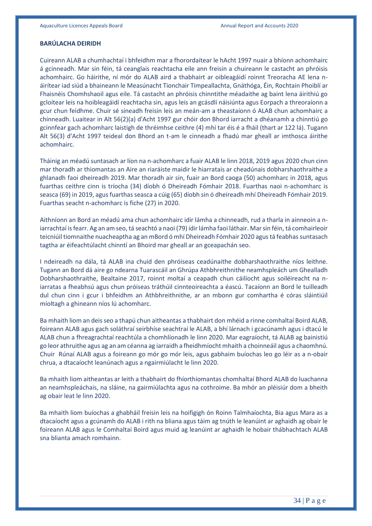#### **BARÚLACHA DEIRIDH**

Cuireann ALAB a chumhachtaí i bhfeidhm mar a fhorordaítear le hAcht 1997 nuair a bhíonn achomhairc á gcinneadh. Mar sin féin, tá ceanglais reachtacha eile ann freisin a chuireann le castacht an phróisis achomhairc. Go háirithe, ní mór do ALAB aird a thabhairt ar oibleagáidí roinnt Treoracha AE lena náirítear iad siúd a bhaineann le Measúnacht Tionchair Timpeallachta, Gnáthóga, Éin, Rochtain Phoiblí ar Fhaisnéis Chomhshaoil agus eile. Tá castacht an phróisis chinntithe méadaithe ag baint lena áirithiú go gcloítear leis na hoibleagáidí reachtacha sin, agus leis an gcásdlí náisiúnta agus Eorpach a threoraíonn a gcur chun feidhme. Chuir sé síneadh freisin leis an meán-am a theastaíonn ó ALAB chun achomhairc a chinneadh. Luaitear in Alt 56(2)(a) d'Acht 1997 gur chóir don Bhord iarracht a dhéanamh a chinntiú go gcinnfear gach achomharc laistigh de thréimhse ceithre (4) mhí tar éis é a fháil (thart ar 122 lá). Tugann Alt 56(3) d'Acht 1997 teideal don Bhord an t-am le cinneadh a fhadú mar gheall ar imthosca áirithe achomhairc.

Tháinig an méadú suntasach ar líon na n-achomharc a fuair ALAB le linn 2018, 2019 agus 2020 chun cinn mar thoradh ar thiomantas an Aire an riaráiste maidir le hiarratais ar cheadúnais dobharshaothraithe a ghlanadh faoi dheireadh 2019. Mar thoradh air sin, fuair an Bord caoga (50) achomharc in 2018, agus fuarthas ceithre cinn is tríocha (34) díobh ó Dheireadh Fómhair 2018. Fuarthas naoi n-achomharc is seasca (69) in 2019, agus fuarthas seasca a cúig (65) díobh sin ó dheireadh mhí Dheireadh Fómhair 2019. Fuarthas seacht n-achomharc is fiche (27) in 2020.

Aithníonn an Bord an méadú ama chun achomhairc idir lámha a chinneadh, rud a tharla in ainneoin a niarrachtaí is fearr. Ag an am seo, tá seachtó a naoi (79) idir lámha faoi láthair. Mar sin féin, tá comhairleoir teicniúil tiomnaithe nuacheaptha ag an mBord ó mhí Dheireadh Fómhair 2020 agus tá feabhas suntasach tagtha ar éifeachtúlacht chinntí an Bhoird mar gheall ar an gceapachán seo.

I ndeireadh na dála, tá ALAB ina chuid den phróiseas ceadúnaithe dobharshaothraithe níos leithne. Tugann an Bord dá aire go ndearna Tuarascáil an Ghrúpa Athbhreithnithe neamhspleách um Ghealladh Dobharshaothraithe, Bealtaine 2017, roinnt moltaí a ceapadh chun cáilíocht agus soiléireacht na niarratas a fheabhsú agus chun próiseas tráthúil cinnteoireachta a éascú. Tacaíonn an Bord le tuilleadh dul chun cinn i gcur i bhfeidhm an Athbhreithnithe, ar an mbonn gur comhartha é córas sláintiúil míoltagh a ghineann níos lú achomharc.

Ba mhaith liom an deis seo a thapú chun aitheantas a thabhairt don mhéid a rinne comhaltaí Boird ALAB, foireann ALAB agus gach soláthraí seirbhíse seachtraí le ALAB, a bhí lárnach i gcacúnamh agus i dtacú le ALAB chun a fhreagrachtaí reachtúla a chomhlíonadh le linn 2020. Mar eagraíocht, tá ALAB ag bainistiú go leor athruithe agus ag an am céanna ag iarraidh a fheidhmíocht mhaith a choinneáil agus a chaomhnú. Chuir Rúnaí ALAB agus a foireann go mór go mór leis, agus gabhaim buíochas leo go léir as a n-obair chrua, a dtacaíocht leanúnach agus a ngairmiúlacht le linn 2020.

Ba mhaith liom aitheantas ar leith a thabhairt do fhíorthiomantas chomhaltaí Bhord ALAB do luachanna an neamhspleáchais, na sláine, na gairmiúlachta agus na cothroime. Ba mhór an pléisiúr dom a bheith ag obair leat le linn 2020.

Ba mhaith liom buíochas a ghabháil freisin leis na hoifigigh ón Roinn Talmhaíochta, Bia agus Mara as a dtacaíocht agus a gcúnamh do ALAB i rith na bliana agus táim ag tnúth le leanúint ar aghaidh ag obair le foireann ALAB agus le Comhaltaí Boird agus muid ag leanúint ar aghaidh le hobair thábhachtach ALAB sna blianta amach romhainn.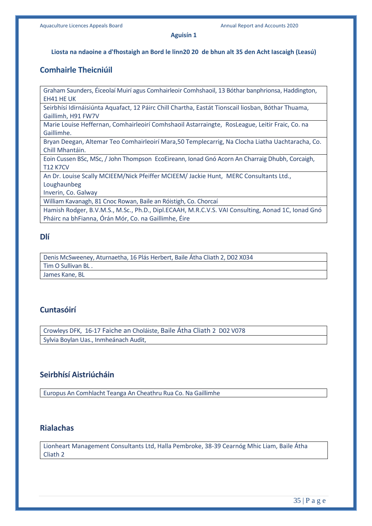#### **Aguisín 1**

#### **Liosta na ndaoine a d'fhostaigh an Bord le linn20 20 de bhun alt 35 den Acht Iascaigh (Leasú)**

# **Comhairle Theicniúil**

Graham Saunders, Éiceolaí Muirí agus Comhairleoir Comhshaoil, 13 Bóthar banphrionsa, Haddington, EH41 HE UK

Seirbhísí Idirnáisiúnta Aquafact, 12 Páirc Chill Chartha, Eastát Tionscail liosban, Bóthar Thuama, Gaillimh, H91 FW7V

Marie Louise Heffernan, Comhairleoirí Comhshaoil Astarraingte, RosLeague, Leitir Fraic, Co. na Gaillimhe.

Bryan Deegan, Altemar Teo Comhairleoirí Mara,50 Templecarrig, Na Clocha Liatha Uachtaracha, Co. Chill Mhantáin.

Eoin Cussen BSc, MSc, / John Thompson EcoEireann, Ionad Gnó Acorn An Charraig Dhubh, Corcaigh, T12 K7CV

An Dr. Louise Scally MCIEEM/Nick Pfeiffer MCIEEM/ Jackie Hunt, MERC Consultants Ltd., Loughaunbeg

Inverin, Co. Galway

William Kavanagh, 81 Cnoc Rowan, Baile an Róistigh, Co. Chorcaí

Hamish Rodger, B.V.M.S., M.Sc., Ph.D., Dipl.ECAAH, M.R.C.V.S. VAI Consulting, Aonad 1C, Ionad Gnó Pháirc na bhFianna, Órán Mór, Co. na Gaillimhe, Éire

# **Dlí**

Denis McSweeney, Aturnaetha, 16 Plás Herbert, Baile Átha Cliath 2, D02 X034 Tim O Sullivan BL . James Kane, BL

# **Cuntasóirí**

Crowleys DFK, 16-17 Faiche an Choláiste, Baile Átha Cliath 2 D02 V078 Sylvia Boylan Uas., Inmheánach Audit,

# **Seirbhísí Aistriúcháin**

Europus An Comhlacht Teanga An Cheathru Rua Co. Na Gaillimhe

# **Rialachas**

Lionheart Management Consultants Ltd, Halla Pembroke, 38-39 Cearnóg Mhic Liam, Baile Átha Cliath 2